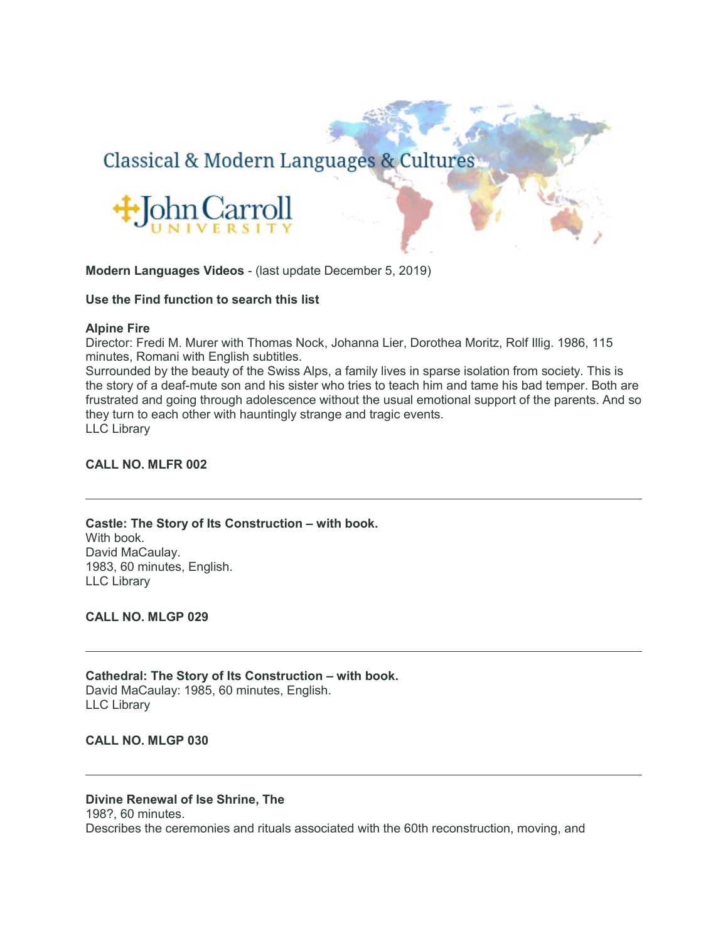# Classical & Modern Languages & Cultures



# **Modern Languages Videos** - (last update December 5, 2019)

#### **Use the Find function to search this list**

#### **Alpine Fire**

Director: Fredi M. Murer with Thomas Nock, Johanna Lier, Dorothea Moritz, Rolf Illig. 1986, 115 minutes, Romani with English subtitles.

Surrounded by the beauty of the Swiss Alps, a family lives in sparse isolation from society. This is the story of a deaf-mute son and his sister who tries to teach him and tame his bad temper. Both are frustrated and going through adolescence without the usual emotional support of the parents. And so they turn to each other with hauntingly strange and tragic events. LLC Library

# **CALL NO. MLFR 002**

**Castle: The Story of Its Construction – with book.** With book. David MaCaulay. 1983, 60 minutes, English. LLC Library

**CALL NO. MLGP 029**

**Cathedral: The Story of Its Construction – with book.** David MaCaulay: 1985, 60 minutes, English. LLC Library

#### **CALL NO. MLGP 030**

#### **Divine Renewal of Ise Shrine, The**

198?, 60 minutes.

Describes the ceremonies and rituals associated with the 60th reconstruction, moving, and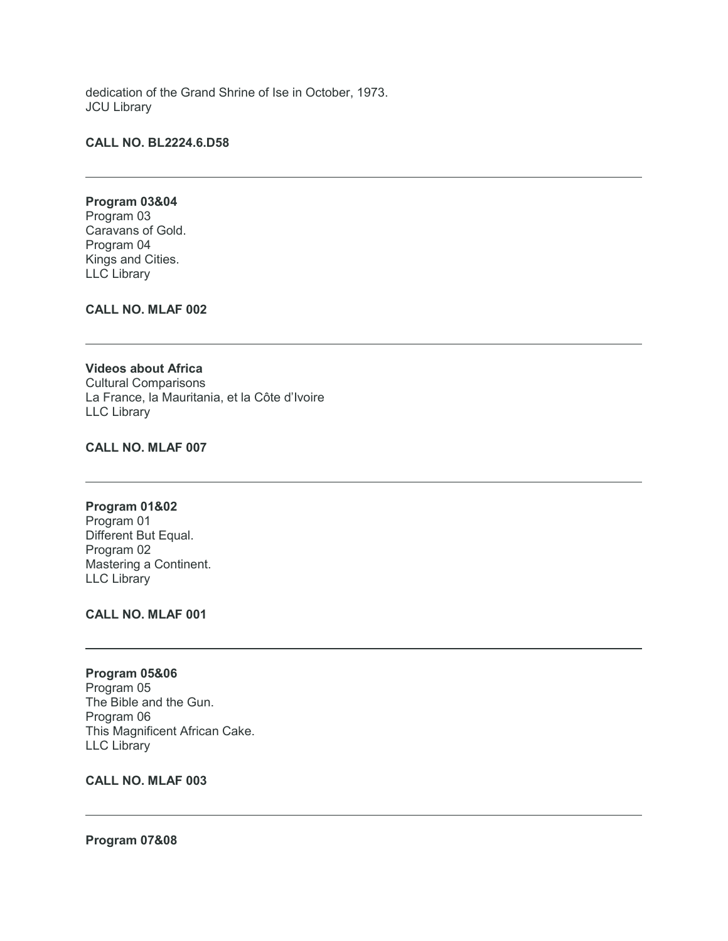dedication of the Grand Shrine of Ise in October, 1973. JCU Library

#### **CALL NO. BL2224.6.D58**

# **Program 03&04**

Program 03 Caravans of Gold. Program 04 Kings and Cities. LLC Library

# **CALL NO. MLAF 002**

# **Videos about Africa** Cultural Comparisons La France, la Mauritania, et la Côte d'Ivoire LLC Library

# **CALL NO. MLAF 007**

# **Program 01&02**

Program 01 Different But Equal. Program 02 Mastering a Continent. LLC Library

# **CALL NO. MLAF 001**

#### **Program 05&06**

Program 05 The Bible and the Gun. Program 06 This Magnificent African Cake. LLC Library

#### **CALL NO. MLAF 003**

#### **Program 07&08**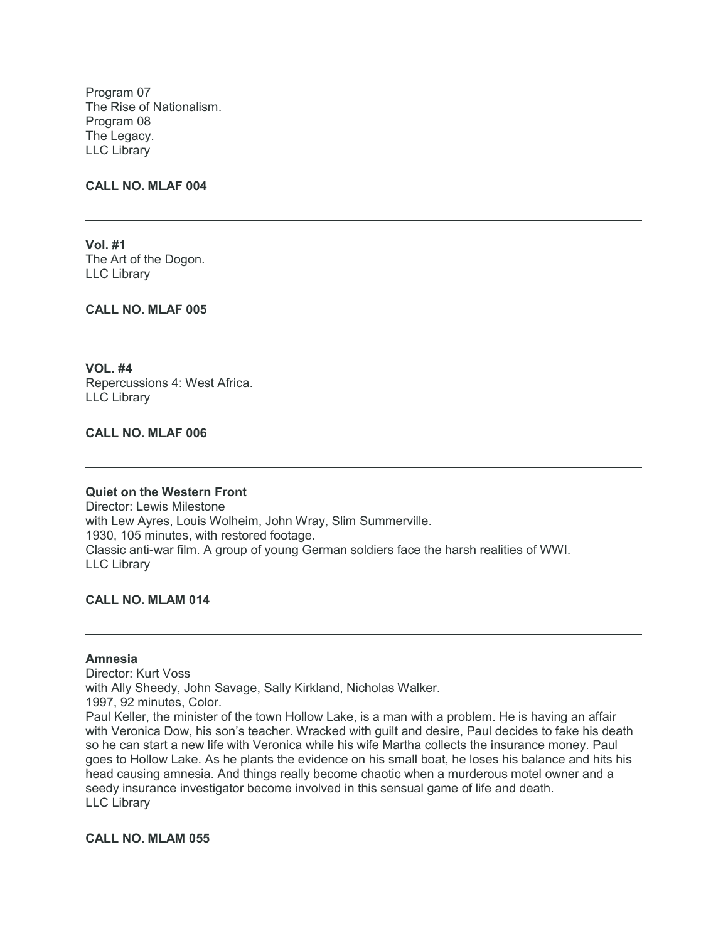Program 07 The Rise of Nationalism. Program 08 The Legacy. LLC Library

#### **CALL NO. MLAF 004**

**Vol. #1** The Art of the Dogon. LLC Library

**CALL NO. MLAF 005**

**VOL. #4** Repercussions 4: West Africa. LLC Library

# **CALL NO. MLAF 006**

#### **Quiet on the Western Front**

Director: Lewis Milestone with Lew Ayres, Louis Wolheim, John Wray, Slim Summerville. 1930, 105 minutes, with restored footage. Classic anti-war film. A group of young German soldiers face the harsh realities of WWI. LLC Library

**CALL NO. MLAM 014**

#### **Amnesia**

Director: Kurt Voss with Ally Sheedy, John Savage, Sally Kirkland, Nicholas Walker. 1997, 92 minutes, Color. Paul Keller, the minister of the town Hollow Lake, is a man with a problem. He is having an affair with Veronica Dow, his son's teacher. Wracked with guilt and desire, Paul decides to fake his death so he can start a new life with Veronica while his wife Martha collects the insurance money. Paul goes to Hollow Lake. As he plants the evidence on his small boat, he loses his balance and hits his head causing amnesia. And things really become chaotic when a murderous motel owner and a seedy insurance investigator become involved in this sensual game of life and death. LLC Library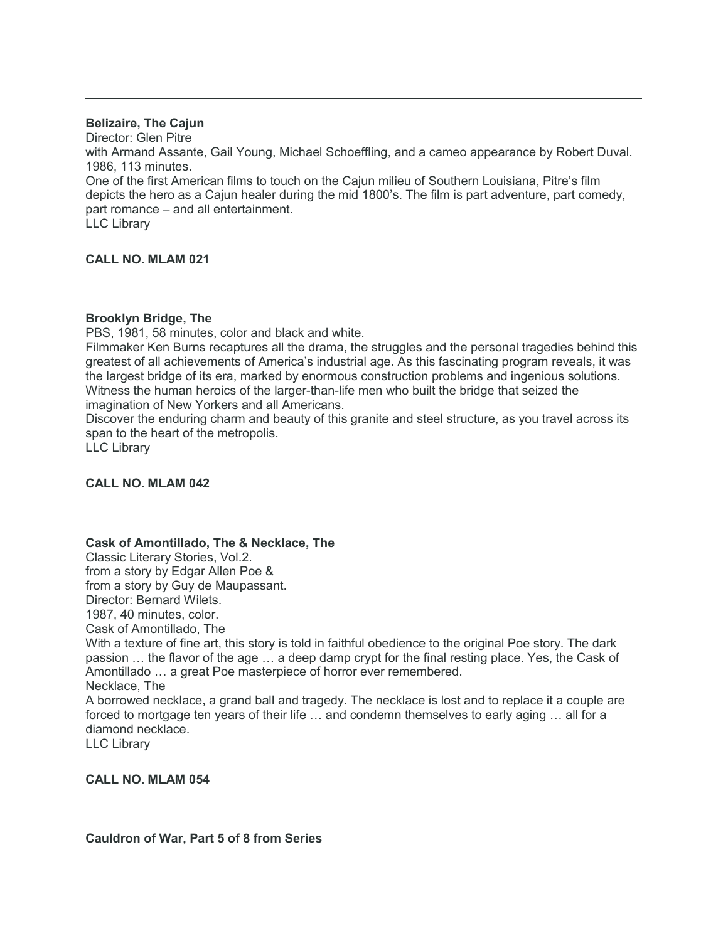# **Belizaire, The Cajun**

Director: Glen Pitre with Armand Assante, Gail Young, Michael Schoeffling, and a cameo appearance by Robert Duval. 1986, 113 minutes.

One of the first American films to touch on the Cajun milieu of Southern Louisiana, Pitre's film depicts the hero as a Cajun healer during the mid 1800's. The film is part adventure, part comedy, part romance – and all entertainment.

LLC Library

# **CALL NO. MLAM 021**

# **Brooklyn Bridge, The**

PBS, 1981, 58 minutes, color and black and white.

Filmmaker Ken Burns recaptures all the drama, the struggles and the personal tragedies behind this greatest of all achievements of America's industrial age. As this fascinating program reveals, it was the largest bridge of its era, marked by enormous construction problems and ingenious solutions. Witness the human heroics of the larger-than-life men who built the bridge that seized the imagination of New Yorkers and all Americans.

Discover the enduring charm and beauty of this granite and steel structure, as you travel across its span to the heart of the metropolis.

LLC Library

# **CALL NO. MLAM 042**

**Cask of Amontillado, The & Necklace, The**

Classic Literary Stories, Vol.2.

from a story by Edgar Allen Poe &

from a story by Guy de Maupassant.

Director: Bernard Wilets.

1987, 40 minutes, color.

Cask of Amontillado, The

With a texture of fine art, this story is told in faithful obedience to the original Poe story. The dark passion … the flavor of the age … a deep damp crypt for the final resting place. Yes, the Cask of Amontillado … a great Poe masterpiece of horror ever remembered. Necklace, The

A borrowed necklace, a grand ball and tragedy. The necklace is lost and to replace it a couple are forced to mortgage ten years of their life … and condemn themselves to early aging … all for a diamond necklace.

LLC Library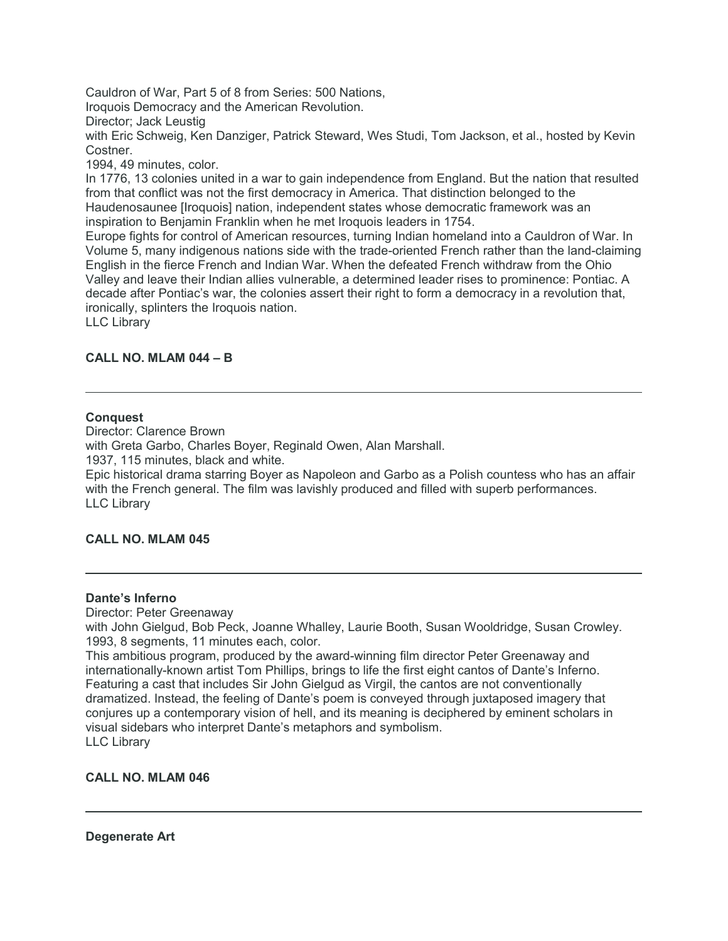Cauldron of War, Part 5 of 8 from Series: 500 Nations,

Iroquois Democracy and the American Revolution.

Director; Jack Leustig

with Eric Schweig, Ken Danziger, Patrick Steward, Wes Studi, Tom Jackson, et al., hosted by Kevin Costner.

1994, 49 minutes, color.

In 1776, 13 colonies united in a war to gain independence from England. But the nation that resulted from that conflict was not the first democracy in America. That distinction belonged to the Haudenosaunee [Iroquois] nation, independent states whose democratic framework was an inspiration to Benjamin Franklin when he met Iroquois leaders in 1754.

Europe fights for control of American resources, turning Indian homeland into a Cauldron of War. In Volume 5, many indigenous nations side with the trade-oriented French rather than the land-claiming English in the fierce French and Indian War. When the defeated French withdraw from the Ohio Valley and leave their Indian allies vulnerable, a determined leader rises to prominence: Pontiac. A decade after Pontiac's war, the colonies assert their right to form a democracy in a revolution that, ironically, splinters the Iroquois nation.

LLC Library

# **CALL NO. MLAM 044 – B**

# **Conquest**

Director: Clarence Brown with Greta Garbo, Charles Boyer, Reginald Owen, Alan Marshall. 1937, 115 minutes, black and white. Epic historical drama starring Boyer as Napoleon and Garbo as a Polish countess who has an affair

with the French general. The film was lavishly produced and filled with superb performances. LLC Library

# **CALL NO. MLAM 045**

#### **Dante's Inferno**

Director: Peter Greenaway

with John Gielgud, Bob Peck, Joanne Whalley, Laurie Booth, Susan Wooldridge, Susan Crowley. 1993, 8 segments, 11 minutes each, color.

This ambitious program, produced by the award-winning film director Peter Greenaway and internationally-known artist Tom Phillips, brings to life the first eight cantos of Dante's Inferno. Featuring a cast that includes Sir John Gielgud as Virgil, the cantos are not conventionally dramatized. Instead, the feeling of Dante's poem is conveyed through juxtaposed imagery that conjures up a contemporary vision of hell, and its meaning is deciphered by eminent scholars in visual sidebars who interpret Dante's metaphors and symbolism. LLC Library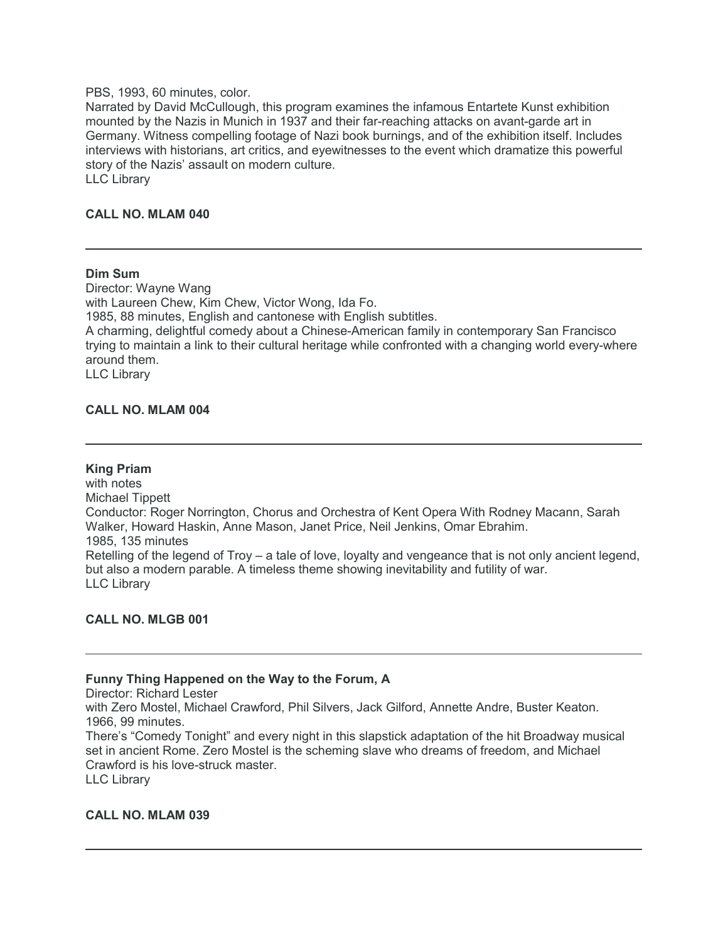#### PBS, 1993, 60 minutes, color.

Narrated by David McCullough, this program examines the infamous Entartete Kunst exhibition mounted by the Nazis in Munich in 1937 and their far-reaching attacks on avant-garde art in Germany. Witness compelling footage of Nazi book burnings, and of the exhibition itself. Includes interviews with historians, art critics, and eyewitnesses to the event which dramatize this powerful story of the Nazis' assault on modern culture. LLC Library

# **CALL NO. MLAM 040**

#### **Dim Sum**

Director: Wayne Wang with Laureen Chew, Kim Chew, Victor Wong, Ida Fo. 1985, 88 minutes, English and cantonese with English subtitles. A charming, delightful comedy about a Chinese-American family in contemporary San Francisco trying to maintain a link to their cultural heritage while confronted with a changing world every-where around them. LLC Library

# **CALL NO. MLAM 004**

#### **King Priam**

with notes Michael Tippett Conductor: Roger Norrington, Chorus and Orchestra of Kent Opera With Rodney Macann, Sarah Walker, Howard Haskin, Anne Mason, Janet Price, Neil Jenkins, Omar Ebrahim. 1985, 135 minutes Retelling of the legend of Troy – a tale of love, loyalty and vengeance that is not only ancient legend, but also a modern parable. A timeless theme showing inevitability and futility of war. LLC Library

#### **CALL NO. MLGB 001**

# **Funny Thing Happened on the Way to the Forum, A**

Director: Richard Lester

with Zero Mostel, Michael Crawford, Phil Silvers, Jack Gilford, Annette Andre, Buster Keaton. 1966, 99 minutes.

There's "Comedy Tonight" and every night in this slapstick adaptation of the hit Broadway musical set in ancient Rome. Zero Mostel is the scheming slave who dreams of freedom, and Michael Crawford is his love-struck master.

LLC Library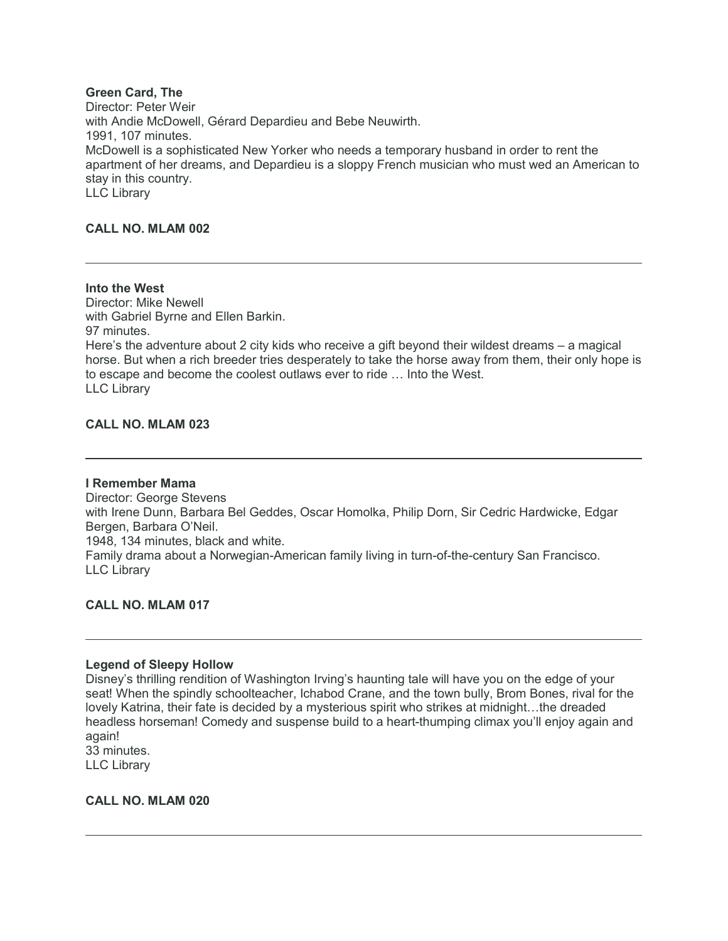# **Green Card, The**

Director: Peter Weir with Andie McDowell, Gérard Depardieu and Bebe Neuwirth. 1991, 107 minutes. McDowell is a sophisticated New Yorker who needs a temporary husband in order to rent the apartment of her dreams, and Depardieu is a sloppy French musician who must wed an American to stay in this country. LLC Library

# **CALL NO. MLAM 002**

**Into the West** Director: Mike Newell with Gabriel Byrne and Ellen Barkin. 97 minutes. Here's the adventure about 2 city kids who receive a gift beyond their wildest dreams – a magical horse. But when a rich breeder tries desperately to take the horse away from them, their only hope is to escape and become the coolest outlaws ever to ride … Into the West. LLC Library

# **CALL NO. MLAM 023**

#### **I Remember Mama**

Director: George Stevens with Irene Dunn, Barbara Bel Geddes, Oscar Homolka, Philip Dorn, Sir Cedric Hardwicke, Edgar Bergen, Barbara O'Neil. 1948, 134 minutes, black and white. Family drama about a Norwegian-American family living in turn-of-the-century San Francisco. LLC Library

**CALL NO. MLAM 017**

# **Legend of Sleepy Hollow**

Disney's thrilling rendition of Washington Irving's haunting tale will have you on the edge of your seat! When the spindly schoolteacher, Ichabod Crane, and the town bully, Brom Bones, rival for the lovely Katrina, their fate is decided by a mysterious spirit who strikes at midnight...the dreaded headless horseman! Comedy and suspense build to a heart-thumping climax you'll enjoy again and again! 33 minutes.

LLC Library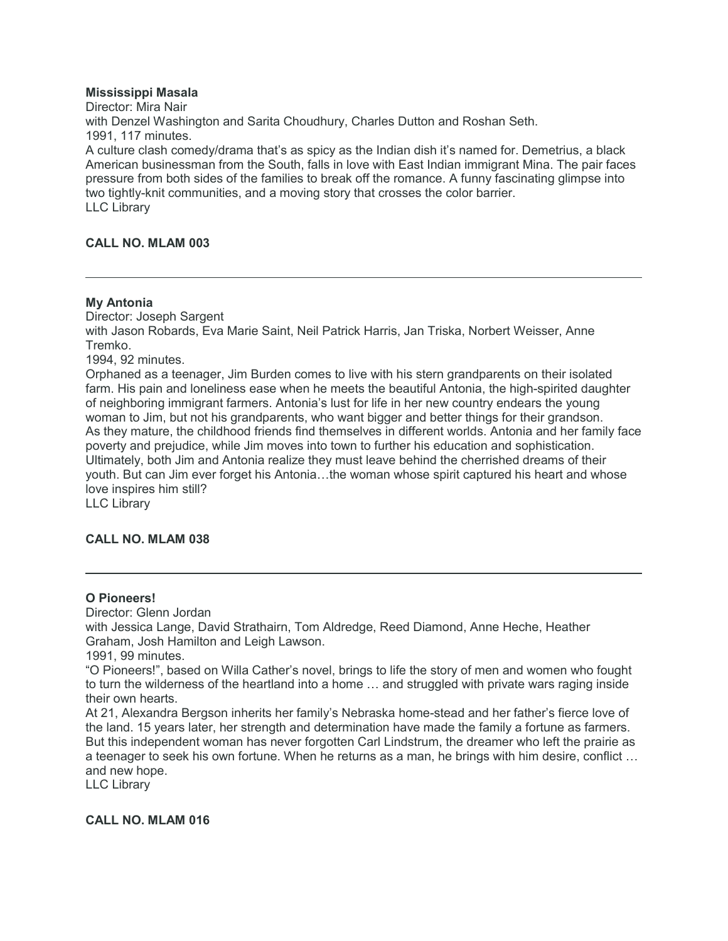# **Mississippi Masala**

Director: Mira Nair with Denzel Washington and Sarita Choudhury, Charles Dutton and Roshan Seth. 1991, 117 minutes. A culture clash comedy/drama that's as spicy as the Indian dish it's named for. Demetrius, a black American businessman from the South, falls in love with East Indian immigrant Mina. The pair faces pressure from both sides of the families to break off the romance. A funny fascinating glimpse into two tightly-knit communities, and a moving story that crosses the color barrier. LLC Library

# **CALL NO. MLAM 003**

# **My Antonia**

Director: Joseph Sargent with Jason Robards, Eva Marie Saint, Neil Patrick Harris, Jan Triska, Norbert Weisser, Anne Tremko. 1994, 92 minutes. Orphaned as a teenager, Jim Burden comes to live with his stern grandparents on their isolated farm. His pain and loneliness ease when he meets the beautiful Antonia, the high-spirited daughter of neighboring immigrant farmers. Antonia's lust for life in her new country endears the young woman to Jim, but not his grandparents, who want bigger and better things for their grandson. As they mature, the childhood friends find themselves in different worlds. Antonia and her family face poverty and prejudice, while Jim moves into town to further his education and sophistication. Ultimately, both Jim and Antonia realize they must leave behind the cherrished dreams of their youth. But can Jim ever forget his Antonia…the woman whose spirit captured his heart and whose love inspires him still?

LLC Library

# **CALL NO. MLAM 038**

# **O Pioneers!**

Director: Glenn Jordan

with Jessica Lange, David Strathairn, Tom Aldredge, Reed Diamond, Anne Heche, Heather Graham, Josh Hamilton and Leigh Lawson.

1991, 99 minutes.

"O Pioneers!", based on Willa Cather's novel, brings to life the story of men and women who fought to turn the wilderness of the heartland into a home … and struggled with private wars raging inside their own hearts.

At 21, Alexandra Bergson inherits her family's Nebraska home-stead and her father's fierce love of the land. 15 years later, her strength and determination have made the family a fortune as farmers. But this independent woman has never forgotten Carl Lindstrum, the dreamer who left the prairie as a teenager to seek his own fortune. When he returns as a man, he brings with him desire, conflict … and new hope.

LLC Library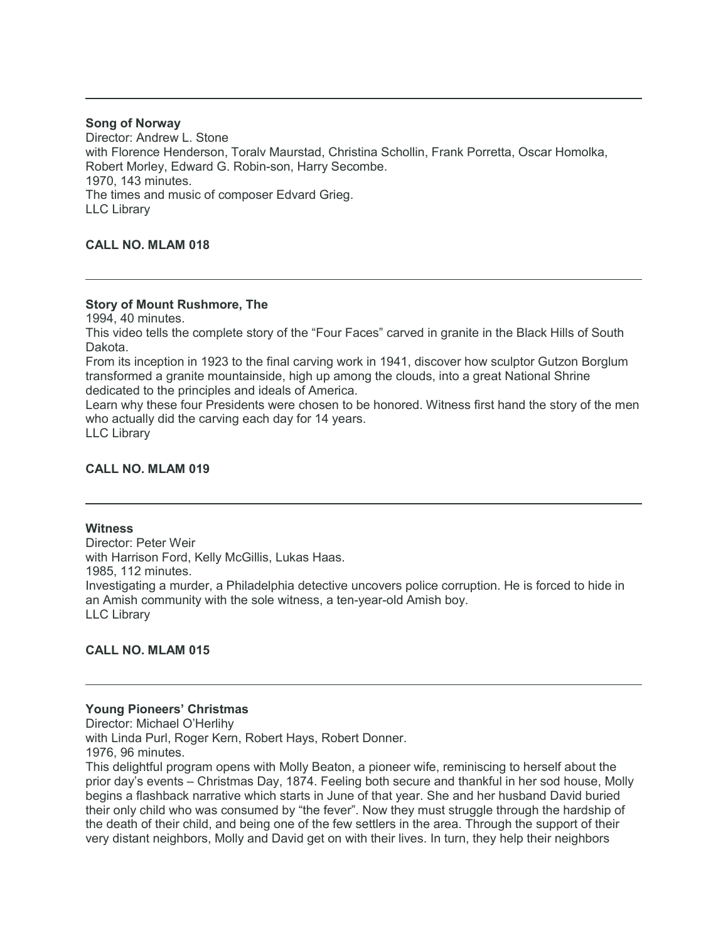#### **Song of Norway**

Director: Andrew L. Stone with Florence Henderson, Toralv Maurstad, Christina Schollin, Frank Porretta, Oscar Homolka, Robert Morley, Edward G. Robin-son, Harry Secombe. 1970, 143 minutes. The times and music of composer Edvard Grieg. LLC Library

# **CALL NO. MLAM 018**

# **Story of Mount Rushmore, The**

1994, 40 minutes.

This video tells the complete story of the "Four Faces" carved in granite in the Black Hills of South Dakota.

From its inception in 1923 to the final carving work in 1941, discover how sculptor Gutzon Borglum transformed a granite mountainside, high up among the clouds, into a great National Shrine dedicated to the principles and ideals of America.

Learn why these four Presidents were chosen to be honored. Witness first hand the story of the men who actually did the carving each day for 14 years.

LLC Library

# **CALL NO. MLAM 019**

# **Witness**

Director: Peter Weir with Harrison Ford, Kelly McGillis, Lukas Haas. 1985, 112 minutes. Investigating a murder, a Philadelphia detective uncovers police corruption. He is forced to hide in an Amish community with the sole witness, a ten-year-old Amish boy. LLC Library

# **CALL NO. MLAM 015**

# **Young Pioneers' Christmas**

Director: Michael O'Herlihy with Linda Purl, Roger Kern, Robert Hays, Robert Donner. 1976, 96 minutes.

This delightful program opens with Molly Beaton, a pioneer wife, reminiscing to herself about the prior day's events – Christmas Day, 1874. Feeling both secure and thankful in her sod house, Molly begins a flashback narrative which starts in June of that year. She and her husband David buried their only child who was consumed by "the fever". Now they must struggle through the hardship of the death of their child, and being one of the few settlers in the area. Through the support of their very distant neighbors, Molly and David get on with their lives. In turn, they help their neighbors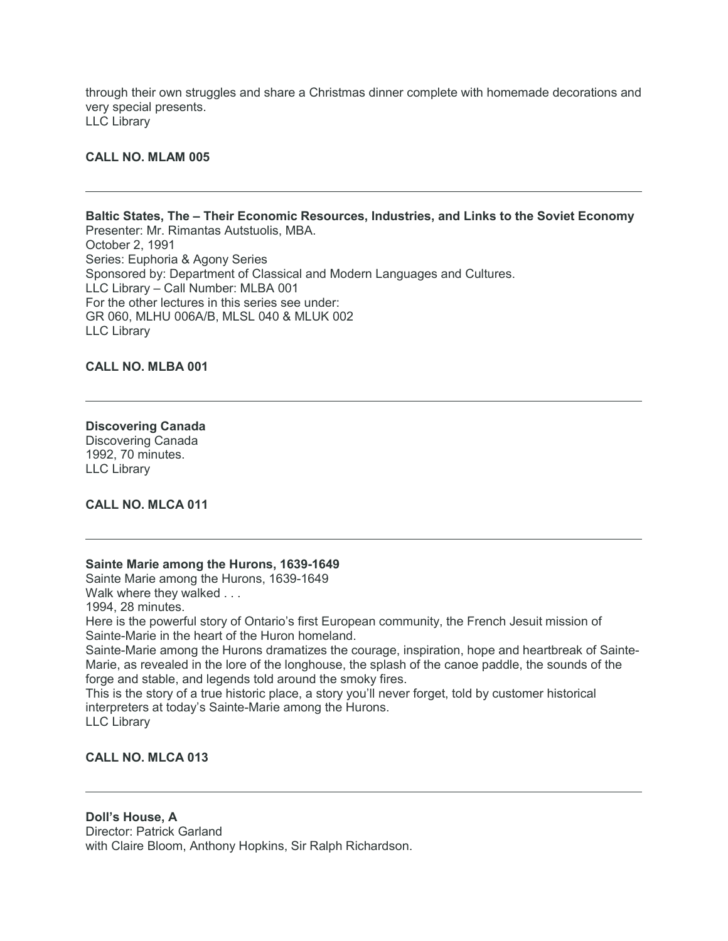through their own struggles and share a Christmas dinner complete with homemade decorations and very special presents. LLC Library

# **CALL NO. MLAM 005**

**Baltic States, The – Their Economic Resources, Industries, and Links to the Soviet Economy** Presenter: Mr. Rimantas Autstuolis, MBA. October 2, 1991 Series: Euphoria & Agony Series Sponsored by: Department of Classical and Modern Languages and Cultures. LLC Library – Call Number: MLBA 001 For the other lectures in this series see under: GR 060, MLHU 006A/B, MLSL 040 & MLUK 002 LLC Library

#### **CALL NO. MLBA 001**

# **Discovering Canada**

Discovering Canada 1992, 70 minutes. LLC Library

# **CALL NO. MLCA 011**

#### **Sainte Marie among the Hurons, 1639-1649**

Sainte Marie among the Hurons, 1639-1649

Walk where they walked . . .

1994, 28 minutes.

Here is the powerful story of Ontario's first European community, the French Jesuit mission of Sainte-Marie in the heart of the Huron homeland.

Sainte-Marie among the Hurons dramatizes the courage, inspiration, hope and heartbreak of Sainte-Marie, as revealed in the lore of the longhouse, the splash of the canoe paddle, the sounds of the forge and stable, and legends told around the smoky fires.

This is the story of a true historic place, a story you'll never forget, told by customer historical interpreters at today's Sainte-Marie among the Hurons.

LLC Library

# **CALL NO. MLCA 013**

# **Doll's House, A** Director: Patrick Garland with Claire Bloom, Anthony Hopkins, Sir Ralph Richardson.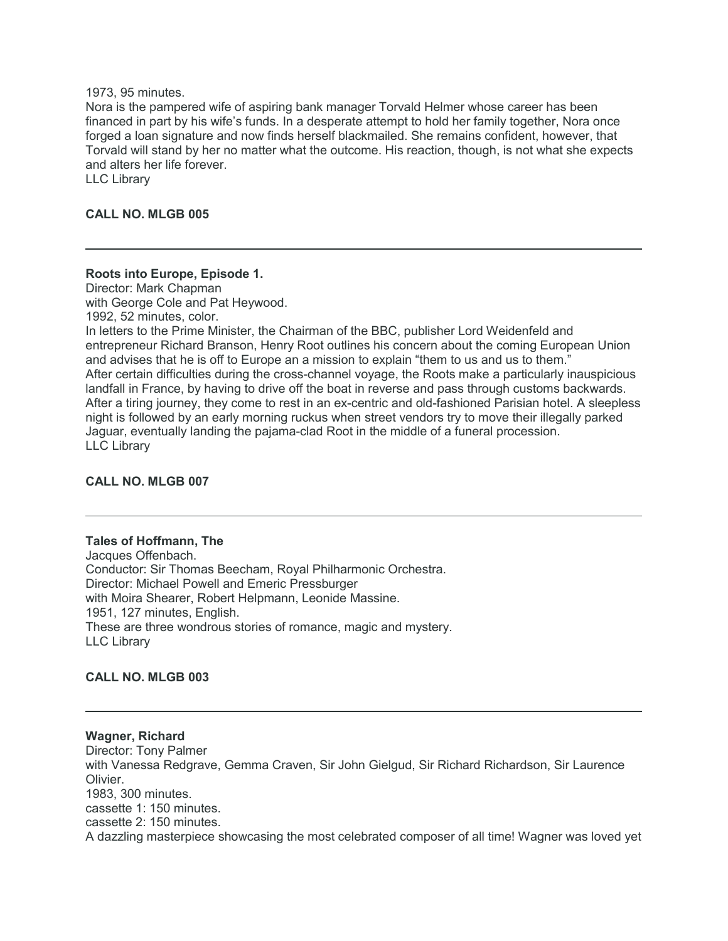#### 1973, 95 minutes.

Nora is the pampered wife of aspiring bank manager Torvald Helmer whose career has been financed in part by his wife's funds. In a desperate attempt to hold her family together, Nora once forged a loan signature and now finds herself blackmailed. She remains confident, however, that Torvald will stand by her no matter what the outcome. His reaction, though, is not what she expects and alters her life forever.

LLC Library

# **CALL NO. MLGB 005**

# **Roots into Europe, Episode 1.**

Director: Mark Chapman with George Cole and Pat Heywood.

1992, 52 minutes, color.

In letters to the Prime Minister, the Chairman of the BBC, publisher Lord Weidenfeld and entrepreneur Richard Branson, Henry Root outlines his concern about the coming European Union and advises that he is off to Europe an a mission to explain "them to us and us to them." After certain difficulties during the cross-channel voyage, the Roots make a particularly inauspicious landfall in France, by having to drive off the boat in reverse and pass through customs backwards. After a tiring journey, they come to rest in an ex-centric and old-fashioned Parisian hotel. A sleepless night is followed by an early morning ruckus when street vendors try to move their illegally parked Jaguar, eventually landing the pajama-clad Root in the middle of a funeral procession. LLC Library

#### **CALL NO. MLGB 007**

#### **Tales of Hoffmann, The**

Jacques Offenbach. Conductor: Sir Thomas Beecham, Royal Philharmonic Orchestra. Director: Michael Powell and Emeric Pressburger with Moira Shearer, Robert Helpmann, Leonide Massine. 1951, 127 minutes, English. These are three wondrous stories of romance, magic and mystery. LLC Library

# **CALL NO. MLGB 003**

# **Wagner, Richard** Director: Tony Palmer with Vanessa Redgrave, Gemma Craven, Sir John Gielgud, Sir Richard Richardson, Sir Laurence Olivier. 1983, 300 minutes. cassette 1: 150 minutes. cassette 2: 150 minutes. A dazzling masterpiece showcasing the most celebrated composer of all time! Wagner was loved yet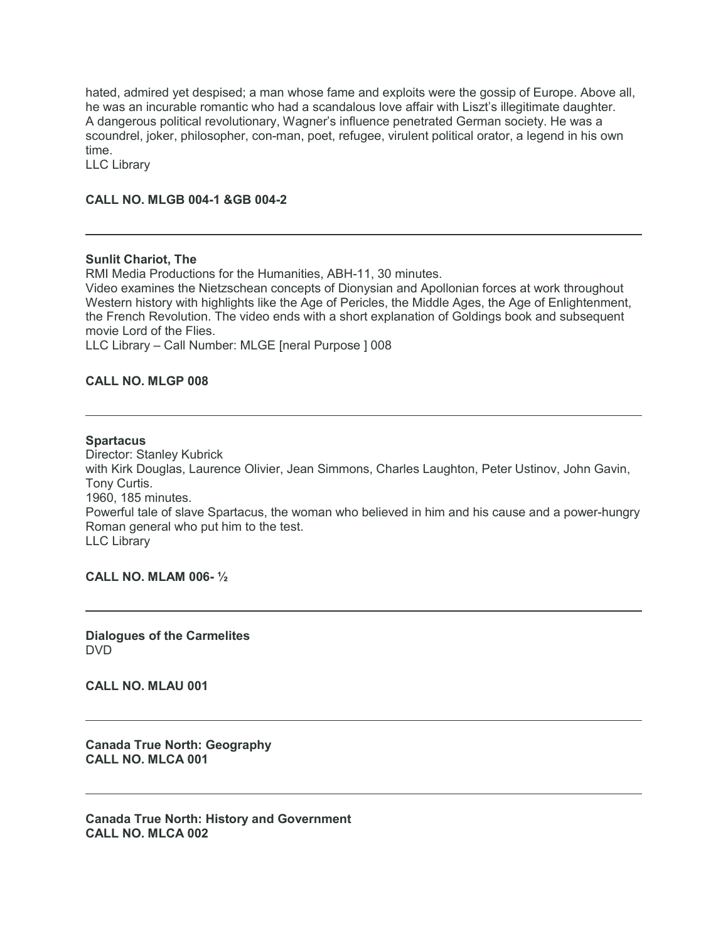hated, admired yet despised; a man whose fame and exploits were the gossip of Europe. Above all, he was an incurable romantic who had a scandalous love affair with Liszt's illegitimate daughter. A dangerous political revolutionary, Wagner's influence penetrated German society. He was a scoundrel, joker, philosopher, con-man, poet, refugee, virulent political orator, a legend in his own time.

LLC Library

# **CALL NO. MLGB 004-1 &GB 004-2**

#### **Sunlit Chariot, The**

RMI Media Productions for the Humanities, ABH-11, 30 minutes.

Video examines the Nietzschean concepts of Dionysian and Apollonian forces at work throughout Western history with highlights like the Age of Pericles, the Middle Ages, the Age of Enlightenment, the French Revolution. The video ends with a short explanation of Goldings book and subsequent movie Lord of the Flies.

LLC Library – Call Number: MLGE [neral Purpose ] 008

# **CALL NO. MLGP 008**

#### **Spartacus**

Director: Stanley Kubrick with Kirk Douglas, Laurence Olivier, Jean Simmons, Charles Laughton, Peter Ustinov, John Gavin, Tony Curtis. 1960, 185 minutes. Powerful tale of slave Spartacus, the woman who believed in him and his cause and a power-hungry Roman general who put him to the test. LLC Library

**CALL NO. MLAM 006- ½**

**Dialogues of the Carmelites** DVD

**CALL NO. MLAU 001**

**Canada True North: Geography CALL NO. MLCA 001**

**Canada True North: History and Government CALL NO. MLCA 002**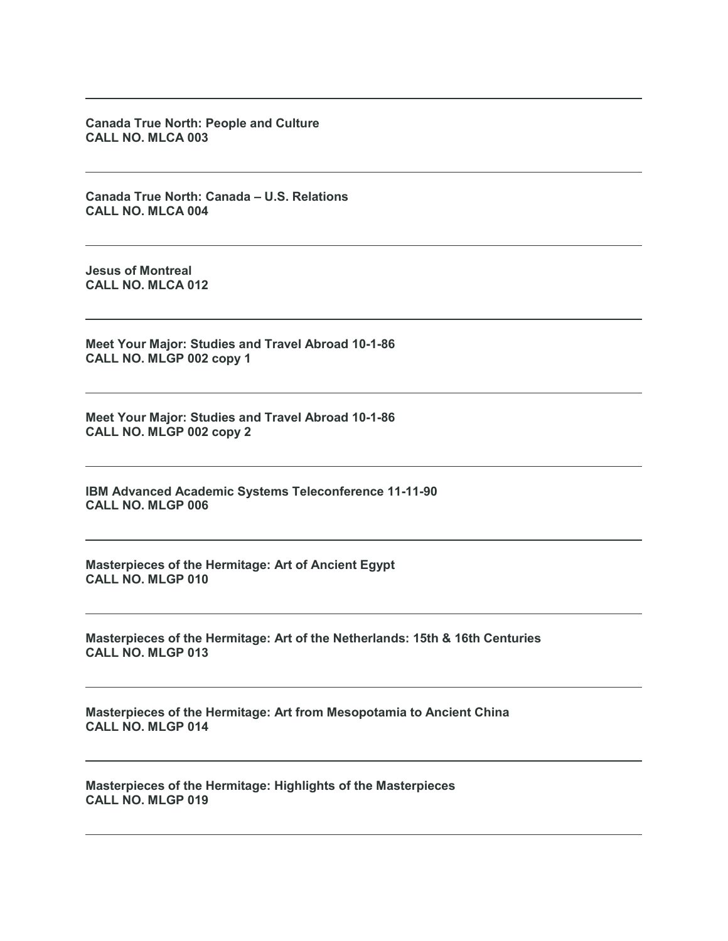**Canada True North: People and Culture CALL NO. MLCA 003**

**Canada True North: Canada – U.S. Relations CALL NO. MLCA 004**

**Jesus of Montreal CALL NO. MLCA 012**

**Meet Your Major: Studies and Travel Abroad 10-1-86 CALL NO. MLGP 002 copy 1**

**Meet Your Major: Studies and Travel Abroad 10-1-86 CALL NO. MLGP 002 copy 2**

**IBM Advanced Academic Systems Teleconference 11-11-90 CALL NO. MLGP 006**

**Masterpieces of the Hermitage: Art of Ancient Egypt CALL NO. MLGP 010**

**Masterpieces of the Hermitage: Art of the Netherlands: 15th & 16th Centuries CALL NO. MLGP 013**

**Masterpieces of the Hermitage: Art from Mesopotamia to Ancient China CALL NO. MLGP 014**

**Masterpieces of the Hermitage: Highlights of the Masterpieces CALL NO. MLGP 019**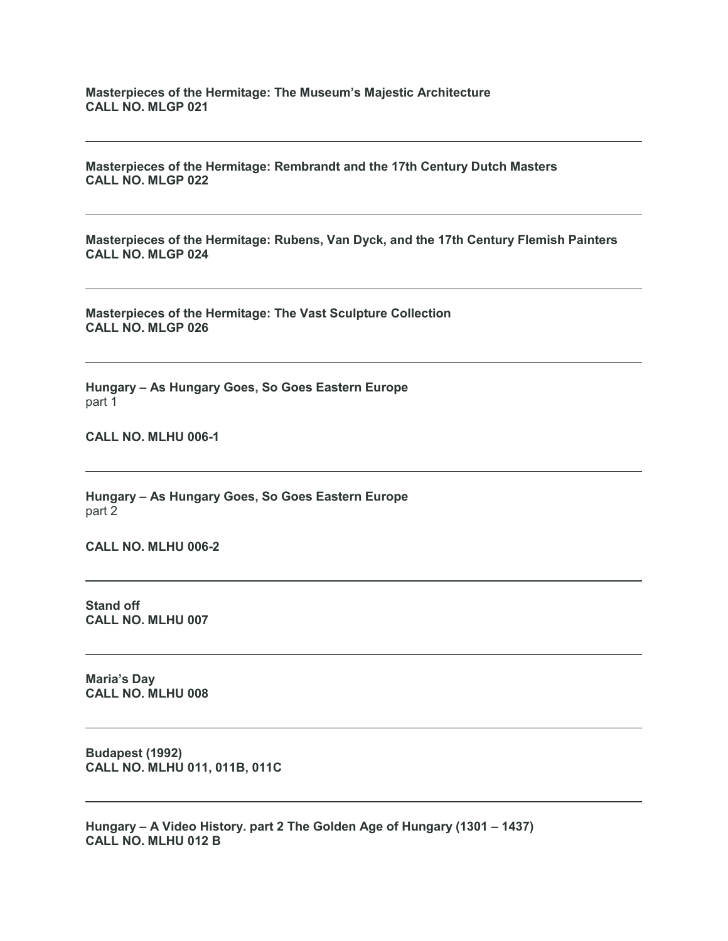**Masterpieces of the Hermitage: The Museum's Majestic Architecture CALL NO. MLGP 021**

**Masterpieces of the Hermitage: Rembrandt and the 17th Century Dutch Masters CALL NO. MLGP 022**

**Masterpieces of the Hermitage: Rubens, Van Dyck, and the 17th Century Flemish Painters CALL NO. MLGP 024**

**Masterpieces of the Hermitage: The Vast Sculpture Collection CALL NO. MLGP 026**

**Hungary – As Hungary Goes, So Goes Eastern Europe** part 1

**CALL NO. MLHU 006-1**

**Hungary – As Hungary Goes, So Goes Eastern Europe** part 2

**CALL NO. MLHU 006-2**

**Stand off CALL NO. MLHU 007**

**Maria's Day CALL NO. MLHU 008**

**Budapest (1992) CALL NO. MLHU 011, 011B, 011C**

**Hungary – A Video History. part 2 The Golden Age of Hungary (1301 – 1437) CALL NO. MLHU 012 B**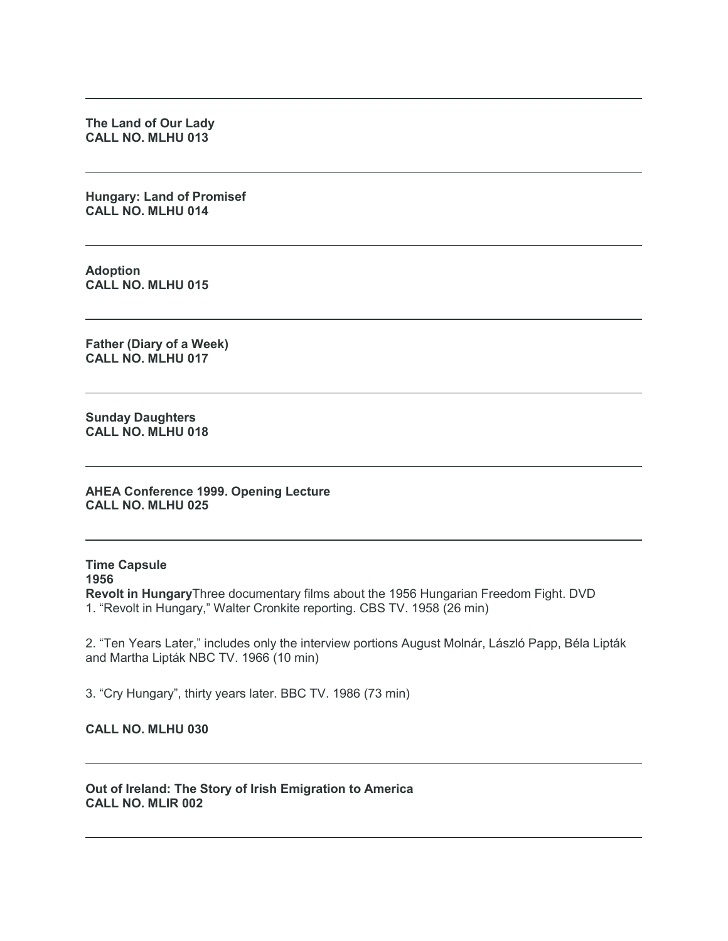**The Land of Our Lady CALL NO. MLHU 013**

**Hungary: Land of Promisef CALL NO. MLHU 014**

**Adoption CALL NO. MLHU 015**

**Father (Diary of a Week) CALL NO. MLHU 017**

**Sunday Daughters CALL NO. MLHU 018**

**AHEA Conference 1999. Opening Lecture CALL NO. MLHU 025**

**Time Capsule 1956 Revolt in Hungary**Three documentary films about the 1956 Hungarian Freedom Fight. DVD 1. "Revolt in Hungary," Walter Cronkite reporting. CBS TV. 1958 (26 min)

2. "Ten Years Later," includes only the interview portions August Molnár, László Papp, Béla Lipták and Martha Lipták NBC TV. 1966 (10 min)

3. "Cry Hungary", thirty years later. BBC TV. 1986 (73 min)

**CALL NO. MLHU 030**

**Out of Ireland: The Story of Irish Emigration to America CALL NO. MLIR 002**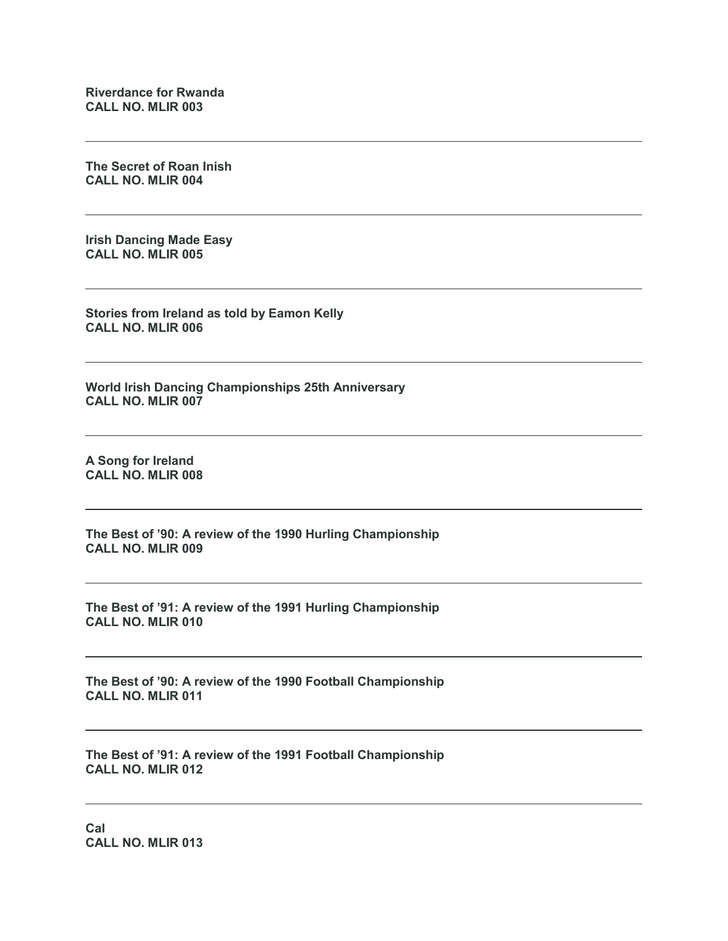**Riverdance for Rwanda CALL NO. MLIR 003**

**The Secret of Roan Inish CALL NO. MLIR 004**

**Irish Dancing Made Easy CALL NO. MLIR 005**

**Stories from Ireland as told by Eamon Kelly CALL NO. MLIR 006**

**World Irish Dancing Championships 25th Anniversary CALL NO. MLIR 007**

**A Song for Ireland CALL NO. MLIR 008**

**The Best of '90: A review of the 1990 Hurling Championship CALL NO. MLIR 009**

**The Best of '91: A review of the 1991 Hurling Championship CALL NO. MLIR 010**

**The Best of '90: A review of the 1990 Football Championship CALL NO. MLIR 011**

**The Best of '91: A review of the 1991 Football Championship CALL NO. MLIR 012**

**Cal CALL NO. MLIR 013**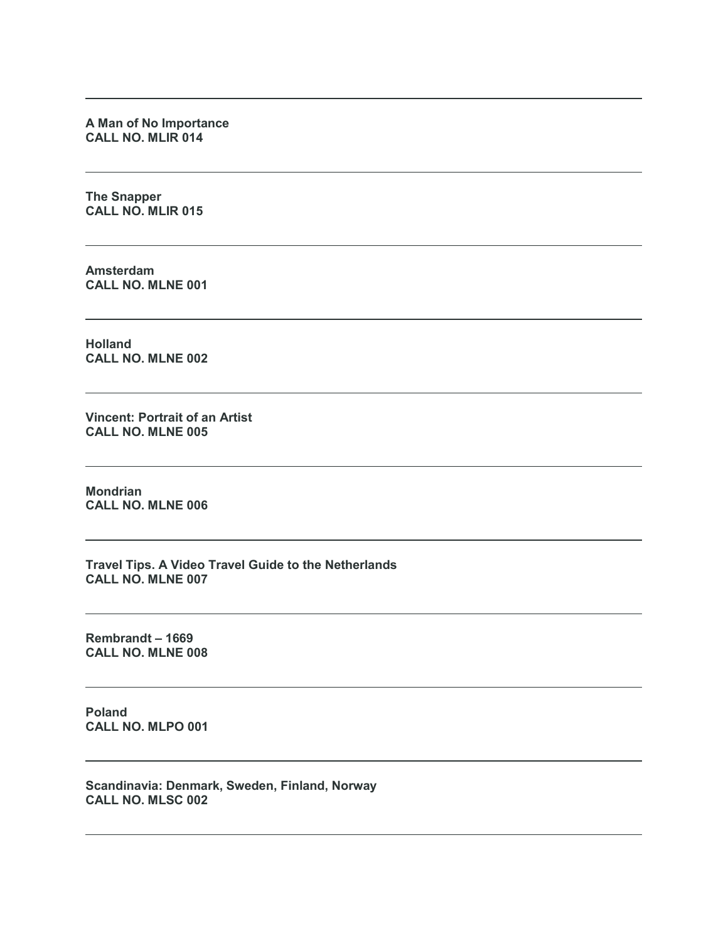**A Man of No Importance CALL NO. MLIR 014**

**The Snapper CALL NO. MLIR 015**

**Amsterdam CALL NO. MLNE 001**

**Holland CALL NO. MLNE 002**

**Vincent: Portrait of an Artist CALL NO. MLNE 005**

**Mondrian CALL NO. MLNE 006**

**Travel Tips. A Video Travel Guide to the Netherlands CALL NO. MLNE 007**

**Rembrandt – 1669 CALL NO. MLNE 008**

**Poland CALL NO. MLPO 001**

**Scandinavia: Denmark, Sweden, Finland, Norway CALL NO. MLSC 002**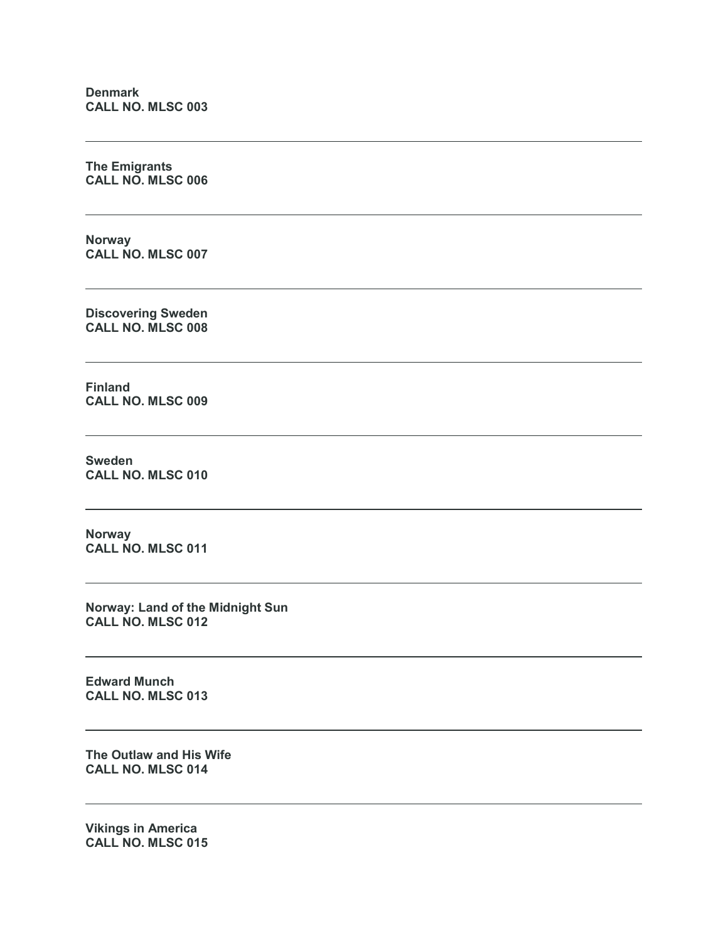**Denmark CALL NO. MLSC 003**

**The Emigrants CALL NO. MLSC 006**

**Norway CALL NO. MLSC 007**

**Discovering Sweden CALL NO. MLSC 008**

**Finland CALL NO. MLSC 009**

**Sweden CALL NO. MLSC 010**

**Norway CALL NO. MLSC 011**

**Norway: Land of the Midnight Sun CALL NO. MLSC 012**

**Edward Munch CALL NO. MLSC 013**

**The Outlaw and His Wife CALL NO. MLSC 014**

**Vikings in America CALL NO. MLSC 015**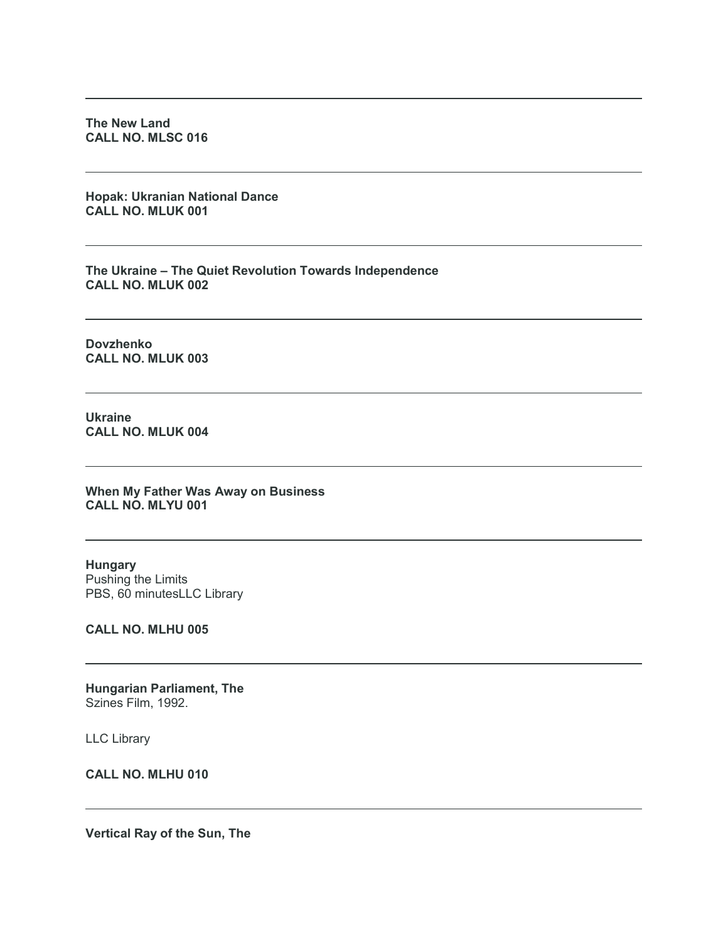**The New Land CALL NO. MLSC 016**

**Hopak: Ukranian National Dance CALL NO. MLUK 001**

**The Ukraine – The Quiet Revolution Towards Independence CALL NO. MLUK 002**

**Dovzhenko CALL NO. MLUK 003**

**Ukraine CALL NO. MLUK 004**

**When My Father Was Away on Business CALL NO. MLYU 001**

**Hungary** Pushing the Limits PBS, 60 minutesLLC Library

**CALL NO. MLHU 005**

**Hungarian Parliament, The** Szines Film, 1992.

LLC Library

**CALL NO. MLHU 010**

**Vertical Ray of the Sun, The**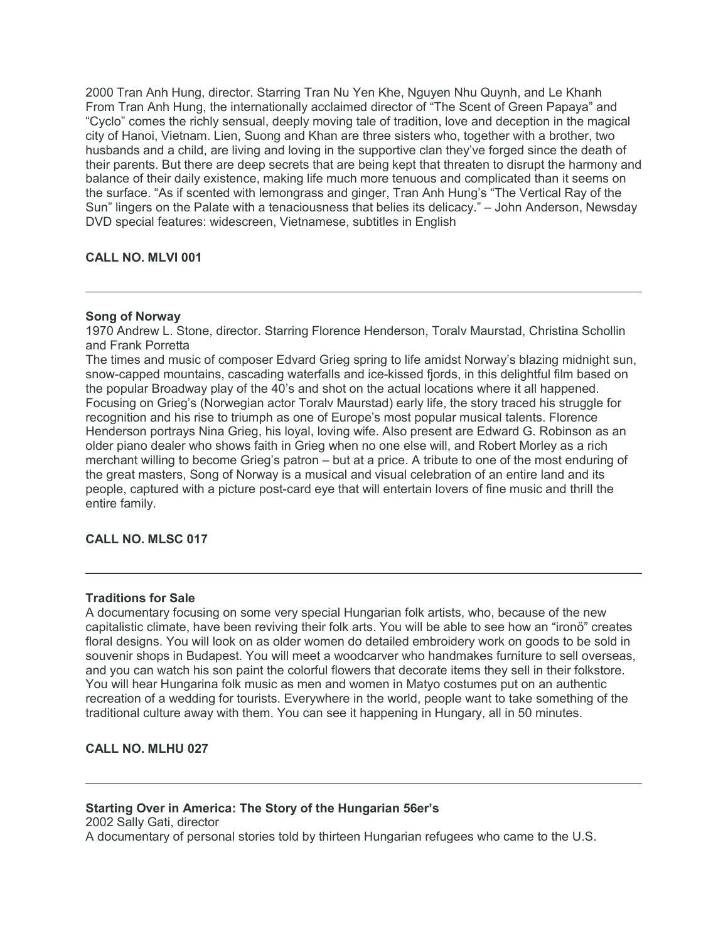2000 Tran Anh Hung, director. Starring Tran Nu Yen Khe, Nguyen Nhu Quynh, and Le Khanh From Tran Anh Hung, the internationally acclaimed director of "The Scent of Green Papaya" and "Cyclo" comes the richly sensual, deeply moving tale of tradition, love and deception in the magical city of Hanoi, Vietnam. Lien, Suong and Khan are three sisters who, together with a brother, two husbands and a child, are living and loving in the supportive clan they've forged since the death of their parents. But there are deep secrets that are being kept that threaten to disrupt the harmony and balance of their daily existence, making life much more tenuous and complicated than it seems on the surface. "As if scented with lemongrass and ginger, Tran Anh Hung's "The Vertical Ray of the Sun" lingers on the Palate with a tenaciousness that belies its delicacy." – John Anderson, Newsday DVD special features: widescreen, Vietnamese, subtitles in English

# **CALL NO. MLVI 001**

# **Song of Norway**

1970 Andrew L. Stone, director. Starring Florence Henderson, Toralv Maurstad, Christina Schollin and Frank Porretta

The times and music of composer Edvard Grieg spring to life amidst Norway's blazing midnight sun, snow-capped mountains, cascading waterfalls and ice-kissed fjords, in this delightful film based on the popular Broadway play of the 40's and shot on the actual locations where it all happened. Focusing on Grieg's (Norwegian actor Toralv Maurstad) early life, the story traced his struggle for recognition and his rise to triumph as one of Europe's most popular musical talents. Florence Henderson portrays Nina Grieg, his loyal, loving wife. Also present are Edward G. Robinson as an older piano dealer who shows faith in Grieg when no one else will, and Robert Morley as a rich merchant willing to become Grieg's patron – but at a price. A tribute to one of the most enduring of the great masters, Song of Norway is a musical and visual celebration of an entire land and its people, captured with a picture post-card eye that will entertain lovers of fine music and thrill the entire family.

# **CALL NO. MLSC 017**

#### **Traditions for Sale**

A documentary focusing on some very special Hungarian folk artists, who, because of the new capitalistic climate, have been reviving their folk arts. You will be able to see how an "ironö" creates floral designs. You will look on as older women do detailed embroidery work on goods to be sold in souvenir shops in Budapest. You will meet a woodcarver who handmakes furniture to sell overseas, and you can watch his son paint the colorful flowers that decorate items they sell in their folkstore. You will hear Hungarina folk music as men and women in Matyo costumes put on an authentic recreation of a wedding for tourists. Everywhere in the world, people want to take something of the traditional culture away with them. You can see it happening in Hungary, all in 50 minutes.

# **CALL NO. MLHU 027**

# **Starting Over in America: The Story of the Hungarian 56er's** 2002 Sally Gati, director A documentary of personal stories told by thirteen Hungarian refugees who came to the U.S.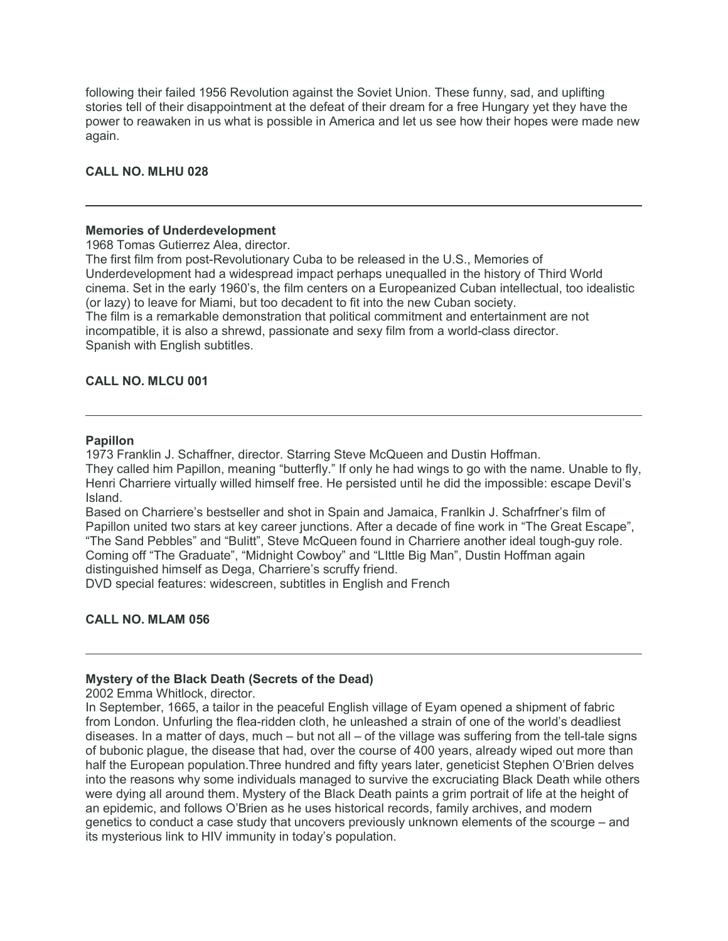following their failed 1956 Revolution against the Soviet Union. These funny, sad, and uplifting stories tell of their disappointment at the defeat of their dream for a free Hungary yet they have the power to reawaken in us what is possible in America and let us see how their hopes were made new again.

# **CALL NO. MLHU 028**

#### **Memories of Underdevelopment**

1968 Tomas Gutierrez Alea, director.

The first film from post-Revolutionary Cuba to be released in the U.S., Memories of Underdevelopment had a widespread impact perhaps unequalled in the history of Third World cinema. Set in the early 1960's, the film centers on a Europeanized Cuban intellectual, too idealistic (or lazy) to leave for Miami, but too decadent to fit into the new Cuban society. The film is a remarkable demonstration that political commitment and entertainment are not incompatible, it is also a shrewd, passionate and sexy film from a world-class director. Spanish with English subtitles.

# **CALL NO. MLCU 001**

# **Papillon**

1973 Franklin J. Schaffner, director. Starring Steve McQueen and Dustin Hoffman.

They called him Papillon, meaning "butterfly." If only he had wings to go with the name. Unable to fly, Henri Charriere virtually willed himself free. He persisted until he did the impossible: escape Devil's Island.

Based on Charriere's bestseller and shot in Spain and Jamaica, Franlkin J. Schafrfner's film of Papillon united two stars at key career junctions. After a decade of fine work in "The Great Escape", "The Sand Pebbles" and "Bulitt", Steve McQueen found in Charriere another ideal tough-guy role. Coming off "The Graduate", "Midnight Cowboy" and "LIttle Big Man", Dustin Hoffman again

distinguished himself as Dega, Charriere's scruffy friend.

DVD special features: widescreen, subtitles in English and French

#### **CALL NO. MLAM 056**

# **Mystery of the Black Death (Secrets of the Dead)**

2002 Emma Whitlock, director.

In September, 1665, a tailor in the peaceful English village of Eyam opened a shipment of fabric from London. Unfurling the flea-ridden cloth, he unleashed a strain of one of the world's deadliest diseases. In a matter of days, much – but not all – of the village was suffering from the tell-tale signs of bubonic plague, the disease that had, over the course of 400 years, already wiped out more than half the European population.Three hundred and fifty years later, geneticist Stephen O'Brien delves into the reasons why some individuals managed to survive the excruciating Black Death while others were dying all around them. Mystery of the Black Death paints a grim portrait of life at the height of an epidemic, and follows O'Brien as he uses historical records, family archives, and modern genetics to conduct a case study that uncovers previously unknown elements of the scourge – and its mysterious link to HIV immunity in today's population.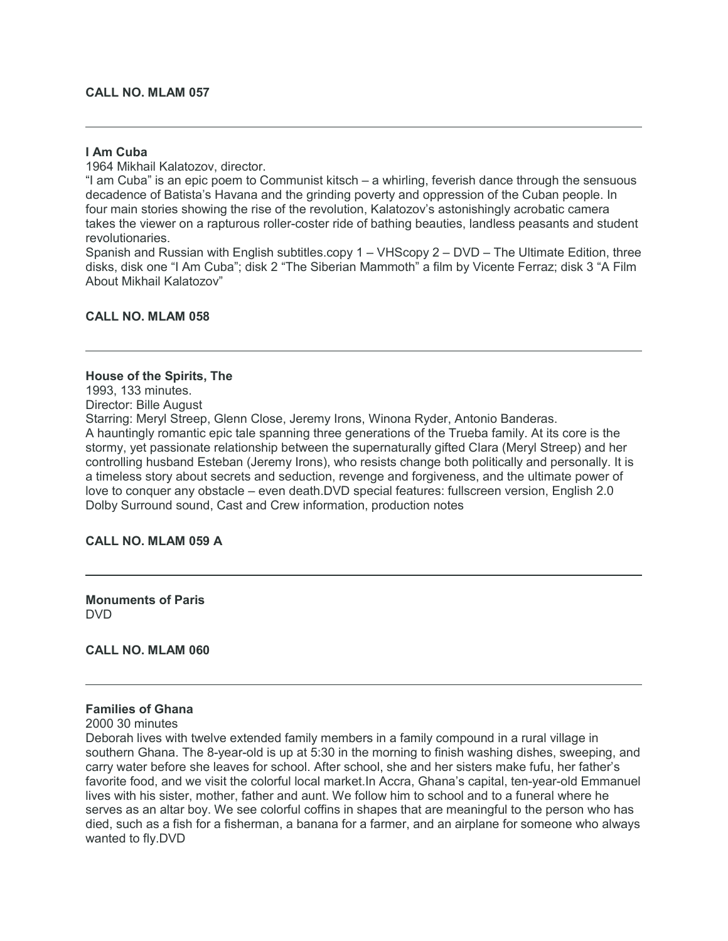#### **CALL NO. MLAM 057**

#### **I Am Cuba**

1964 Mikhail Kalatozov, director.

"I am Cuba" is an epic poem to Communist kitsch – a whirling, feverish dance through the sensuous decadence of Batista's Havana and the grinding poverty and oppression of the Cuban people. In four main stories showing the rise of the revolution, Kalatozov's astonishingly acrobatic camera takes the viewer on a rapturous roller-coster ride of bathing beauties, landless peasants and student revolutionaries.

Spanish and Russian with English subtitles.copy 1 – VHScopy 2 – DVD – The Ultimate Edition, three disks, disk one "I Am Cuba"; disk 2 "The Siberian Mammoth" a film by Vicente Ferraz; disk 3 "A Film About Mikhail Kalatozov"

#### **CALL NO. MLAM 058**

#### **House of the Spirits, The**

1993, 133 minutes.

Director: Bille August

Starring: Meryl Streep, Glenn Close, Jeremy Irons, Winona Ryder, Antonio Banderas. A hauntingly romantic epic tale spanning three generations of the Trueba family. At its core is the stormy, yet passionate relationship between the supernaturally gifted Clara (Meryl Streep) and her controlling husband Esteban (Jeremy Irons), who resists change both politically and personally. It is a timeless story about secrets and seduction, revenge and forgiveness, and the ultimate power of love to conquer any obstacle – even death.DVD special features: fullscreen version, English 2.0 Dolby Surround sound, Cast and Crew information, production notes

#### **CALL NO. MLAM 059 A**

**Monuments of Paris** DVD

**CALL NO. MLAM 060**

# **Families of Ghana**

2000 30 minutes

Deborah lives with twelve extended family members in a family compound in a rural village in southern Ghana. The 8-year-old is up at 5:30 in the morning to finish washing dishes, sweeping, and carry water before she leaves for school. After school, she and her sisters make fufu, her father's favorite food, and we visit the colorful local market.In Accra, Ghana's capital, ten-year-old Emmanuel lives with his sister, mother, father and aunt. We follow him to school and to a funeral where he serves as an altar boy. We see colorful coffins in shapes that are meaningful to the person who has died, such as a fish for a fisherman, a banana for a farmer, and an airplane for someone who always wanted to fly.DVD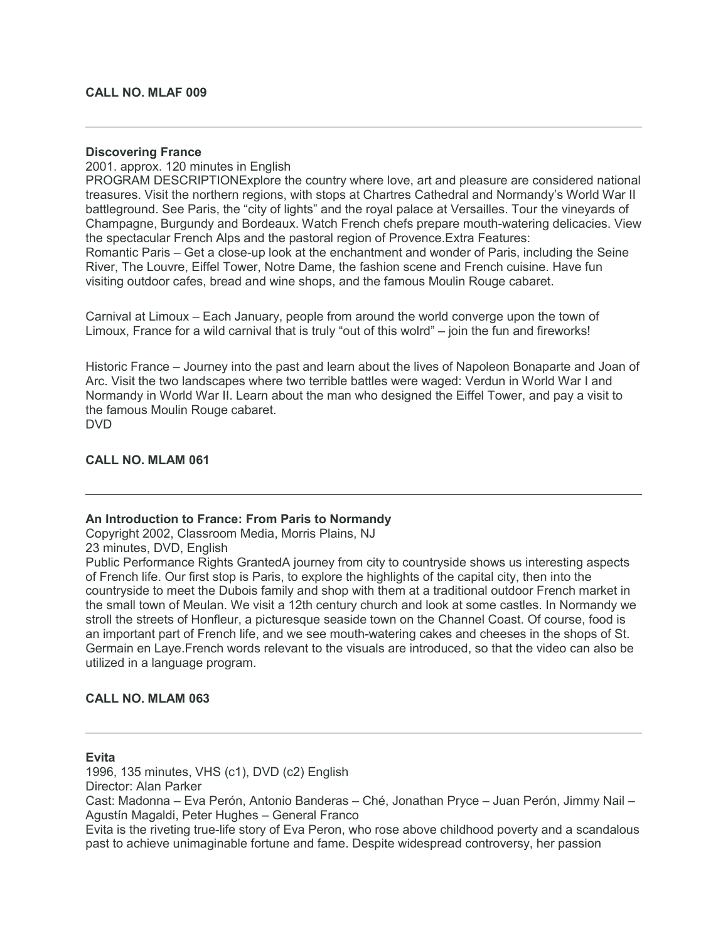# **Discovering France**

2001. approx. 120 minutes in English

PROGRAM DESCRIPTIONExplore the country where love, art and pleasure are considered national treasures. Visit the northern regions, with stops at Chartres Cathedral and Normandy's World War II battleground. See Paris, the "city of lights" and the royal palace at Versailles. Tour the vineyards of Champagne, Burgundy and Bordeaux. Watch French chefs prepare mouth-watering delicacies. View the spectacular French Alps and the pastoral region of Provence.Extra Features: Romantic Paris – Get a close-up look at the enchantment and wonder of Paris, including the Seine River, The Louvre, Eiffel Tower, Notre Dame, the fashion scene and French cuisine. Have fun visiting outdoor cafes, bread and wine shops, and the famous Moulin Rouge cabaret.

Carnival at Limoux – Each January, people from around the world converge upon the town of Limoux, France for a wild carnival that is truly "out of this wolrd" – join the fun and fireworks!

Historic France – Journey into the past and learn about the lives of Napoleon Bonaparte and Joan of Arc. Visit the two landscapes where two terrible battles were waged: Verdun in World War I and Normandy in World War II. Learn about the man who designed the Eiffel Tower, and pay a visit to the famous Moulin Rouge cabaret. DVD

# **CALL NO. MLAM 061**

# **An Introduction to France: From Paris to Normandy**

Copyright 2002, Classroom Media, Morris Plains, NJ

23 minutes, DVD, English

Public Performance Rights GrantedA journey from city to countryside shows us interesting aspects of French life. Our first stop is Paris, to explore the highlights of the capital city, then into the countryside to meet the Dubois family and shop with them at a traditional outdoor French market in the small town of Meulan. We visit a 12th century church and look at some castles. In Normandy we stroll the streets of Honfleur, a picturesque seaside town on the Channel Coast. Of course, food is an important part of French life, and we see mouth-watering cakes and cheeses in the shops of St. Germain en Laye.French words relevant to the visuals are introduced, so that the video can also be utilized in a language program.

# **CALL NO. MLAM 063**

# **Evita**

1996, 135 minutes, VHS (c1), DVD (c2) English Director: Alan Parker

Cast: Madonna – Eva Perón, Antonio Banderas – Ché, Jonathan Pryce – Juan Perón, Jimmy Nail – Agustín Magaldi, Peter Hughes – General Franco

Evita is the riveting true-life story of Eva Peron, who rose above childhood poverty and a scandalous past to achieve unimaginable fortune and fame. Despite widespread controversy, her passion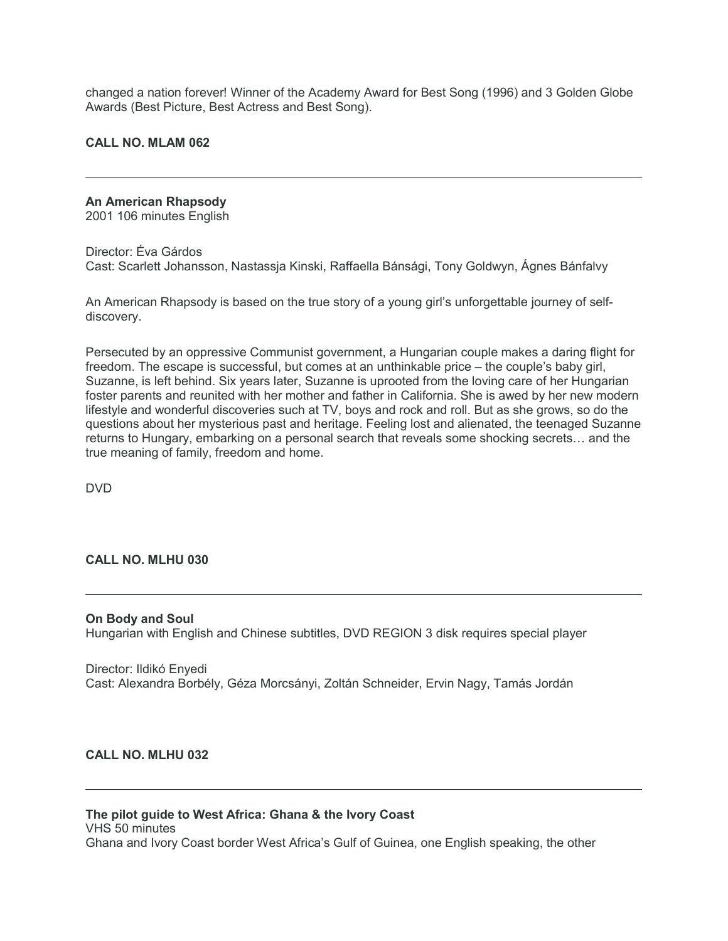changed a nation forever! Winner of the Academy Award for Best Song (1996) and 3 Golden Globe Awards (Best Picture, Best Actress and Best Song).

#### **CALL NO. MLAM 062**

# **An American Rhapsody**

2001 106 minutes English

Director: Éva Gárdos Cast: Scarlett Johansson, Nastassja Kinski, Raffaella Bánsági, Tony Goldwyn, Ágnes Bánfalvy

An American Rhapsody is based on the true story of a young girl's unforgettable journey of selfdiscovery.

Persecuted by an oppressive Communist government, a Hungarian couple makes a daring flight for freedom. The escape is successful, but comes at an unthinkable price – the couple's baby girl, Suzanne, is left behind. Six years later, Suzanne is uprooted from the loving care of her Hungarian foster parents and reunited with her mother and father in California. She is awed by her new modern lifestyle and wonderful discoveries such at TV, boys and rock and roll. But as she grows, so do the questions about her mysterious past and heritage. Feeling lost and alienated, the teenaged Suzanne returns to Hungary, embarking on a personal search that reveals some shocking secrets… and the true meaning of family, freedom and home.

DVD

# **CALL NO. MLHU 030**

**On Body and Soul** Hungarian with English and Chinese subtitles, DVD REGION 3 disk requires special player

Director: Ildikó Enyedi Cast: Alexandra Borbély, Géza Morcsányi, Zoltán Schneider, Ervin Nagy, Tamás Jordán

# **CALL NO. MLHU 032**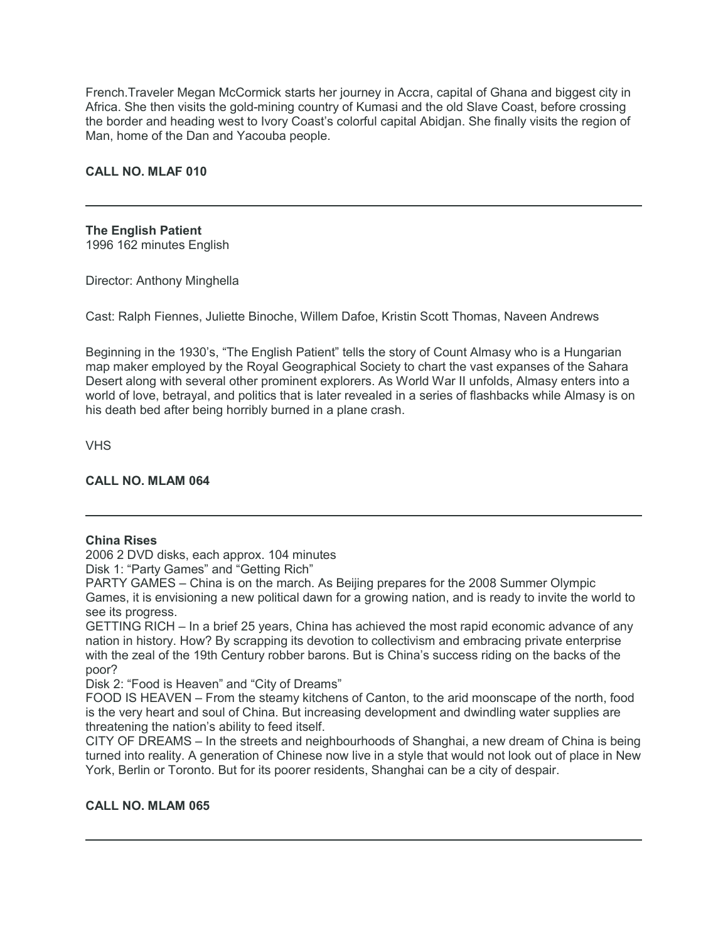French.Traveler Megan McCormick starts her journey in Accra, capital of Ghana and biggest city in Africa. She then visits the gold-mining country of Kumasi and the old Slave Coast, before crossing the border and heading west to Ivory Coast's colorful capital Abidjan. She finally visits the region of Man, home of the Dan and Yacouba people.

# **CALL NO. MLAF 010**

**The English Patient** 1996 162 minutes English

Director: Anthony Minghella

Cast: Ralph Fiennes, Juliette Binoche, Willem Dafoe, Kristin Scott Thomas, Naveen Andrews

Beginning in the 1930's, "The English Patient" tells the story of Count Almasy who is a Hungarian map maker employed by the Royal Geographical Society to chart the vast expanses of the Sahara Desert along with several other prominent explorers. As World War II unfolds, Almasy enters into a world of love, betrayal, and politics that is later revealed in a series of flashbacks while Almasy is on his death bed after being horribly burned in a plane crash.

VHS

# **CALL NO. MLAM 064**

#### **China Rises**

2006 2 DVD disks, each approx. 104 minutes

Disk 1: "Party Games" and "Getting Rich"

PARTY GAMES – China is on the march. As Beijing prepares for the 2008 Summer Olympic Games, it is envisioning a new political dawn for a growing nation, and is ready to invite the world to see its progress.

GETTING RICH – In a brief 25 years, China has achieved the most rapid economic advance of any nation in history. How? By scrapping its devotion to collectivism and embracing private enterprise with the zeal of the 19th Century robber barons. But is China's success riding on the backs of the poor?

Disk 2: "Food is Heaven" and "City of Dreams"

FOOD IS HEAVEN – From the steamy kitchens of Canton, to the arid moonscape of the north, food is the very heart and soul of China. But increasing development and dwindling water supplies are threatening the nation's ability to feed itself.

CITY OF DREAMS – In the streets and neighbourhoods of Shanghai, a new dream of China is being turned into reality. A generation of Chinese now live in a style that would not look out of place in New York, Berlin or Toronto. But for its poorer residents, Shanghai can be a city of despair.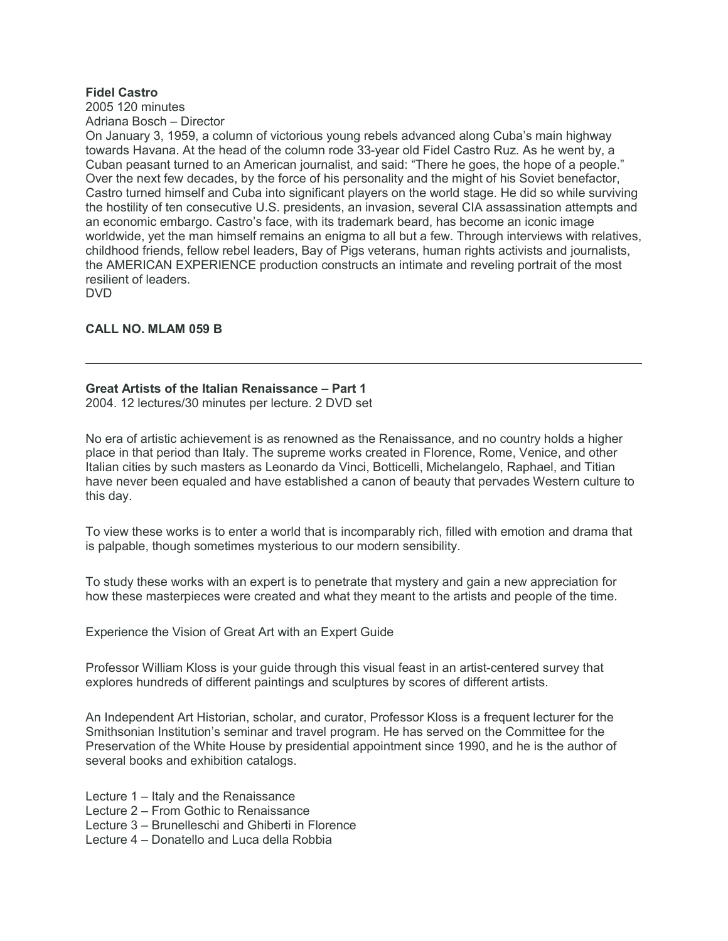# **Fidel Castro**

2005 120 minutes Adriana Bosch – Director

On January 3, 1959, a column of victorious young rebels advanced along Cuba's main highway towards Havana. At the head of the column rode 33-year old Fidel Castro Ruz. As he went by, a Cuban peasant turned to an American journalist, and said: "There he goes, the hope of a people." Over the next few decades, by the force of his personality and the might of his Soviet benefactor, Castro turned himself and Cuba into significant players on the world stage. He did so while surviving the hostility of ten consecutive U.S. presidents, an invasion, several CIA assassination attempts and an economic embargo. Castro's face, with its trademark beard, has become an iconic image worldwide, yet the man himself remains an enigma to all but a few. Through interviews with relatives, childhood friends, fellow rebel leaders, Bay of Pigs veterans, human rights activists and journalists, the AMERICAN EXPERIENCE production constructs an intimate and reveling portrait of the most resilient of leaders.

DVD

# **CALL NO. MLAM 059 B**

# **Great Artists of the Italian Renaissance – Part 1**

2004. 12 lectures/30 minutes per lecture. 2 DVD set

No era of artistic achievement is as renowned as the Renaissance, and no country holds a higher place in that period than Italy. The supreme works created in Florence, Rome, Venice, and other Italian cities by such masters as Leonardo da Vinci, Botticelli, Michelangelo, Raphael, and Titian have never been equaled and have established a canon of beauty that pervades Western culture to this day.

To view these works is to enter a world that is incomparably rich, filled with emotion and drama that is palpable, though sometimes mysterious to our modern sensibility.

To study these works with an expert is to penetrate that mystery and gain a new appreciation for how these masterpieces were created and what they meant to the artists and people of the time.

Experience the Vision of Great Art with an Expert Guide

Professor William Kloss is your guide through this visual feast in an artist-centered survey that explores hundreds of different paintings and sculptures by scores of different artists.

An Independent Art Historian, scholar, and curator, Professor Kloss is a frequent lecturer for the Smithsonian Institution's seminar and travel program. He has served on the Committee for the Preservation of the White House by presidential appointment since 1990, and he is the author of several books and exhibition catalogs.

Lecture 1 – Italy and the Renaissance

Lecture 2 – From Gothic to Renaissance

Lecture 3 – Brunelleschi and Ghiberti in Florence

Lecture 4 – Donatello and Luca della Robbia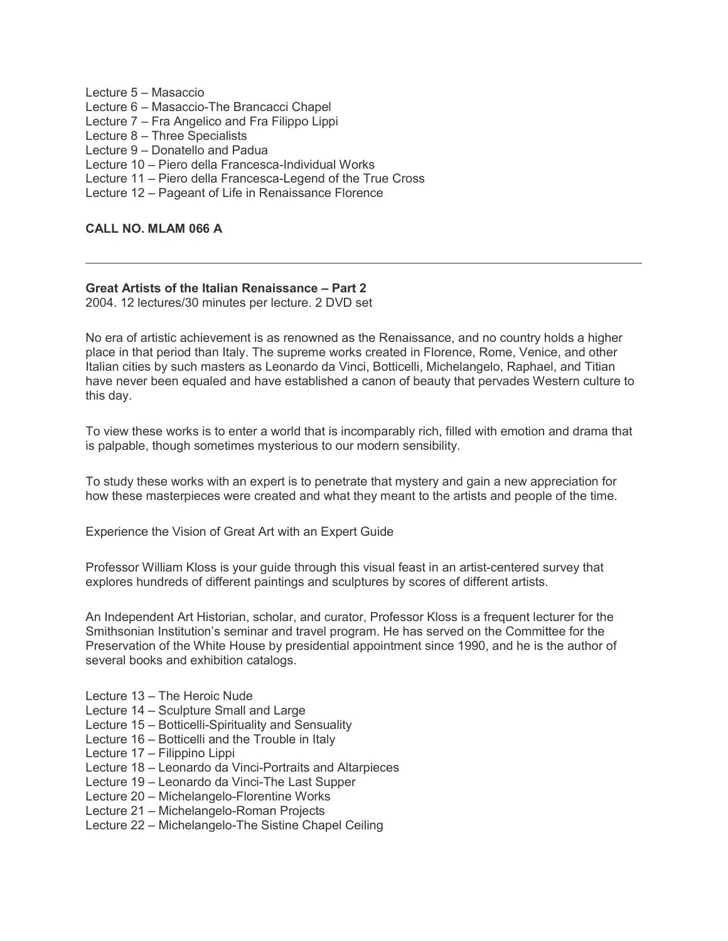Lecture 5 – Masaccio Lecture 6 – Masaccio-The Brancacci Chapel Lecture 7 – Fra Angelico and Fra Filippo Lippi Lecture 8 – Three Specialists Lecture 9 – Donatello and Padua Lecture 10 – Piero della Francesca-Individual Works Lecture 11 – Piero della Francesca-Legend of the True Cross Lecture 12 – Pageant of Life in Renaissance Florence

# **CALL NO. MLAM 066 A**

# **Great Artists of the Italian Renaissance – Part 2**

2004. 12 lectures/30 minutes per lecture. 2 DVD set

No era of artistic achievement is as renowned as the Renaissance, and no country holds a higher place in that period than Italy. The supreme works created in Florence, Rome, Venice, and other Italian cities by such masters as Leonardo da Vinci, Botticelli, Michelangelo, Raphael, and Titian have never been equaled and have established a canon of beauty that pervades Western culture to this day.

To view these works is to enter a world that is incomparably rich, filled with emotion and drama that is palpable, though sometimes mysterious to our modern sensibility.

To study these works with an expert is to penetrate that mystery and gain a new appreciation for how these masterpieces were created and what they meant to the artists and people of the time.

Experience the Vision of Great Art with an Expert Guide

Professor William Kloss is your guide through this visual feast in an artist-centered survey that explores hundreds of different paintings and sculptures by scores of different artists.

An Independent Art Historian, scholar, and curator, Professor Kloss is a frequent lecturer for the Smithsonian Institution's seminar and travel program. He has served on the Committee for the Preservation of the White House by presidential appointment since 1990, and he is the author of several books and exhibition catalogs.

- Lecture 13 The Heroic Nude
- Lecture 14 Sculpture Small and Large
- Lecture 15 Botticelli-Spirituality and Sensuality
- Lecture 16 Botticelli and the Trouble in Italy
- Lecture 17 Filippino Lippi
- Lecture 18 Leonardo da Vinci-Portraits and Altarpieces
- Lecture 19 Leonardo da Vinci-The Last Supper
- Lecture 20 Michelangelo-Florentine Works
- Lecture 21 Michelangelo-Roman Projects
- Lecture 22 Michelangelo-The Sistine Chapel Ceiling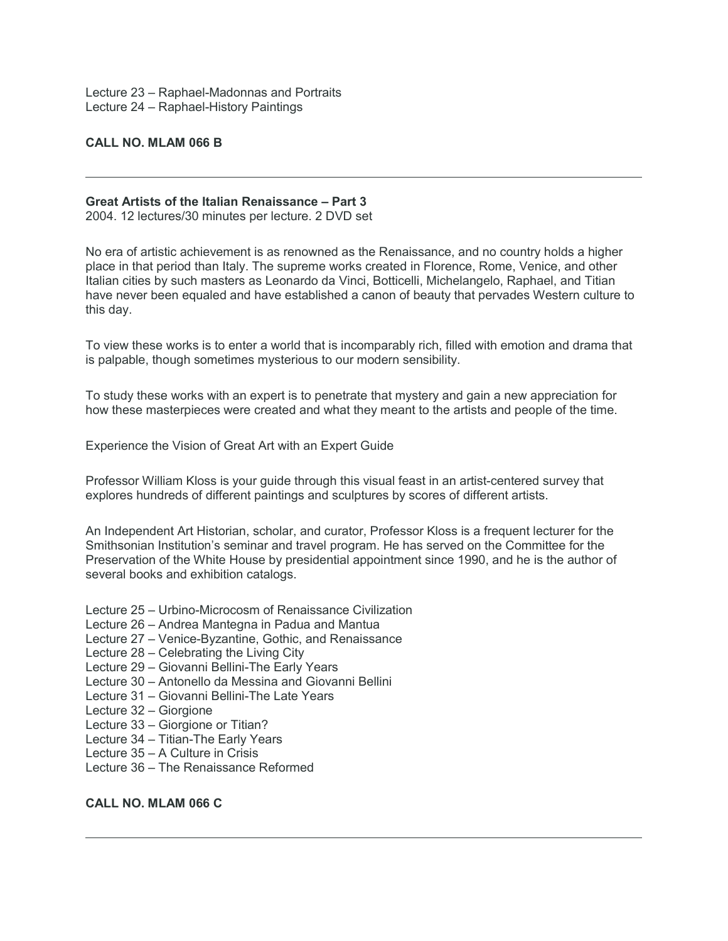Lecture 23 – Raphael-Madonnas and Portraits Lecture 24 – Raphael-History Paintings

#### **CALL NO. MLAM 066 B**

#### **Great Artists of the Italian Renaissance – Part 3**

2004. 12 lectures/30 minutes per lecture. 2 DVD set

No era of artistic achievement is as renowned as the Renaissance, and no country holds a higher place in that period than Italy. The supreme works created in Florence, Rome, Venice, and other Italian cities by such masters as Leonardo da Vinci, Botticelli, Michelangelo, Raphael, and Titian have never been equaled and have established a canon of beauty that pervades Western culture to this day.

To view these works is to enter a world that is incomparably rich, filled with emotion and drama that is palpable, though sometimes mysterious to our modern sensibility.

To study these works with an expert is to penetrate that mystery and gain a new appreciation for how these masterpieces were created and what they meant to the artists and people of the time.

Experience the Vision of Great Art with an Expert Guide

Professor William Kloss is your guide through this visual feast in an artist-centered survey that explores hundreds of different paintings and sculptures by scores of different artists.

An Independent Art Historian, scholar, and curator, Professor Kloss is a frequent lecturer for the Smithsonian Institution's seminar and travel program. He has served on the Committee for the Preservation of the White House by presidential appointment since 1990, and he is the author of several books and exhibition catalogs.

- Lecture 25 Urbino-Microcosm of Renaissance Civilization
- Lecture 26 Andrea Mantegna in Padua and Mantua
- Lecture 27 Venice-Byzantine, Gothic, and Renaissance
- Lecture 28 Celebrating the Living City
- Lecture 29 Giovanni Bellini-The Early Years
- Lecture 30 Antonello da Messina and Giovanni Bellini
- Lecture 31 Giovanni Bellini-The Late Years
- Lecture 32 Giorgione
- Lecture 33 Giorgione or Titian?
- Lecture 34 Titian-The Early Years
- Lecture 35 A Culture in Crisis
- Lecture 36 The Renaissance Reformed

# **CALL NO. MLAM 066 C**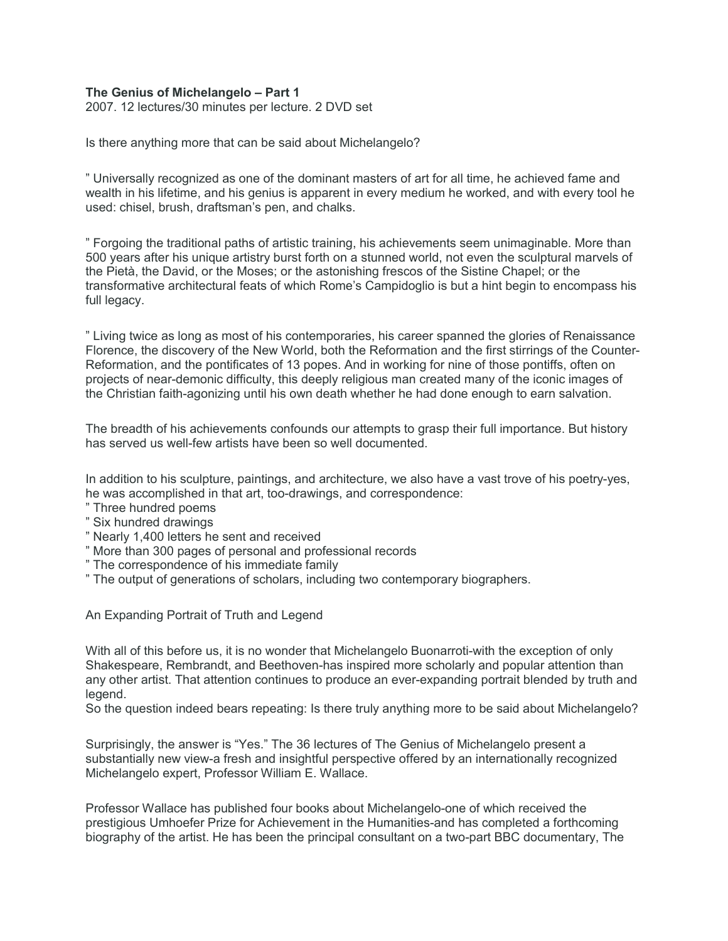# **The Genius of Michelangelo – Part 1**

2007. 12 lectures/30 minutes per lecture. 2 DVD set

Is there anything more that can be said about Michelangelo?

" Universally recognized as one of the dominant masters of art for all time, he achieved fame and wealth in his lifetime, and his genius is apparent in every medium he worked, and with every tool he used: chisel, brush, draftsman's pen, and chalks.

" Forgoing the traditional paths of artistic training, his achievements seem unimaginable. More than 500 years after his unique artistry burst forth on a stunned world, not even the sculptural marvels of the Pietà, the David, or the Moses; or the astonishing frescos of the Sistine Chapel; or the transformative architectural feats of which Rome's Campidoglio is but a hint begin to encompass his full legacy.

" Living twice as long as most of his contemporaries, his career spanned the glories of Renaissance Florence, the discovery of the New World, both the Reformation and the first stirrings of the Counter-Reformation, and the pontificates of 13 popes. And in working for nine of those pontiffs, often on projects of near-demonic difficulty, this deeply religious man created many of the iconic images of the Christian faith-agonizing until his own death whether he had done enough to earn salvation.

The breadth of his achievements confounds our attempts to grasp their full importance. But history has served us well-few artists have been so well documented.

In addition to his sculpture, paintings, and architecture, we also have a vast trove of his poetry-yes, he was accomplished in that art, too-drawings, and correspondence:

- " Three hundred poems
- " Six hundred drawings
- " Nearly 1,400 letters he sent and received
- " More than 300 pages of personal and professional records
- " The correspondence of his immediate family
- " The output of generations of scholars, including two contemporary biographers.

An Expanding Portrait of Truth and Legend

With all of this before us, it is no wonder that Michelangelo Buonarroti-with the exception of only Shakespeare, Rembrandt, and Beethoven-has inspired more scholarly and popular attention than any other artist. That attention continues to produce an ever-expanding portrait blended by truth and legend.

So the question indeed bears repeating: Is there truly anything more to be said about Michelangelo?

Surprisingly, the answer is "Yes." The 36 lectures of The Genius of Michelangelo present a substantially new view-a fresh and insightful perspective offered by an internationally recognized Michelangelo expert, Professor William E. Wallace.

Professor Wallace has published four books about Michelangelo-one of which received the prestigious Umhoefer Prize for Achievement in the Humanities-and has completed a forthcoming biography of the artist. He has been the principal consultant on a two-part BBC documentary, The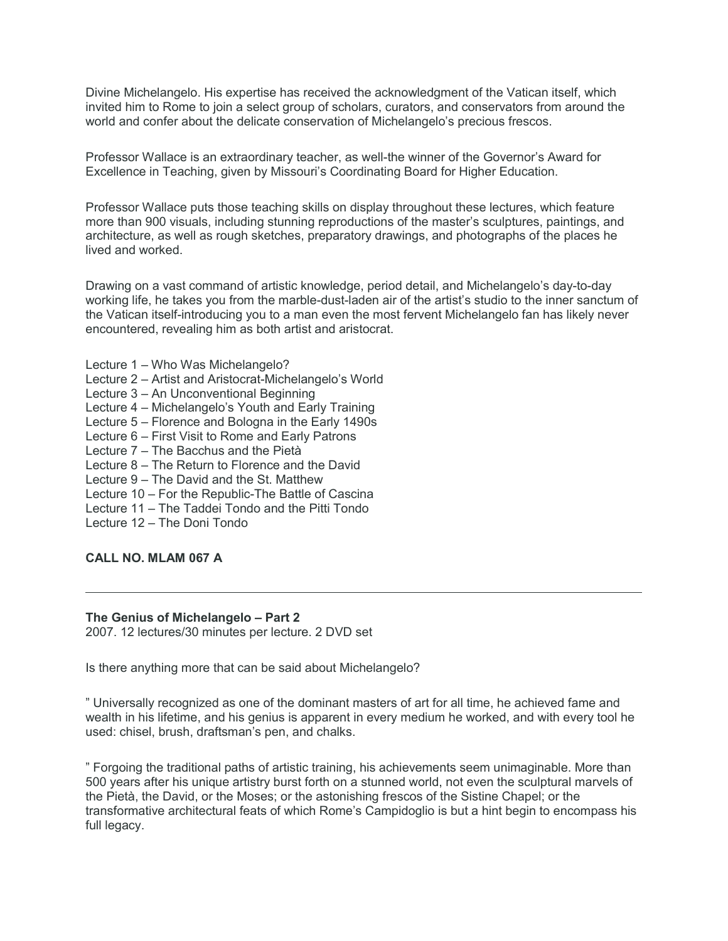Divine Michelangelo. His expertise has received the acknowledgment of the Vatican itself, which invited him to Rome to join a select group of scholars, curators, and conservators from around the world and confer about the delicate conservation of Michelangelo's precious frescos.

Professor Wallace is an extraordinary teacher, as well-the winner of the Governor's Award for Excellence in Teaching, given by Missouri's Coordinating Board for Higher Education.

Professor Wallace puts those teaching skills on display throughout these lectures, which feature more than 900 visuals, including stunning reproductions of the master's sculptures, paintings, and architecture, as well as rough sketches, preparatory drawings, and photographs of the places he lived and worked.

Drawing on a vast command of artistic knowledge, period detail, and Michelangelo's day-to-day working life, he takes you from the marble-dust-laden air of the artist's studio to the inner sanctum of the Vatican itself-introducing you to a man even the most fervent Michelangelo fan has likely never encountered, revealing him as both artist and aristocrat.

- Lecture 1 Who Was Michelangelo?
- Lecture 2 Artist and Aristocrat-Michelangelo's World
- Lecture 3 An Unconventional Beginning
- Lecture 4 Michelangelo's Youth and Early Training
- Lecture 5 Florence and Bologna in the Early 1490s
- Lecture 6 First Visit to Rome and Early Patrons
- Lecture 7 The Bacchus and the Pietà
- Lecture 8 The Return to Florence and the David
- Lecture 9 The David and the St. Matthew
- Lecture 10 For the Republic-The Battle of Cascina
- Lecture 11 The Taddei Tondo and the Pitti Tondo
- Lecture 12 The Doni Tondo

# **CALL NO. MLAM 067 A**

#### **The Genius of Michelangelo – Part 2**

2007. 12 lectures/30 minutes per lecture. 2 DVD set

Is there anything more that can be said about Michelangelo?

" Universally recognized as one of the dominant masters of art for all time, he achieved fame and wealth in his lifetime, and his genius is apparent in every medium he worked, and with every tool he used: chisel, brush, draftsman's pen, and chalks.

" Forgoing the traditional paths of artistic training, his achievements seem unimaginable. More than 500 years after his unique artistry burst forth on a stunned world, not even the sculptural marvels of the Pietà, the David, or the Moses; or the astonishing frescos of the Sistine Chapel; or the transformative architectural feats of which Rome's Campidoglio is but a hint begin to encompass his full legacy.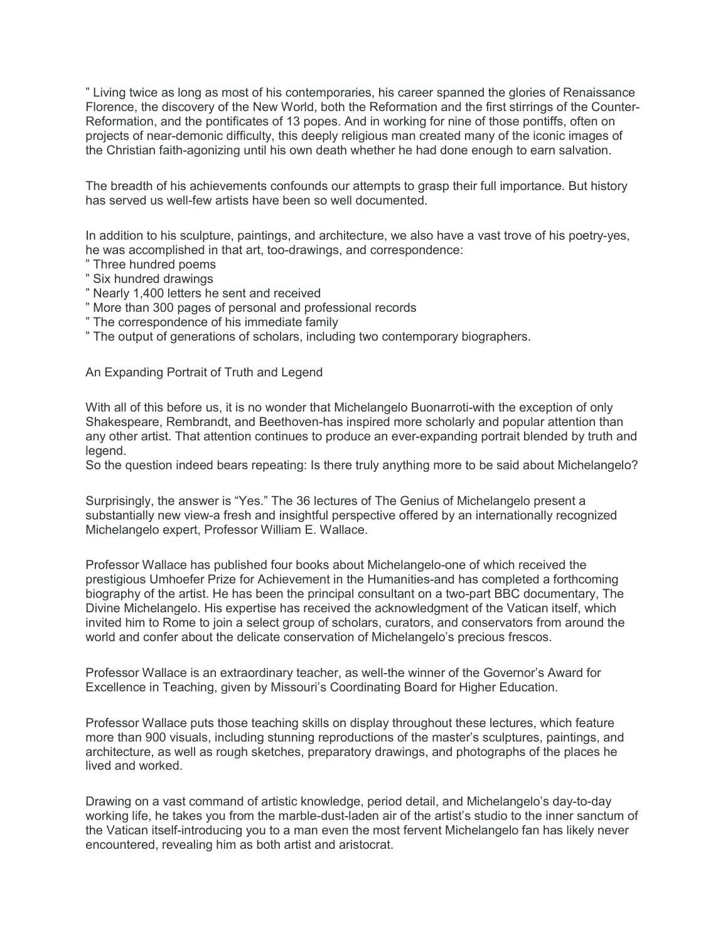" Living twice as long as most of his contemporaries, his career spanned the glories of Renaissance Florence, the discovery of the New World, both the Reformation and the first stirrings of the Counter-Reformation, and the pontificates of 13 popes. And in working for nine of those pontiffs, often on projects of near-demonic difficulty, this deeply religious man created many of the iconic images of the Christian faith-agonizing until his own death whether he had done enough to earn salvation.

The breadth of his achievements confounds our attempts to grasp their full importance. But history has served us well-few artists have been so well documented.

In addition to his sculpture, paintings, and architecture, we also have a vast trove of his poetry-yes, he was accomplished in that art, too-drawings, and correspondence:

- " Three hundred poems
- " Six hundred drawings
- " Nearly 1,400 letters he sent and received
- " More than 300 pages of personal and professional records
- " The correspondence of his immediate family
- " The output of generations of scholars, including two contemporary biographers.

An Expanding Portrait of Truth and Legend

With all of this before us, it is no wonder that Michelangelo Buonarroti-with the exception of only Shakespeare, Rembrandt, and Beethoven-has inspired more scholarly and popular attention than any other artist. That attention continues to produce an ever-expanding portrait blended by truth and legend.

So the question indeed bears repeating: Is there truly anything more to be said about Michelangelo?

Surprisingly, the answer is "Yes." The 36 lectures of The Genius of Michelangelo present a substantially new view-a fresh and insightful perspective offered by an internationally recognized Michelangelo expert, Professor William E. Wallace.

Professor Wallace has published four books about Michelangelo-one of which received the prestigious Umhoefer Prize for Achievement in the Humanities-and has completed a forthcoming biography of the artist. He has been the principal consultant on a two-part BBC documentary, The Divine Michelangelo. His expertise has received the acknowledgment of the Vatican itself, which invited him to Rome to join a select group of scholars, curators, and conservators from around the world and confer about the delicate conservation of Michelangelo's precious frescos.

Professor Wallace is an extraordinary teacher, as well-the winner of the Governor's Award for Excellence in Teaching, given by Missouri's Coordinating Board for Higher Education.

Professor Wallace puts those teaching skills on display throughout these lectures, which feature more than 900 visuals, including stunning reproductions of the master's sculptures, paintings, and architecture, as well as rough sketches, preparatory drawings, and photographs of the places he lived and worked.

Drawing on a vast command of artistic knowledge, period detail, and Michelangelo's day-to-day working life, he takes you from the marble-dust-laden air of the artist's studio to the inner sanctum of the Vatican itself-introducing you to a man even the most fervent Michelangelo fan has likely never encountered, revealing him as both artist and aristocrat.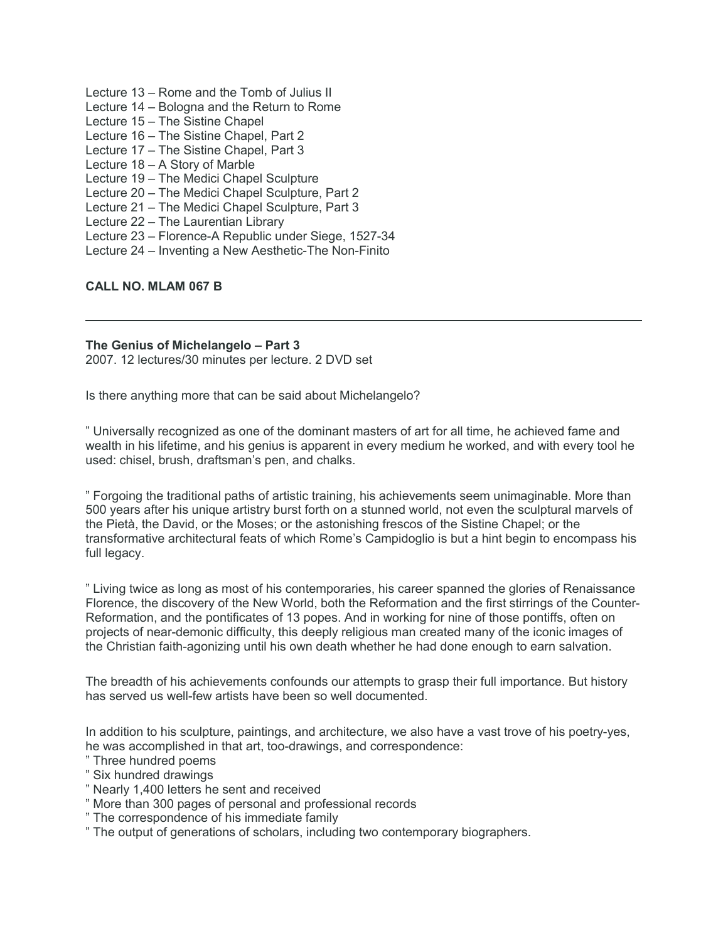- Lecture 13 Rome and the Tomb of Julius II
- Lecture 14 Bologna and the Return to Rome
- Lecture 15 The Sistine Chapel
- Lecture 16 The Sistine Chapel, Part 2
- Lecture 17 The Sistine Chapel, Part 3
- Lecture 18 A Story of Marble
- Lecture 19 The Medici Chapel Sculpture
- Lecture 20 The Medici Chapel Sculpture, Part 2
- Lecture 21 The Medici Chapel Sculpture, Part 3
- Lecture 22 The Laurentian Library
- Lecture 23 Florence-A Republic under Siege, 1527-34
- Lecture 24 Inventing a New Aesthetic-The Non-Finito

# **CALL NO. MLAM 067 B**

# **The Genius of Michelangelo – Part 3**

2007. 12 lectures/30 minutes per lecture. 2 DVD set

Is there anything more that can be said about Michelangelo?

" Universally recognized as one of the dominant masters of art for all time, he achieved fame and wealth in his lifetime, and his genius is apparent in every medium he worked, and with every tool he used: chisel, brush, draftsman's pen, and chalks.

" Forgoing the traditional paths of artistic training, his achievements seem unimaginable. More than 500 years after his unique artistry burst forth on a stunned world, not even the sculptural marvels of the Pietà, the David, or the Moses; or the astonishing frescos of the Sistine Chapel; or the transformative architectural feats of which Rome's Campidoglio is but a hint begin to encompass his full legacy.

" Living twice as long as most of his contemporaries, his career spanned the glories of Renaissance Florence, the discovery of the New World, both the Reformation and the first stirrings of the Counter-Reformation, and the pontificates of 13 popes. And in working for nine of those pontiffs, often on projects of near-demonic difficulty, this deeply religious man created many of the iconic images of the Christian faith-agonizing until his own death whether he had done enough to earn salvation.

The breadth of his achievements confounds our attempts to grasp their full importance. But history has served us well-few artists have been so well documented.

In addition to his sculpture, paintings, and architecture, we also have a vast trove of his poetry-yes, he was accomplished in that art, too-drawings, and correspondence:

- " Three hundred poems
- " Six hundred drawings
- " Nearly 1,400 letters he sent and received
- " More than 300 pages of personal and professional records
- " The correspondence of his immediate family
- " The output of generations of scholars, including two contemporary biographers.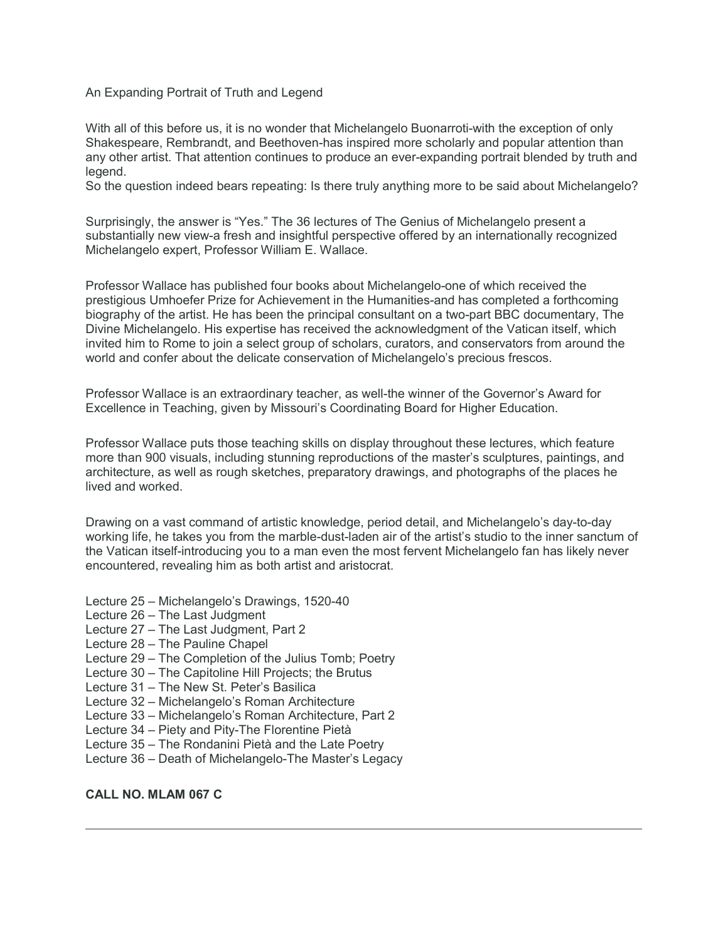An Expanding Portrait of Truth and Legend

With all of this before us, it is no wonder that Michelangelo Buonarroti-with the exception of only Shakespeare, Rembrandt, and Beethoven-has inspired more scholarly and popular attention than any other artist. That attention continues to produce an ever-expanding portrait blended by truth and legend.

So the question indeed bears repeating: Is there truly anything more to be said about Michelangelo?

Surprisingly, the answer is "Yes." The 36 lectures of The Genius of Michelangelo present a substantially new view-a fresh and insightful perspective offered by an internationally recognized Michelangelo expert, Professor William E. Wallace.

Professor Wallace has published four books about Michelangelo-one of which received the prestigious Umhoefer Prize for Achievement in the Humanities-and has completed a forthcoming biography of the artist. He has been the principal consultant on a two-part BBC documentary, The Divine Michelangelo. His expertise has received the acknowledgment of the Vatican itself, which invited him to Rome to join a select group of scholars, curators, and conservators from around the world and confer about the delicate conservation of Michelangelo's precious frescos.

Professor Wallace is an extraordinary teacher, as well-the winner of the Governor's Award for Excellence in Teaching, given by Missouri's Coordinating Board for Higher Education.

Professor Wallace puts those teaching skills on display throughout these lectures, which feature more than 900 visuals, including stunning reproductions of the master's sculptures, paintings, and architecture, as well as rough sketches, preparatory drawings, and photographs of the places he lived and worked.

Drawing on a vast command of artistic knowledge, period detail, and Michelangelo's day-to-day working life, he takes you from the marble-dust-laden air of the artist's studio to the inner sanctum of the Vatican itself-introducing you to a man even the most fervent Michelangelo fan has likely never encountered, revealing him as both artist and aristocrat.

- Lecture 25 Michelangelo's Drawings, 1520-40
- Lecture 26 The Last Judgment
- Lecture 27 The Last Judgment, Part 2
- Lecture 28 The Pauline Chapel
- Lecture 29 The Completion of the Julius Tomb; Poetry
- Lecture 30 The Capitoline Hill Projects; the Brutus
- Lecture 31 The New St. Peter's Basilica
- Lecture 32 Michelangelo's Roman Architecture
- Lecture 33 Michelangelo's Roman Architecture, Part 2
- Lecture 34 Piety and Pity-The Florentine Pietà
- Lecture 35 The Rondanini Pietà and the Late Poetry
- Lecture 36 Death of Michelangelo-The Master's Legacy

#### **CALL NO. MLAM 067 C**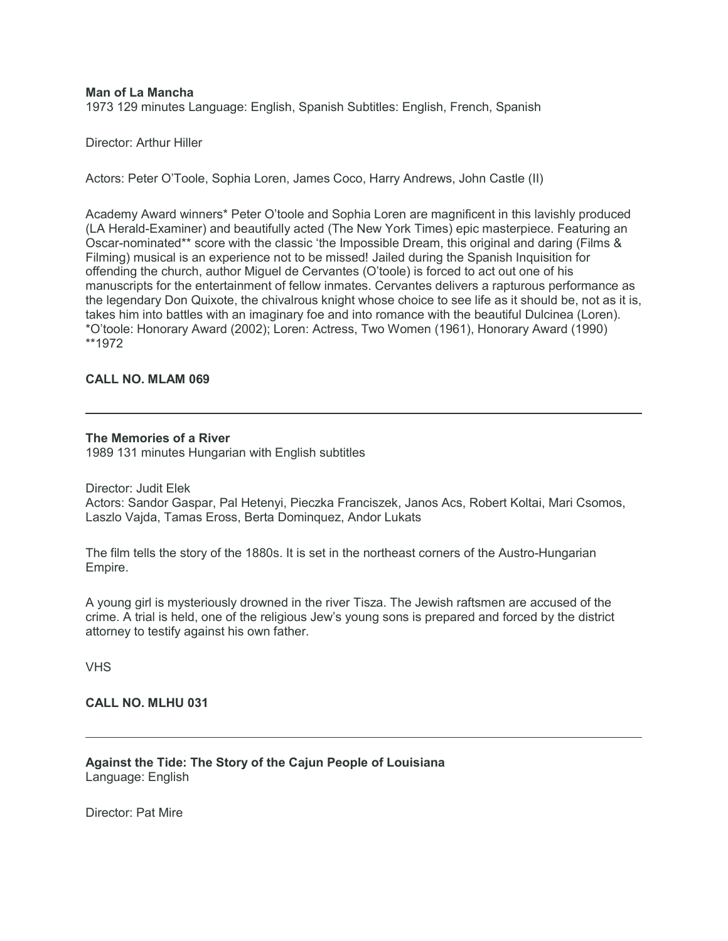#### **Man of La Mancha**

1973 129 minutes Language: English, Spanish Subtitles: English, French, Spanish

Director: Arthur Hiller

Actors: Peter O'Toole, Sophia Loren, James Coco, Harry Andrews, John Castle (II)

Academy Award winners\* Peter O'toole and Sophia Loren are magnificent in this lavishly produced (LA Herald-Examiner) and beautifully acted (The New York Times) epic masterpiece. Featuring an Oscar-nominated\*\* score with the classic 'the Impossible Dream, this original and daring (Films & Filming) musical is an experience not to be missed! Jailed during the Spanish Inquisition for offending the church, author Miguel de Cervantes (O'toole) is forced to act out one of his manuscripts for the entertainment of fellow inmates. Cervantes delivers a rapturous performance as the legendary Don Quixote, the chivalrous knight whose choice to see life as it should be, not as it is, takes him into battles with an imaginary foe and into romance with the beautiful Dulcinea (Loren). \*O'toole: Honorary Award (2002); Loren: Actress, Two Women (1961), Honorary Award (1990) \*\*1972

# **CALL NO. MLAM 069**

#### **The Memories of a River**

1989 131 minutes Hungarian with English subtitles

Director: Judit Elek

Actors: Sandor Gaspar, Pal Hetenyi, Pieczka Franciszek, Janos Acs, Robert Koltai, Mari Csomos, Laszlo Vajda, Tamas Eross, Berta Dominquez, Andor Lukats

The film tells the story of the 1880s. It is set in the northeast corners of the Austro-Hungarian Empire.

A young girl is mysteriously drowned in the river Tisza. The Jewish raftsmen are accused of the crime. A trial is held, one of the religious Jew's young sons is prepared and forced by the district attorney to testify against his own father.

VHS

#### **CALL NO. MLHU 031**

**Against the Tide: The Story of the Cajun People of Louisiana** Language: English

Director: Pat Mire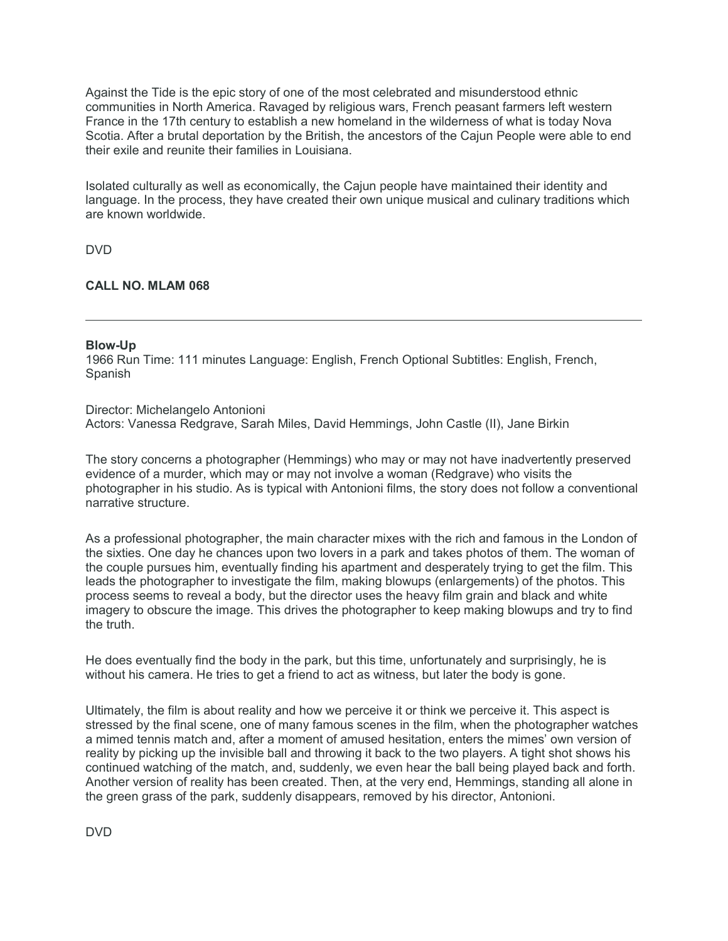Against the Tide is the epic story of one of the most celebrated and misunderstood ethnic communities in North America. Ravaged by religious wars, French peasant farmers left western France in the 17th century to establish a new homeland in the wilderness of what is today Nova Scotia. After a brutal deportation by the British, the ancestors of the Cajun People were able to end their exile and reunite their families in Louisiana.

Isolated culturally as well as economically, the Cajun people have maintained their identity and language. In the process, they have created their own unique musical and culinary traditions which are known worldwide.

DVD

# **CALL NO. MLAM 068**

#### **Blow-Up**

1966 Run Time: 111 minutes Language: English, French Optional Subtitles: English, French, Spanish

Director: Michelangelo Antonioni Actors: Vanessa Redgrave, Sarah Miles, David Hemmings, John Castle (II), Jane Birkin

The story concerns a photographer (Hemmings) who may or may not have inadvertently preserved evidence of a murder, which may or may not involve a woman (Redgrave) who visits the photographer in his studio. As is typical with Antonioni films, the story does not follow a conventional narrative structure.

As a professional photographer, the main character mixes with the rich and famous in the London of the sixties. One day he chances upon two lovers in a park and takes photos of them. The woman of the couple pursues him, eventually finding his apartment and desperately trying to get the film. This leads the photographer to investigate the film, making blowups (enlargements) of the photos. This process seems to reveal a body, but the director uses the heavy film grain and black and white imagery to obscure the image. This drives the photographer to keep making blowups and try to find the truth.

He does eventually find the body in the park, but this time, unfortunately and surprisingly, he is without his camera. He tries to get a friend to act as witness, but later the body is gone.

Ultimately, the film is about reality and how we perceive it or think we perceive it. This aspect is stressed by the final scene, one of many famous scenes in the film, when the photographer watches a mimed tennis match and, after a moment of amused hesitation, enters the mimes' own version of reality by picking up the invisible ball and throwing it back to the two players. A tight shot shows his continued watching of the match, and, suddenly, we even hear the ball being played back and forth. Another version of reality has been created. Then, at the very end, Hemmings, standing all alone in the green grass of the park, suddenly disappears, removed by his director, Antonioni.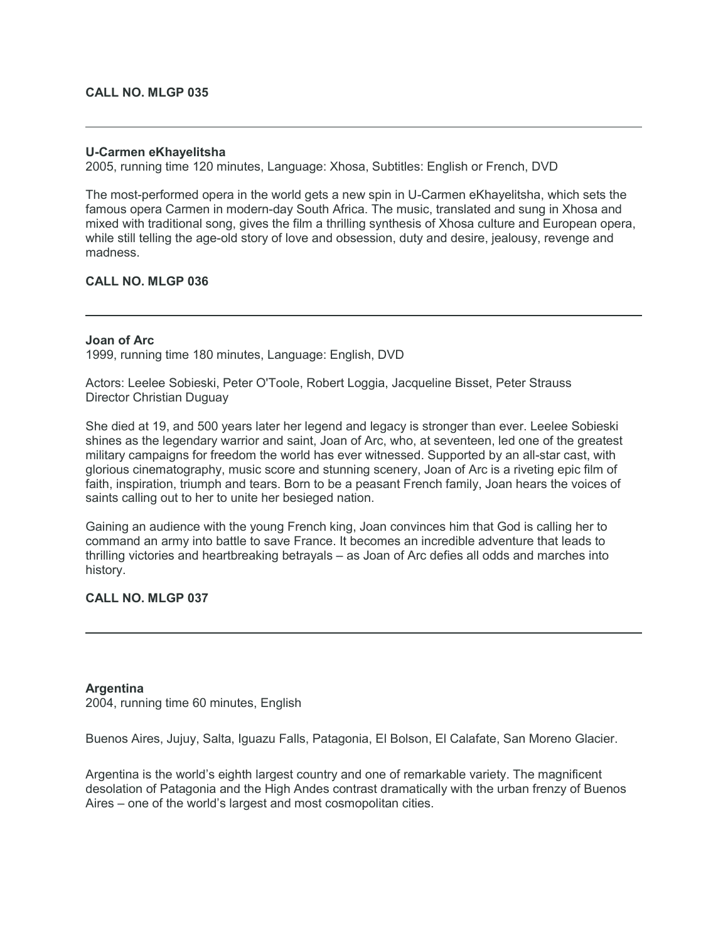#### **CALL NO. MLGP 035**

# **U-Carmen eKhayelitsha**

2005, running time 120 minutes, Language: Xhosa, Subtitles: English or French, DVD

The most-performed opera in the world gets a new spin in U-Carmen eKhayelitsha, which sets the famous opera Carmen in modern-day South Africa. The music, translated and sung in Xhosa and mixed with traditional song, gives the film a thrilling synthesis of Xhosa culture and European opera, while still telling the age-old story of love and obsession, duty and desire, jealousy, revenge and madness.

# **CALL NO. MLGP 036**

# **Joan of Arc**

1999, running time 180 minutes, Language: English, DVD

Actors: Leelee Sobieski, Peter O'Toole, Robert Loggia, Jacqueline Bisset, Peter Strauss Director Christian Duguay

She died at 19, and 500 years later her legend and legacy is stronger than ever. Leelee Sobieski shines as the legendary warrior and saint, Joan of Arc, who, at seventeen, led one of the greatest military campaigns for freedom the world has ever witnessed. Supported by an all-star cast, with glorious cinematography, music score and stunning scenery, Joan of Arc is a riveting epic film of faith, inspiration, triumph and tears. Born to be a peasant French family, Joan hears the voices of saints calling out to her to unite her besieged nation.

Gaining an audience with the young French king, Joan convinces him that God is calling her to command an army into battle to save France. It becomes an incredible adventure that leads to thrilling victories and heartbreaking betrayals – as Joan of Arc defies all odds and marches into history.

# **CALL NO. MLGP 037**

#### **Argentina**

2004, running time 60 minutes, English

Buenos Aires, Jujuy, Salta, Iguazu Falls, Patagonia, El Bolson, El Calafate, San Moreno Glacier.

Argentina is the world's eighth largest country and one of remarkable variety. The magnificent desolation of Patagonia and the High Andes contrast dramatically with the urban frenzy of Buenos Aires – one of the world's largest and most cosmopolitan cities.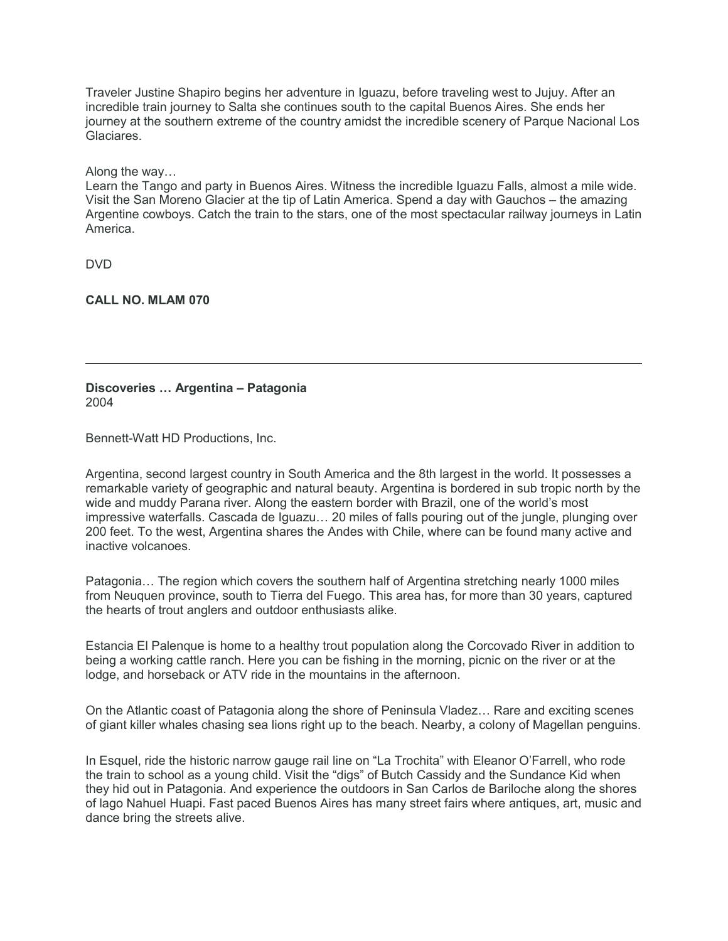Traveler Justine Shapiro begins her adventure in Iguazu, before traveling west to Jujuy. After an incredible train journey to Salta she continues south to the capital Buenos Aires. She ends her journey at the southern extreme of the country amidst the incredible scenery of Parque Nacional Los Glaciares.

Along the way…

Learn the Tango and party in Buenos Aires. Witness the incredible Iguazu Falls, almost a mile wide. Visit the San Moreno Glacier at the tip of Latin America. Spend a day with Gauchos – the amazing Argentine cowboys. Catch the train to the stars, one of the most spectacular railway journeys in Latin America.

DVD

**CALL NO. MLAM 070**

# **Discoveries … Argentina – Patagonia** 2004

Bennett-Watt HD Productions, Inc.

Argentina, second largest country in South America and the 8th largest in the world. It possesses a remarkable variety of geographic and natural beauty. Argentina is bordered in sub tropic north by the wide and muddy Parana river. Along the eastern border with Brazil, one of the world's most impressive waterfalls. Cascada de Iguazu… 20 miles of falls pouring out of the jungle, plunging over 200 feet. To the west, Argentina shares the Andes with Chile, where can be found many active and inactive volcanoes.

Patagonia… The region which covers the southern half of Argentina stretching nearly 1000 miles from Neuquen province, south to Tierra del Fuego. This area has, for more than 30 years, captured the hearts of trout anglers and outdoor enthusiasts alike.

Estancia El Palenque is home to a healthy trout population along the Corcovado River in addition to being a working cattle ranch. Here you can be fishing in the morning, picnic on the river or at the lodge, and horseback or ATV ride in the mountains in the afternoon.

On the Atlantic coast of Patagonia along the shore of Peninsula Vladez… Rare and exciting scenes of giant killer whales chasing sea lions right up to the beach. Nearby, a colony of Magellan penguins.

In Esquel, ride the historic narrow gauge rail line on "La Trochita" with Eleanor O'Farrell, who rode the train to school as a young child. Visit the "digs" of Butch Cassidy and the Sundance Kid when they hid out in Patagonia. And experience the outdoors in San Carlos de Bariloche along the shores of lago Nahuel Huapi. Fast paced Buenos Aires has many street fairs where antiques, art, music and dance bring the streets alive.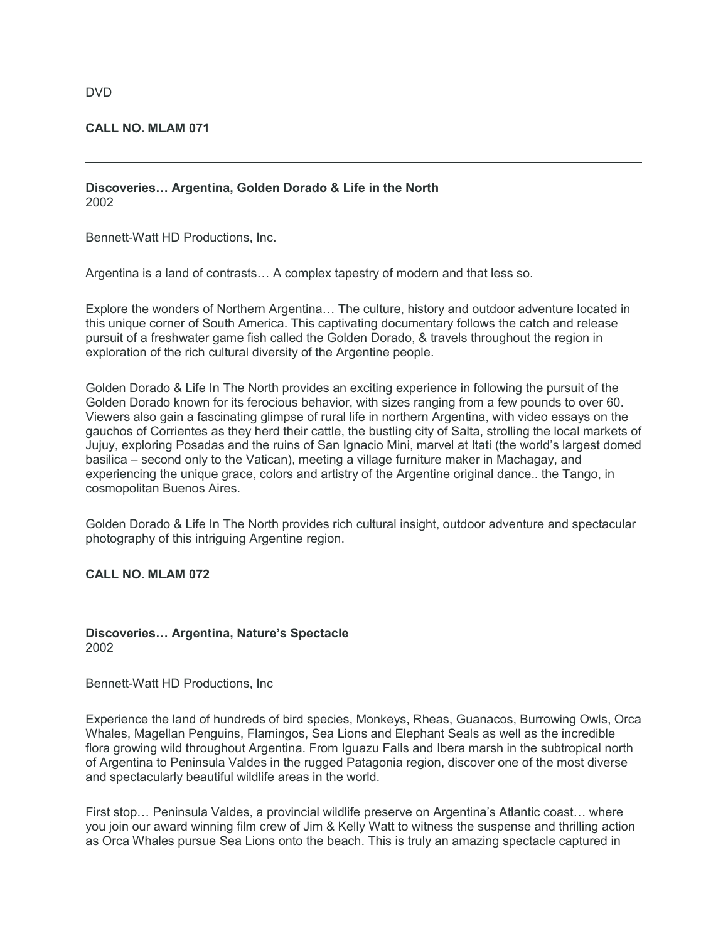#### DVD

#### **CALL NO. MLAM 071**

# **Discoveries… Argentina, Golden Dorado & Life in the North** 2002

Bennett-Watt HD Productions, Inc.

Argentina is a land of contrasts… A complex tapestry of modern and that less so.

Explore the wonders of Northern Argentina… The culture, history and outdoor adventure located in this unique corner of South America. This captivating documentary follows the catch and release pursuit of a freshwater game fish called the Golden Dorado, & travels throughout the region in exploration of the rich cultural diversity of the Argentine people.

Golden Dorado & Life In The North provides an exciting experience in following the pursuit of the Golden Dorado known for its ferocious behavior, with sizes ranging from a few pounds to over 60. Viewers also gain a fascinating glimpse of rural life in northern Argentina, with video essays on the gauchos of Corrientes as they herd their cattle, the bustling city of Salta, strolling the local markets of Jujuy, exploring Posadas and the ruins of San Ignacio Mini, marvel at Itati (the world's largest domed basilica – second only to the Vatican), meeting a village furniture maker in Machagay, and experiencing the unique grace, colors and artistry of the Argentine original dance.. the Tango, in cosmopolitan Buenos Aires.

Golden Dorado & Life In The North provides rich cultural insight, outdoor adventure and spectacular photography of this intriguing Argentine region.

#### **CALL NO. MLAM 072**

**Discoveries… Argentina, Nature's Spectacle** 2002

Bennett-Watt HD Productions, Inc

Experience the land of hundreds of bird species, Monkeys, Rheas, Guanacos, Burrowing Owls, Orca Whales, Magellan Penguins, Flamingos, Sea Lions and Elephant Seals as well as the incredible flora growing wild throughout Argentina. From Iguazu Falls and Ibera marsh in the subtropical north of Argentina to Peninsula Valdes in the rugged Patagonia region, discover one of the most diverse and spectacularly beautiful wildlife areas in the world.

First stop… Peninsula Valdes, a provincial wildlife preserve on Argentina's Atlantic coast… where you join our award winning film crew of Jim & Kelly Watt to witness the suspense and thrilling action as Orca Whales pursue Sea Lions onto the beach. This is truly an amazing spectacle captured in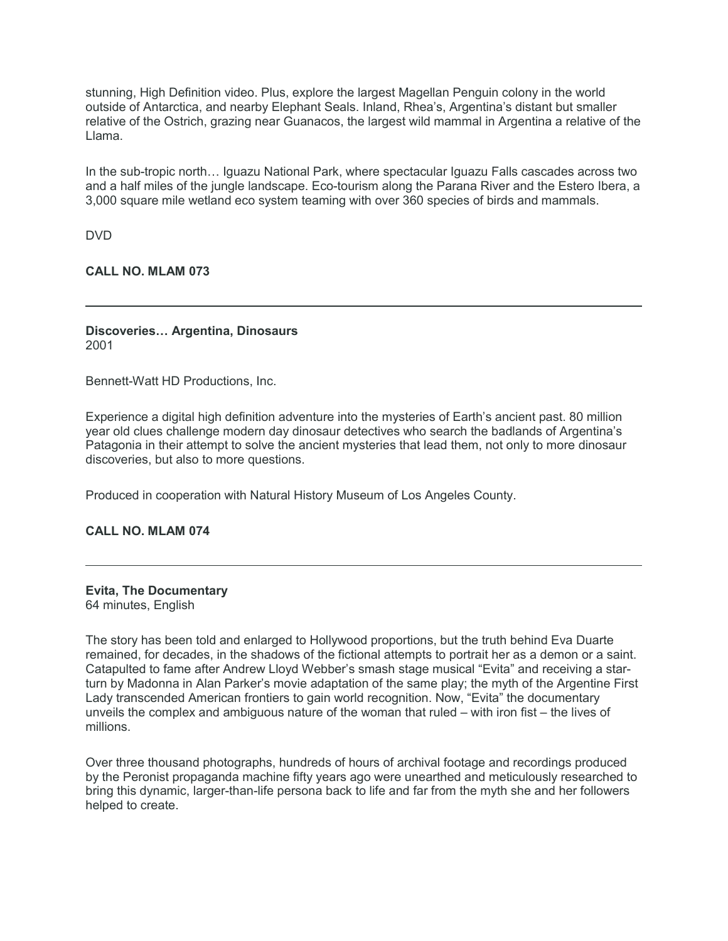stunning, High Definition video. Plus, explore the largest Magellan Penguin colony in the world outside of Antarctica, and nearby Elephant Seals. Inland, Rhea's, Argentina's distant but smaller relative of the Ostrich, grazing near Guanacos, the largest wild mammal in Argentina a relative of the Llama.

In the sub-tropic north… Iguazu National Park, where spectacular Iguazu Falls cascades across two and a half miles of the jungle landscape. Eco-tourism along the Parana River and the Estero Ibera, a 3,000 square mile wetland eco system teaming with over 360 species of birds and mammals.

DVD

# **CALL NO. MLAM 073**

# **Discoveries… Argentina, Dinosaurs** 2001

Bennett-Watt HD Productions, Inc.

Experience a digital high definition adventure into the mysteries of Earth's ancient past. 80 million year old clues challenge modern day dinosaur detectives who search the badlands of Argentina's Patagonia in their attempt to solve the ancient mysteries that lead them, not only to more dinosaur discoveries, but also to more questions.

Produced in cooperation with Natural History Museum of Los Angeles County.

#### **CALL NO. MLAM 074**

# **Evita, The Documentary**

64 minutes, English

The story has been told and enlarged to Hollywood proportions, but the truth behind Eva Duarte remained, for decades, in the shadows of the fictional attempts to portrait her as a demon or a saint. Catapulted to fame after Andrew Lloyd Webber's smash stage musical "Evita" and receiving a starturn by Madonna in Alan Parker's movie adaptation of the same play; the myth of the Argentine First Lady transcended American frontiers to gain world recognition. Now, "Evita" the documentary unveils the complex and ambiguous nature of the woman that ruled – with iron fist – the lives of millions.

Over three thousand photographs, hundreds of hours of archival footage and recordings produced by the Peronist propaganda machine fifty years ago were unearthed and meticulously researched to bring this dynamic, larger-than-life persona back to life and far from the myth she and her followers helped to create.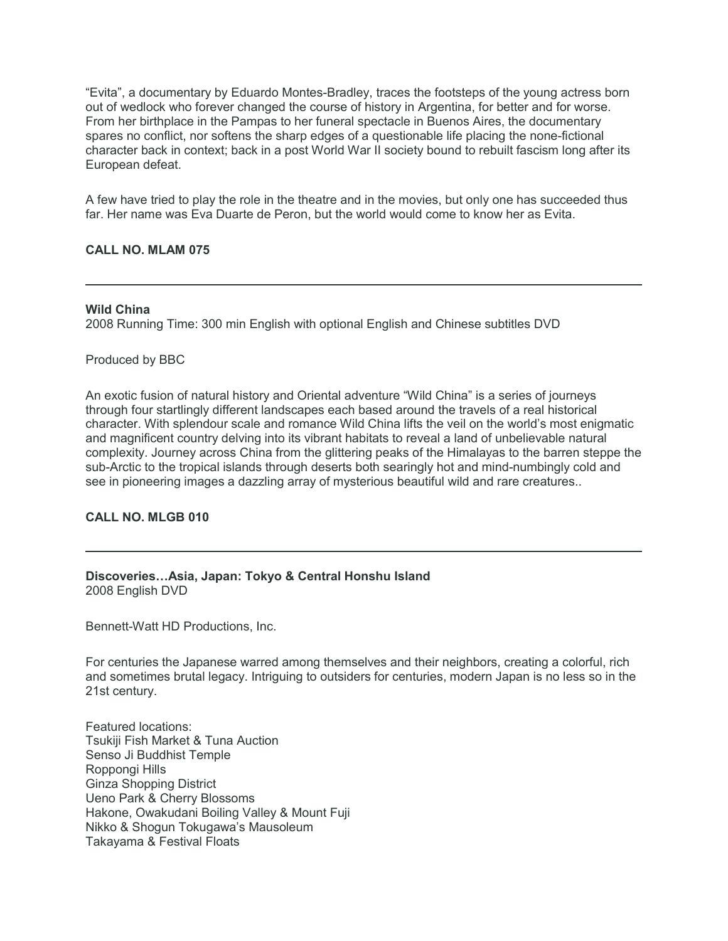"Evita", a documentary by Eduardo Montes-Bradley, traces the footsteps of the young actress born out of wedlock who forever changed the course of history in Argentina, for better and for worse. From her birthplace in the Pampas to her funeral spectacle in Buenos Aires, the documentary spares no conflict, nor softens the sharp edges of a questionable life placing the none-fictional character back in context; back in a post World War II society bound to rebuilt fascism long after its European defeat.

A few have tried to play the role in the theatre and in the movies, but only one has succeeded thus far. Her name was Eva Duarte de Peron, but the world would come to know her as Evita.

# **CALL NO. MLAM 075**

#### **Wild China**

2008 Running Time: 300 min English with optional English and Chinese subtitles DVD

# Produced by BBC

An exotic fusion of natural history and Oriental adventure "Wild China" is a series of journeys through four startlingly different landscapes each based around the travels of a real historical character. With splendour scale and romance Wild China lifts the veil on the world's most enigmatic and magnificent country delving into its vibrant habitats to reveal a land of unbelievable natural complexity. Journey across China from the glittering peaks of the Himalayas to the barren steppe the sub-Arctic to the tropical islands through deserts both searingly hot and mind-numbingly cold and see in pioneering images a dazzling array of mysterious beautiful wild and rare creatures..

# **CALL NO. MLGB 010**

# **Discoveries…Asia, Japan: Tokyo & Central Honshu Island** 2008 English DVD

Bennett-Watt HD Productions, Inc.

For centuries the Japanese warred among themselves and their neighbors, creating a colorful, rich and sometimes brutal legacy. Intriguing to outsiders for centuries, modern Japan is no less so in the 21st century.

Featured locations: Tsukiji Fish Market & Tuna Auction Senso Ji Buddhist Temple Roppongi Hills Ginza Shopping District Ueno Park & Cherry Blossoms Hakone, Owakudani Boiling Valley & Mount Fuji Nikko & Shogun Tokugawa's Mausoleum Takayama & Festival Floats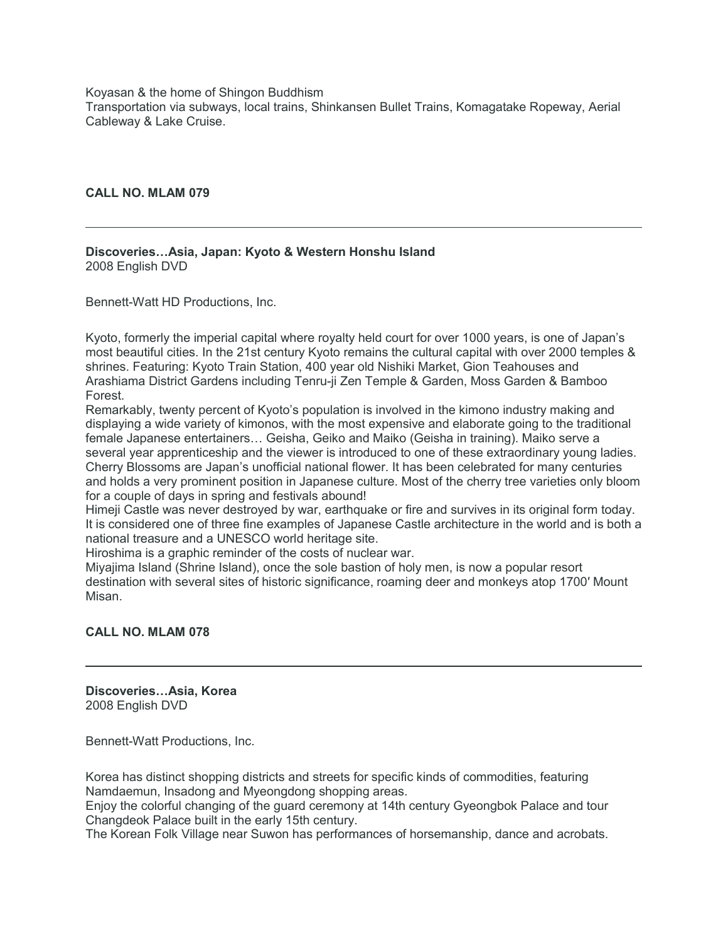Koyasan & the home of Shingon Buddhism Transportation via subways, local trains, Shinkansen Bullet Trains, Komagatake Ropeway, Aerial Cableway & Lake Cruise.

**CALL NO. MLAM 079**

**Discoveries…Asia, Japan: Kyoto & Western Honshu Island** 2008 English DVD

Bennett-Watt HD Productions, Inc.

Kyoto, formerly the imperial capital where royalty held court for over 1000 years, is one of Japan's most beautiful cities. In the 21st century Kyoto remains the cultural capital with over 2000 temples & shrines. Featuring: Kyoto Train Station, 400 year old Nishiki Market, Gion Teahouses and Arashiama District Gardens including Tenru-ji Zen Temple & Garden, Moss Garden & Bamboo Forest.

Remarkably, twenty percent of Kyoto's population is involved in the kimono industry making and displaying a wide variety of kimonos, with the most expensive and elaborate going to the traditional female Japanese entertainers… Geisha, Geiko and Maiko (Geisha in training). Maiko serve a several year apprenticeship and the viewer is introduced to one of these extraordinary young ladies. Cherry Blossoms are Japan's unofficial national flower. It has been celebrated for many centuries and holds a very prominent position in Japanese culture. Most of the cherry tree varieties only bloom for a couple of days in spring and festivals abound!

Himeji Castle was never destroyed by war, earthquake or fire and survives in its original form today. It is considered one of three fine examples of Japanese Castle architecture in the world and is both a national treasure and a UNESCO world heritage site.

Hiroshima is a graphic reminder of the costs of nuclear war.

Miyajima Island (Shrine Island), once the sole bastion of holy men, is now a popular resort destination with several sites of historic significance, roaming deer and monkeys atop 1700′ Mount Misan.

# **CALL NO. MLAM 078**

**Discoveries…Asia, Korea** 2008 English DVD

Bennett-Watt Productions, Inc.

Korea has distinct shopping districts and streets for specific kinds of commodities, featuring Namdaemun, Insadong and Myeongdong shopping areas.

Enjoy the colorful changing of the guard ceremony at 14th century Gyeongbok Palace and tour Changdeok Palace built in the early 15th century.

The Korean Folk Village near Suwon has performances of horsemanship, dance and acrobats.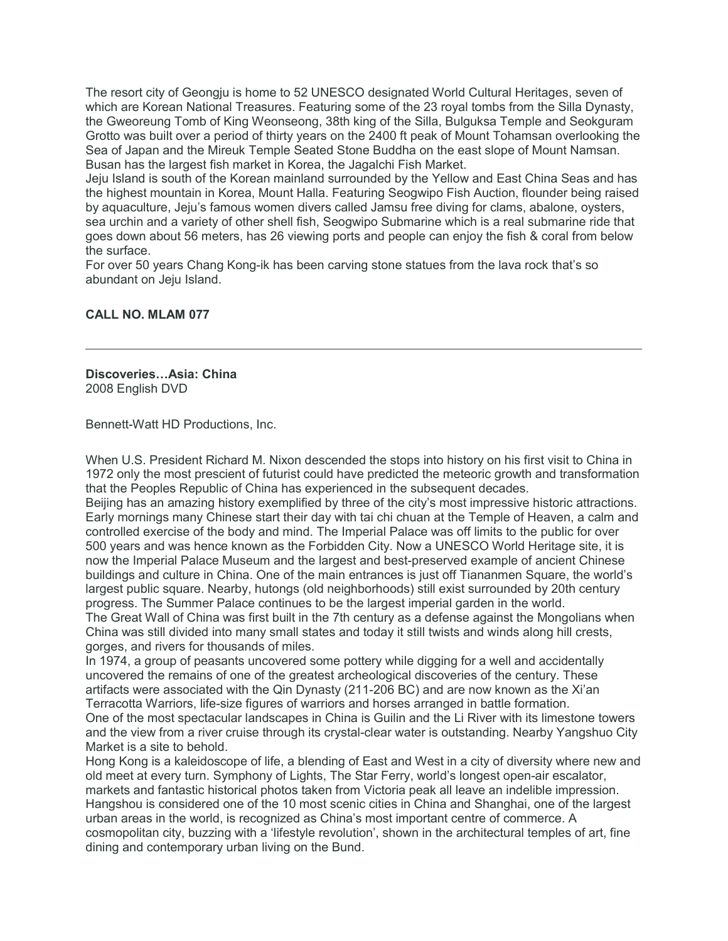The resort city of Geongju is home to 52 UNESCO designated World Cultural Heritages, seven of which are Korean National Treasures. Featuring some of the 23 royal tombs from the Silla Dynasty, the Gweoreung Tomb of King Weonseong, 38th king of the Silla, Bulguksa Temple and Seokguram Grotto was built over a period of thirty years on the 2400 ft peak of Mount Tohamsan overlooking the Sea of Japan and the Mireuk Temple Seated Stone Buddha on the east slope of Mount Namsan. Busan has the largest fish market in Korea, the Jagalchi Fish Market.

Jeju Island is south of the Korean mainland surrounded by the Yellow and East China Seas and has the highest mountain in Korea, Mount Halla. Featuring Seogwipo Fish Auction, flounder being raised by aquaculture, Jeju's famous women divers called Jamsu free diving for clams, abalone, oysters, sea urchin and a variety of other shell fish, Seogwipo Submarine which is a real submarine ride that goes down about 56 meters, has 26 viewing ports and people can enjoy the fish & coral from below the surface.

For over 50 years Chang Kong-ik has been carving stone statues from the lava rock that's so abundant on Jeju Island.

# **CALL NO. MLAM 077**

**Discoveries…Asia: China** 2008 English DVD

Bennett-Watt HD Productions, Inc.

When U.S. President Richard M. Nixon descended the stops into history on his first visit to China in 1972 only the most prescient of futurist could have predicted the meteoric growth and transformation that the Peoples Republic of China has experienced in the subsequent decades.

Beijing has an amazing history exemplified by three of the city's most impressive historic attractions. Early mornings many Chinese start their day with tai chi chuan at the Temple of Heaven, a calm and controlled exercise of the body and mind. The Imperial Palace was off limits to the public for over 500 years and was hence known as the Forbidden City. Now a UNESCO World Heritage site, it is now the Imperial Palace Museum and the largest and best-preserved example of ancient Chinese buildings and culture in China. One of the main entrances is just off Tiananmen Square, the world's largest public square. Nearby, hutongs (old neighborhoods) still exist surrounded by 20th century progress. The Summer Palace continues to be the largest imperial garden in the world.

The Great Wall of China was first built in the 7th century as a defense against the Mongolians when China was still divided into many small states and today it still twists and winds along hill crests, gorges, and rivers for thousands of miles.

In 1974, a group of peasants uncovered some pottery while digging for a well and accidentally uncovered the remains of one of the greatest archeological discoveries of the century. These artifacts were associated with the Qin Dynasty (211-206 BC) and are now known as the Xi'an Terracotta Warriors, life-size figures of warriors and horses arranged in battle formation. One of the most spectacular landscapes in China is Guilin and the Li River with its limestone towers

and the view from a river cruise through its crystal-clear water is outstanding. Nearby Yangshuo City Market is a site to behold.

Hong Kong is a kaleidoscope of life, a blending of East and West in a city of diversity where new and old meet at every turn. Symphony of Lights, The Star Ferry, world's longest open-air escalator, markets and fantastic historical photos taken from Victoria peak all leave an indelible impression. Hangshou is considered one of the 10 most scenic cities in China and Shanghai, one of the largest urban areas in the world, is recognized as China's most important centre of commerce. A cosmopolitan city, buzzing with a 'lifestyle revolution', shown in the architectural temples of art, fine dining and contemporary urban living on the Bund.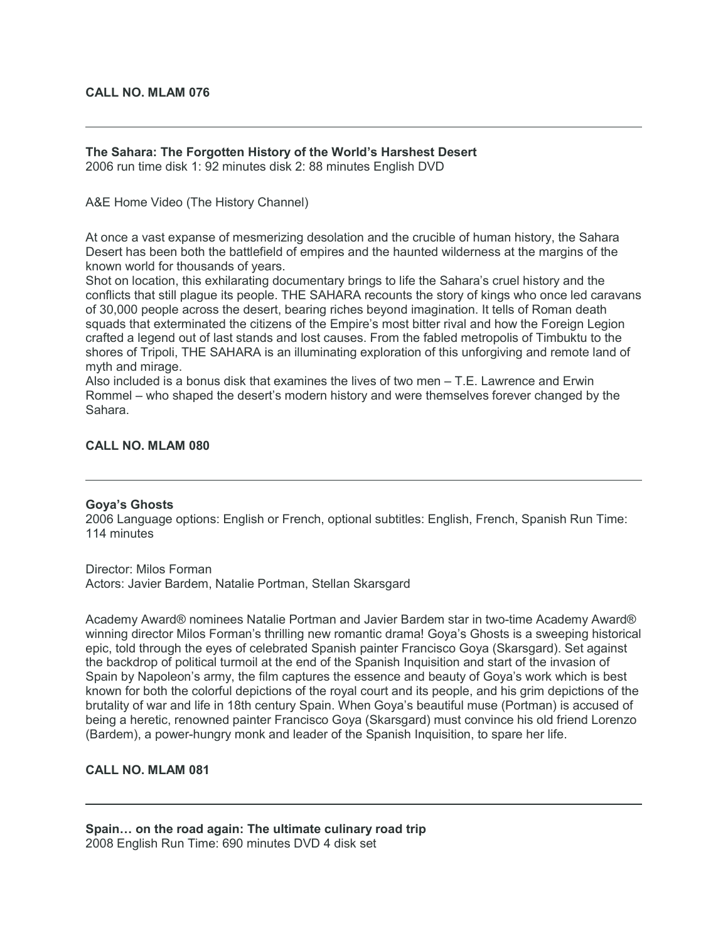# **CALL NO. MLAM 076**

# **The Sahara: The Forgotten History of the World's Harshest Desert**

2006 run time disk 1: 92 minutes disk 2: 88 minutes English DVD

A&E Home Video (The History Channel)

At once a vast expanse of mesmerizing desolation and the crucible of human history, the Sahara Desert has been both the battlefield of empires and the haunted wilderness at the margins of the known world for thousands of years.

Shot on location, this exhilarating documentary brings to life the Sahara's cruel history and the conflicts that still plague its people. THE SAHARA recounts the story of kings who once led caravans of 30,000 people across the desert, bearing riches beyond imagination. It tells of Roman death squads that exterminated the citizens of the Empire's most bitter rival and how the Foreign Legion crafted a legend out of last stands and lost causes. From the fabled metropolis of Timbuktu to the shores of Tripoli, THE SAHARA is an illuminating exploration of this unforgiving and remote land of myth and mirage.

Also included is a bonus disk that examines the lives of two men – T.E. Lawrence and Erwin Rommel – who shaped the desert's modern history and were themselves forever changed by the Sahara.

# **CALL NO. MLAM 080**

#### **Goya's Ghosts**

2006 Language options: English or French, optional subtitles: English, French, Spanish Run Time: 114 minutes

Director: Milos Forman Actors: Javier Bardem, Natalie Portman, Stellan Skarsgard

Academy Award® nominees Natalie Portman and Javier Bardem star in two-time Academy Award® winning director Milos Forman's thrilling new romantic drama! Goya's Ghosts is a sweeping historical epic, told through the eyes of celebrated Spanish painter Francisco Goya (Skarsgard). Set against the backdrop of political turmoil at the end of the Spanish Inquisition and start of the invasion of Spain by Napoleon's army, the film captures the essence and beauty of Goya's work which is best known for both the colorful depictions of the royal court and its people, and his grim depictions of the brutality of war and life in 18th century Spain. When Goya's beautiful muse (Portman) is accused of being a heretic, renowned painter Francisco Goya (Skarsgard) must convince his old friend Lorenzo (Bardem), a power-hungry monk and leader of the Spanish Inquisition, to spare her life.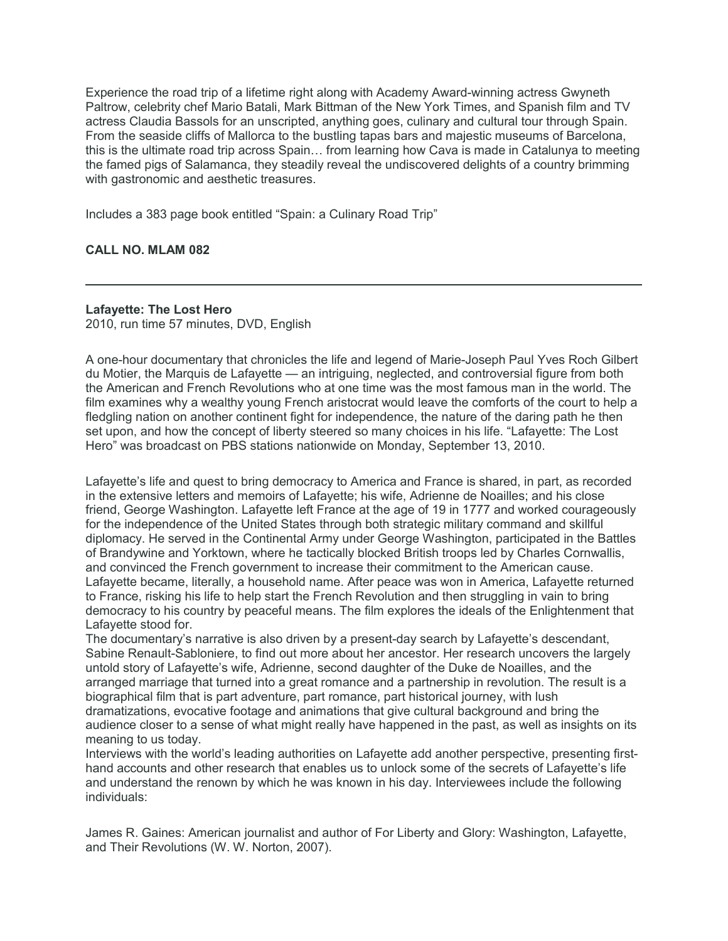Experience the road trip of a lifetime right along with Academy Award-winning actress Gwyneth Paltrow, celebrity chef Mario Batali, Mark Bittman of the New York Times, and Spanish film and TV actress Claudia Bassols for an unscripted, anything goes, culinary and cultural tour through Spain. From the seaside cliffs of Mallorca to the bustling tapas bars and majestic museums of Barcelona, this is the ultimate road trip across Spain… from learning how Cava is made in Catalunya to meeting the famed pigs of Salamanca, they steadily reveal the undiscovered delights of a country brimming with gastronomic and aesthetic treasures.

Includes a 383 page book entitled "Spain: a Culinary Road Trip"

# **CALL NO. MLAM 082**

# **Lafayette: The Lost Hero**

2010, run time 57 minutes, DVD, English

A one-hour documentary that chronicles the life and legend of Marie-Joseph Paul Yves Roch Gilbert du Motier, the Marquis de Lafayette — an intriguing, neglected, and controversial figure from both the American and French Revolutions who at one time was the most famous man in the world. The film examines why a wealthy young French aristocrat would leave the comforts of the court to help a fledgling nation on another continent fight for independence, the nature of the daring path he then set upon, and how the concept of liberty steered so many choices in his life. "Lafayette: The Lost Hero" was broadcast on PBS stations nationwide on Monday, September 13, 2010.

Lafayette's life and quest to bring democracy to America and France is shared, in part, as recorded in the extensive letters and memoirs of Lafayette; his wife, Adrienne de Noailles; and his close friend, George Washington. Lafayette left France at the age of 19 in 1777 and worked courageously for the independence of the United States through both strategic military command and skillful diplomacy. He served in the Continental Army under George Washington, participated in the Battles of Brandywine and Yorktown, where he tactically blocked British troops led by Charles Cornwallis, and convinced the French government to increase their commitment to the American cause. Lafayette became, literally, a household name. After peace was won in America, Lafayette returned to France, risking his life to help start the French Revolution and then struggling in vain to bring democracy to his country by peaceful means. The film explores the ideals of the Enlightenment that Lafayette stood for.

The documentary's narrative is also driven by a present-day search by Lafayette's descendant, Sabine Renault-Sabloniere, to find out more about her ancestor. Her research uncovers the largely untold story of Lafayette's wife, Adrienne, second daughter of the Duke de Noailles, and the arranged marriage that turned into a great romance and a partnership in revolution. The result is a biographical film that is part adventure, part romance, part historical journey, with lush dramatizations, evocative footage and animations that give cultural background and bring the audience closer to a sense of what might really have happened in the past, as well as insights on its meaning to us today.

Interviews with the world's leading authorities on Lafayette add another perspective, presenting firsthand accounts and other research that enables us to unlock some of the secrets of Lafayette's life and understand the renown by which he was known in his day. Interviewees include the following individuals:

James R. Gaines: American journalist and author of For Liberty and Glory: Washington, Lafayette, and Their Revolutions (W. W. Norton, 2007).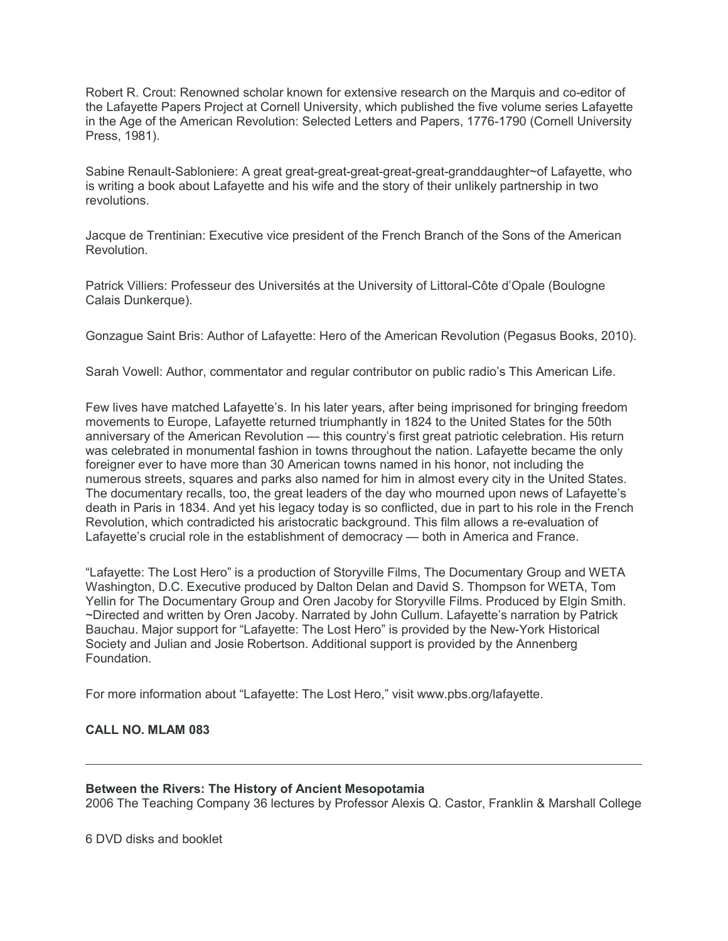Robert R. Crout: Renowned scholar known for extensive research on the Marquis and co-editor of the Lafayette Papers Project at Cornell University, which published the five volume series Lafayette in the Age of the American Revolution: Selected Letters and Papers, 1776-1790 (Cornell University Press, 1981).

Sabine Renault-Sabloniere: A great great-great-great-great-great-granddaughter~of Lafayette, who is writing a book about Lafayette and his wife and the story of their unlikely partnership in two revolutions.

Jacque de Trentinian: Executive vice president of the French Branch of the Sons of the American Revolution.

Patrick Villiers: Professeur des Universités at the University of Littoral-Côte d'Opale (Boulogne Calais Dunkerque).

Gonzague Saint Bris: Author of Lafayette: Hero of the American Revolution (Pegasus Books, 2010).

Sarah Vowell: Author, commentator and regular contributor on public radio's This American Life.

Few lives have matched Lafayette's. In his later years, after being imprisoned for bringing freedom movements to Europe, Lafayette returned triumphantly in 1824 to the United States for the 50th anniversary of the American Revolution — this country's first great patriotic celebration. His return was celebrated in monumental fashion in towns throughout the nation. Lafayette became the only foreigner ever to have more than 30 American towns named in his honor, not including the numerous streets, squares and parks also named for him in almost every city in the United States. The documentary recalls, too, the great leaders of the day who mourned upon news of Lafayette's death in Paris in 1834. And yet his legacy today is so conflicted, due in part to his role in the French Revolution, which contradicted his aristocratic background. This film allows a re-evaluation of Lafayette's crucial role in the establishment of democracy — both in America and France.

"Lafayette: The Lost Hero" is a production of Storyville Films, The Documentary Group and WETA Washington, D.C. Executive produced by Dalton Delan and David S. Thompson for WETA, Tom Yellin for The Documentary Group and Oren Jacoby for Storyville Films. Produced by Elgin Smith. ~Directed and written by Oren Jacoby. Narrated by John Cullum. Lafayette's narration by Patrick Bauchau. Major support for "Lafayette: The Lost Hero" is provided by the New-York Historical Society and Julian and Josie Robertson. Additional support is provided by the Annenberg Foundation.

For more information about "Lafayette: The Lost Hero," visit www.pbs.org/lafayette.

# **CALL NO. MLAM 083**

#### **Between the Rivers: The History of Ancient Mesopotamia**

2006 The Teaching Company 36 lectures by Professor Alexis Q. Castor, Franklin & Marshall College

6 DVD disks and booklet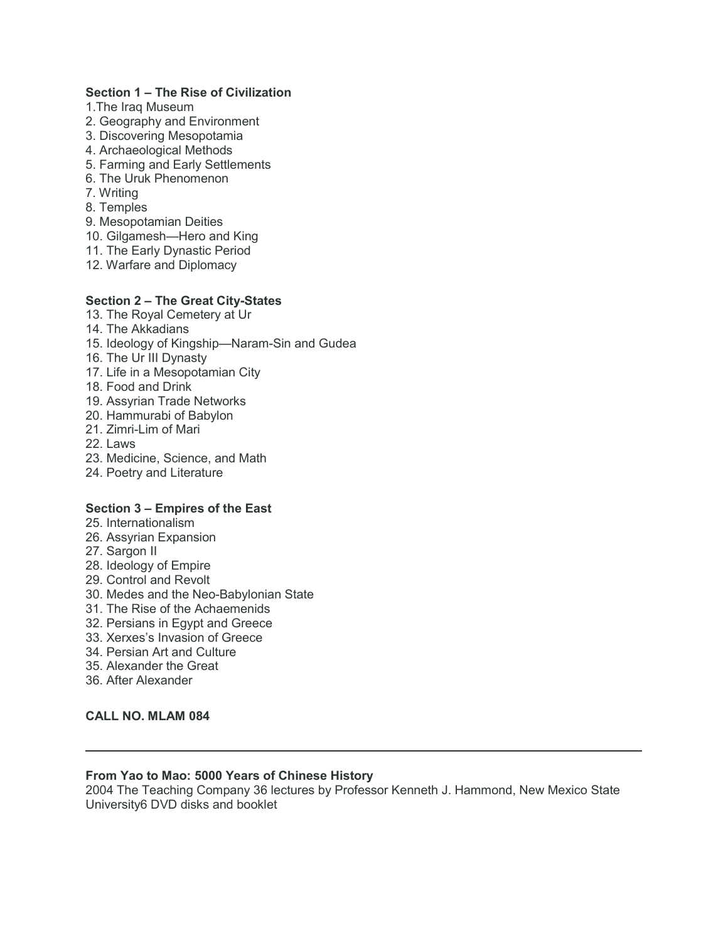# **Section 1 – The Rise of Civilization**

- 1.The Iraq Museum
- 2. Geography and Environment
- 3. Discovering Mesopotamia
- 4. Archaeological Methods
- 5. Farming and Early Settlements
- 6. The Uruk Phenomenon
- 7. Writing
- 8. Temples
- 9. Mesopotamian Deities
- 10. Gilgamesh—Hero and King
- 11. The Early Dynastic Period
- 12. Warfare and Diplomacy

# **Section 2 – The Great City-States**

- 13. The Royal Cemetery at Ur
- 14. The Akkadians
- 15. Ideology of Kingship—Naram-Sin and Gudea
- 16. The Ur III Dynasty
- 17. Life in a Mesopotamian City
- 18. Food and Drink
- 19. Assyrian Trade Networks
- 20. Hammurabi of Babylon
- 21. Zimri-Lim of Mari
- 22. Laws
- 23. Medicine, Science, and Math
- 24. Poetry and Literature

# **Section 3 – Empires of the East**

- 25. Internationalism
- 26. Assyrian Expansion
- 27. Sargon II
- 28. Ideology of Empire
- 29. Control and Revolt
- 30. Medes and the Neo-Babylonian State
- 31. The Rise of the Achaemenids
- 32. Persians in Egypt and Greece
- 33. Xerxes's Invasion of Greece
- 34. Persian Art and Culture
- 35. Alexander the Great
- 36. After Alexander

# **CALL NO. MLAM 084**

# **From Yao to Mao: 5000 Years of Chinese History**

2004 The Teaching Company 36 lectures by Professor Kenneth J. Hammond, New Mexico State University6 DVD disks and booklet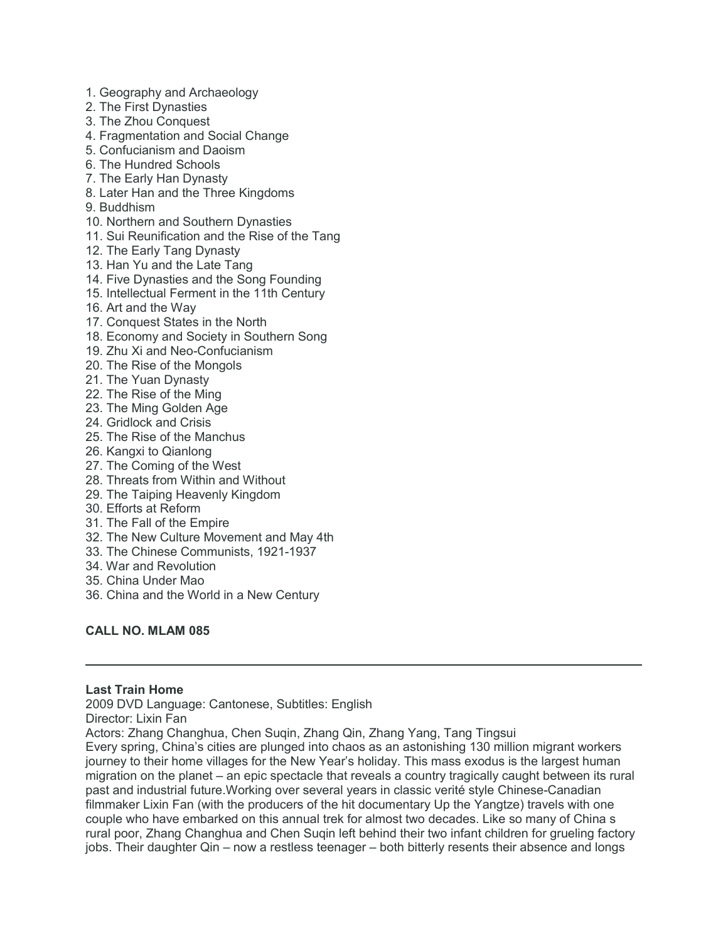- 1. Geography and Archaeology
- 2. The First Dynasties
- 3. The Zhou Conquest
- 4. Fragmentation and Social Change
- 5. Confucianism and Daoism
- 6. The Hundred Schools
- 7. The Early Han Dynasty
- 8. Later Han and the Three Kingdoms
- 9. Buddhism
- 10. Northern and Southern Dynasties
- 11. Sui Reunification and the Rise of the Tang
- 12. The Early Tang Dynasty
- 13. Han Yu and the Late Tang
- 14. Five Dynasties and the Song Founding
- 15. Intellectual Ferment in the 11th Century
- 16. Art and the Way
- 17. Conquest States in the North
- 18. Economy and Society in Southern Song
- 19. Zhu Xi and Neo-Confucianism
- 20. The Rise of the Mongols
- 21. The Yuan Dynasty
- 22. The Rise of the Ming
- 23. The Ming Golden Age
- 24. Gridlock and Crisis
- 25. The Rise of the Manchus
- 26. Kangxi to Qianlong
- 27. The Coming of the West
- 28. Threats from Within and Without
- 29. The Taiping Heavenly Kingdom
- 30. Efforts at Reform
- 31. The Fall of the Empire
- 32. The New Culture Movement and May 4th
- 33. The Chinese Communists, 1921-1937
- 34. War and Revolution
- 35. China Under Mao
- 36. China and the World in a New Century

# **CALL NO. MLAM 085**

#### **Last Train Home**

2009 DVD Language: Cantonese, Subtitles: English

Director: Lixin Fan

Actors: Zhang Changhua, Chen Suqin, Zhang Qin, Zhang Yang, Tang Tingsui

Every spring, China's cities are plunged into chaos as an astonishing 130 million migrant workers journey to their home villages for the New Year's holiday. This mass exodus is the largest human migration on the planet – an epic spectacle that reveals a country tragically caught between its rural past and industrial future.Working over several years in classic verité style Chinese-Canadian filmmaker Lixin Fan (with the producers of the hit documentary Up the Yangtze) travels with one couple who have embarked on this annual trek for almost two decades. Like so many of China s rural poor, Zhang Changhua and Chen Suqin left behind their two infant children for grueling factory jobs. Their daughter Qin – now a restless teenager – both bitterly resents their absence and longs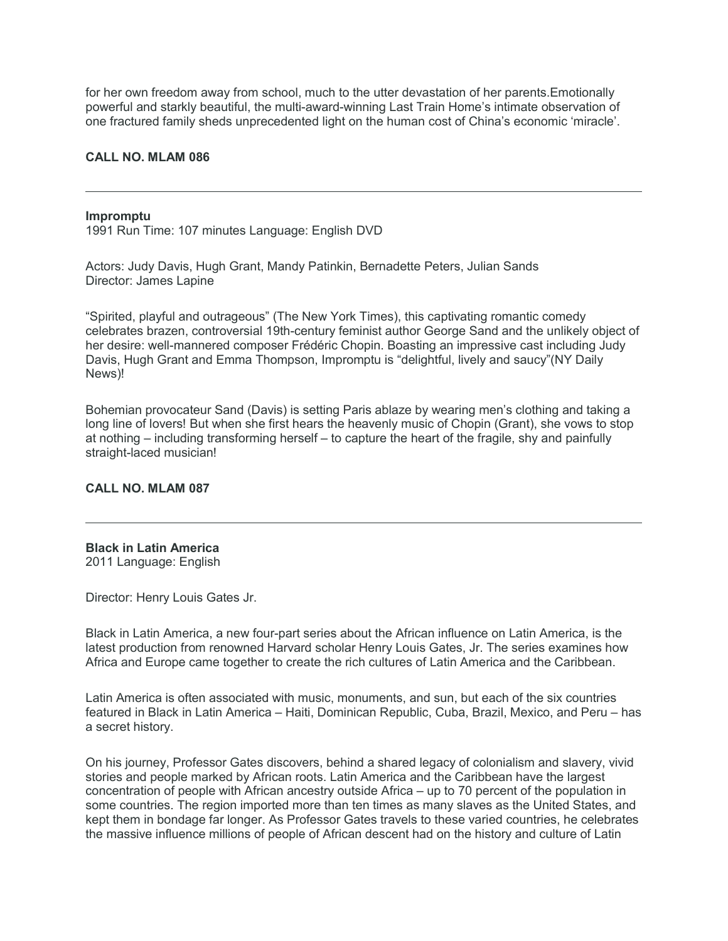for her own freedom away from school, much to the utter devastation of her parents.Emotionally powerful and starkly beautiful, the multi-award-winning Last Train Home's intimate observation of one fractured family sheds unprecedented light on the human cost of China's economic 'miracle'.

### **CALL NO. MLAM 086**

#### **Impromptu**

1991 Run Time: 107 minutes Language: English DVD

Actors: Judy Davis, Hugh Grant, Mandy Patinkin, Bernadette Peters, Julian Sands Director: James Lapine

"Spirited, playful and outrageous" (The New York Times), this captivating romantic comedy celebrates brazen, controversial 19th-century feminist author George Sand and the unlikely object of her desire: well-mannered composer Frédéric Chopin. Boasting an impressive cast including Judy Davis, Hugh Grant and Emma Thompson, Impromptu is "delightful, lively and saucy"(NY Daily News)!

Bohemian provocateur Sand (Davis) is setting Paris ablaze by wearing men's clothing and taking a long line of lovers! But when she first hears the heavenly music of Chopin (Grant), she vows to stop at nothing – including transforming herself – to capture the heart of the fragile, shy and painfully straight-laced musician!

#### **CALL NO. MLAM 087**

# **Black in Latin America** 2011 Language: English

Director: Henry Louis Gates Jr.

Black in Latin America, a new four-part series about the African influence on Latin America, is the latest production from renowned Harvard scholar Henry Louis Gates, Jr. The series examines how Africa and Europe came together to create the rich cultures of Latin America and the Caribbean.

Latin America is often associated with music, monuments, and sun, but each of the six countries featured in Black in Latin America – Haiti, Dominican Republic, Cuba, Brazil, Mexico, and Peru – has a secret history.

On his journey, Professor Gates discovers, behind a shared legacy of colonialism and slavery, vivid stories and people marked by African roots. Latin America and the Caribbean have the largest concentration of people with African ancestry outside Africa – up to 70 percent of the population in some countries. The region imported more than ten times as many slaves as the United States, and kept them in bondage far longer. As Professor Gates travels to these varied countries, he celebrates the massive influence millions of people of African descent had on the history and culture of Latin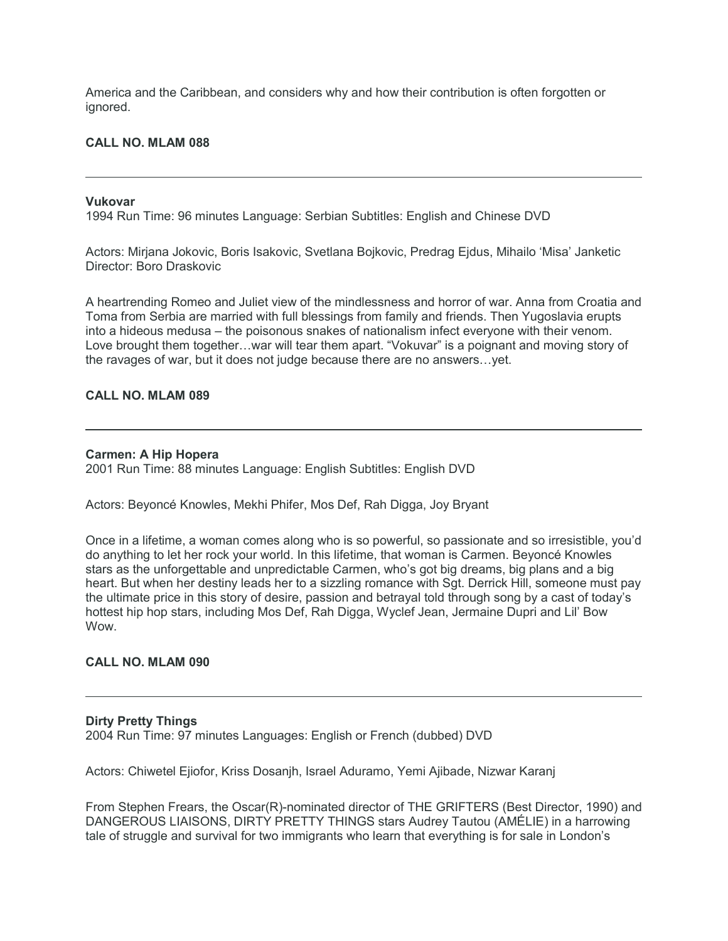America and the Caribbean, and considers why and how their contribution is often forgotten or ignored.

# **CALL NO. MLAM 088**

#### **Vukovar**

1994 Run Time: 96 minutes Language: Serbian Subtitles: English and Chinese DVD

Actors: Mirjana Jokovic, Boris Isakovic, Svetlana Bojkovic, Predrag Ejdus, Mihailo 'Misa' Janketic Director: Boro Draskovic

A heartrending Romeo and Juliet view of the mindlessness and horror of war. Anna from Croatia and Toma from Serbia are married with full blessings from family and friends. Then Yugoslavia erupts into a hideous medusa – the poisonous snakes of nationalism infect everyone with their venom. Love brought them together…war will tear them apart. "Vokuvar" is a poignant and moving story of the ravages of war, but it does not judge because there are no answers…yet.

# **CALL NO. MLAM 089**

#### **Carmen: A Hip Hopera**

2001 Run Time: 88 minutes Language: English Subtitles: English DVD

Actors: Beyoncé Knowles, Mekhi Phifer, Mos Def, Rah Digga, Joy Bryant

Once in a lifetime, a woman comes along who is so powerful, so passionate and so irresistible, you'd do anything to let her rock your world. In this lifetime, that woman is Carmen. Beyoncé Knowles stars as the unforgettable and unpredictable Carmen, who's got big dreams, big plans and a big heart. But when her destiny leads her to a sizzling romance with Sgt. Derrick Hill, someone must pay the ultimate price in this story of desire, passion and betrayal told through song by a cast of today's hottest hip hop stars, including Mos Def, Rah Digga, Wyclef Jean, Jermaine Dupri and Lil' Bow Wow.

#### **CALL NO. MLAM 090**

#### **Dirty Pretty Things**

2004 Run Time: 97 minutes Languages: English or French (dubbed) DVD

Actors: Chiwetel Ejiofor, Kriss Dosanjh, Israel Aduramo, Yemi Ajibade, Nizwar Karanj

From Stephen Frears, the Oscar(R)-nominated director of THE GRIFTERS (Best Director, 1990) and DANGEROUS LIAISONS, DIRTY PRETTY THINGS stars Audrey Tautou (AMÉLIE) in a harrowing tale of struggle and survival for two immigrants who learn that everything is for sale in London's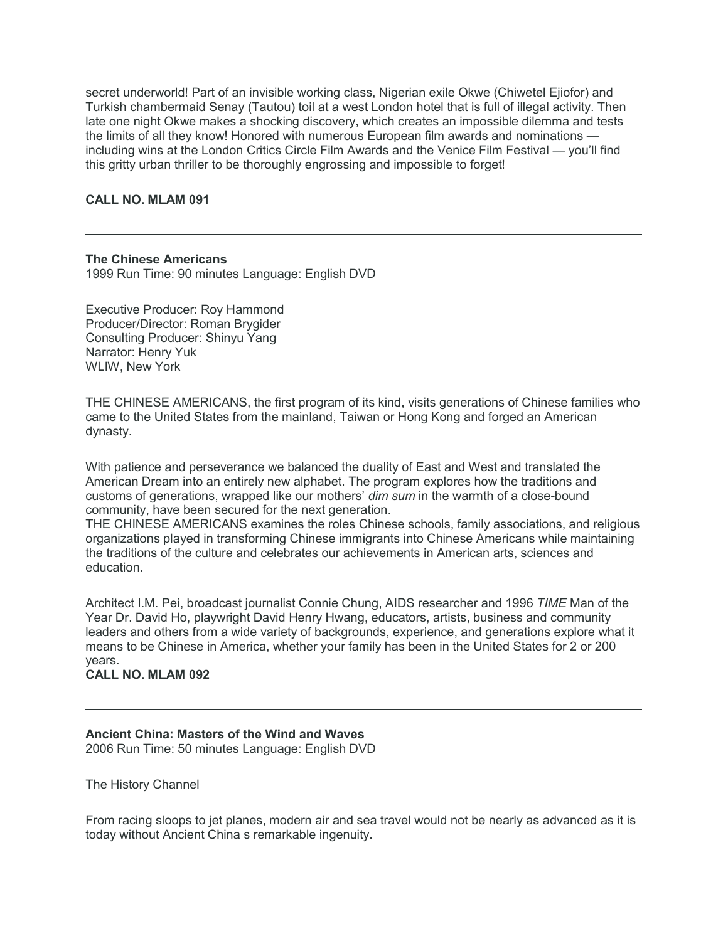secret underworld! Part of an invisible working class, Nigerian exile Okwe (Chiwetel Ejiofor) and Turkish chambermaid Senay (Tautou) toil at a west London hotel that is full of illegal activity. Then late one night Okwe makes a shocking discovery, which creates an impossible dilemma and tests the limits of all they know! Honored with numerous European film awards and nominations including wins at the London Critics Circle Film Awards and the Venice Film Festival — you'll find this gritty urban thriller to be thoroughly engrossing and impossible to forget!

# **CALL NO. MLAM 091**

# **The Chinese Americans**

1999 Run Time: 90 minutes Language: English DVD

Executive Producer: Roy Hammond Producer/Director: Roman Brygider Consulting Producer: Shinyu Yang Narrator: Henry Yuk WLIW, New York

THE CHINESE AMERICANS, the first program of its kind, visits generations of Chinese families who came to the United States from the mainland, Taiwan or Hong Kong and forged an American dynasty.

With patience and perseverance we balanced the duality of East and West and translated the American Dream into an entirely new alphabet. The program explores how the traditions and customs of generations, wrapped like our mothers' *dim sum* in the warmth of a close-bound community, have been secured for the next generation.

THE CHINESE AMERICANS examines the roles Chinese schools, family associations, and religious organizations played in transforming Chinese immigrants into Chinese Americans while maintaining the traditions of the culture and celebrates our achievements in American arts, sciences and education.

Architect I.M. Pei, broadcast journalist Connie Chung, AIDS researcher and 1996 *TIME* Man of the Year Dr. David Ho, playwright David Henry Hwang, educators, artists, business and community leaders and others from a wide variety of backgrounds, experience, and generations explore what it means to be Chinese in America, whether your family has been in the United States for 2 or 200 years.

# **CALL NO. MLAM 092**

#### **Ancient China: Masters of the Wind and Waves** 2006 Run Time: 50 minutes Language: English DVD

The History Channel

From racing sloops to jet planes, modern air and sea travel would not be nearly as advanced as it is today without Ancient China s remarkable ingenuity.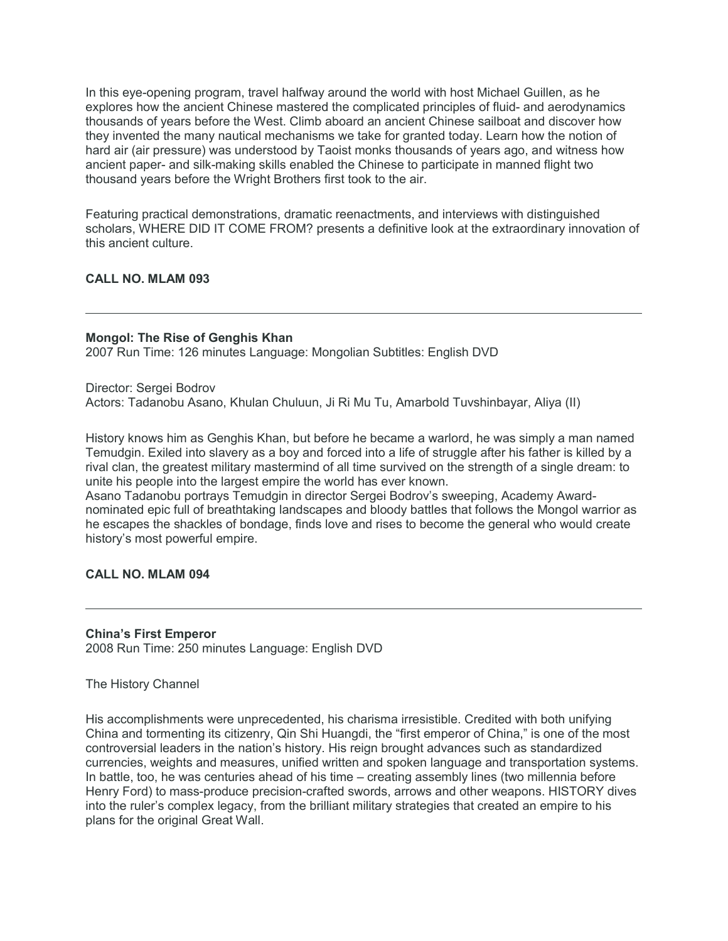In this eye-opening program, travel halfway around the world with host Michael Guillen, as he explores how the ancient Chinese mastered the complicated principles of fluid- and aerodynamics thousands of years before the West. Climb aboard an ancient Chinese sailboat and discover how they invented the many nautical mechanisms we take for granted today. Learn how the notion of hard air (air pressure) was understood by Taoist monks thousands of years ago, and witness how ancient paper- and silk-making skills enabled the Chinese to participate in manned flight two thousand years before the Wright Brothers first took to the air.

Featuring practical demonstrations, dramatic reenactments, and interviews with distinguished scholars, WHERE DID IT COME FROM? presents a definitive look at the extraordinary innovation of this ancient culture.

# **CALL NO. MLAM 093**

# **Mongol: The Rise of Genghis Khan**

2007 Run Time: 126 minutes Language: Mongolian Subtitles: English DVD

Director: Sergei Bodrov Actors: Tadanobu Asano, Khulan Chuluun, Ji Ri Mu Tu, Amarbold Tuvshinbayar, Aliya (II)

History knows him as Genghis Khan, but before he became a warlord, he was simply a man named Temudgin. Exiled into slavery as a boy and forced into a life of struggle after his father is killed by a rival clan, the greatest military mastermind of all time survived on the strength of a single dream: to unite his people into the largest empire the world has ever known.

Asano Tadanobu portrays Temudgin in director Sergei Bodrov's sweeping, Academy Awardnominated epic full of breathtaking landscapes and bloody battles that follows the Mongol warrior as he escapes the shackles of bondage, finds love and rises to become the general who would create history's most powerful empire.

# **CALL NO. MLAM 094**

# **China's First Emperor**

2008 Run Time: 250 minutes Language: English DVD

#### The History Channel

His accomplishments were unprecedented, his charisma irresistible. Credited with both unifying China and tormenting its citizenry, Qin Shi Huangdi, the "first emperor of China," is one of the most controversial leaders in the nation's history. His reign brought advances such as standardized currencies, weights and measures, unified written and spoken language and transportation systems. In battle, too, he was centuries ahead of his time – creating assembly lines (two millennia before Henry Ford) to mass-produce precision-crafted swords, arrows and other weapons. HISTORY dives into the ruler's complex legacy, from the brilliant military strategies that created an empire to his plans for the original Great Wall.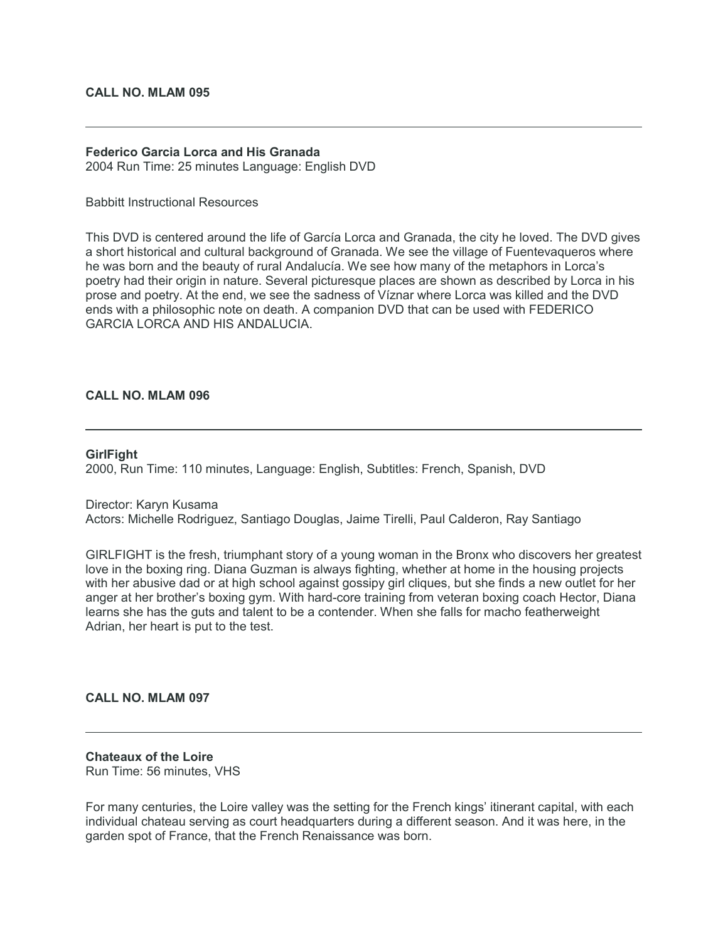# **CALL NO. MLAM 095**

# **Federico Garcia Lorca and His Granada**

2004 Run Time: 25 minutes Language: English DVD

#### Babbitt Instructional Resources

This DVD is centered around the life of García Lorca and Granada, the city he loved. The DVD gives a short historical and cultural background of Granada. We see the village of Fuentevaqueros where he was born and the beauty of rural Andalucía. We see how many of the metaphors in Lorca's poetry had their origin in nature. Several picturesque places are shown as described by Lorca in his prose and poetry. At the end, we see the sadness of Víznar where Lorca was killed and the DVD ends with a philosophic note on death. A companion DVD that can be used with FEDERICO GARCIA LORCA AND HIS ANDALUCIA.

# **CALL NO. MLAM 096**

#### **GirlFight**

2000, Run Time: 110 minutes, Language: English, Subtitles: French, Spanish, DVD

Director: Karyn Kusama Actors: Michelle Rodriguez, Santiago Douglas, Jaime Tirelli, Paul Calderon, Ray Santiago

GIRLFIGHT is the fresh, triumphant story of a young woman in the Bronx who discovers her greatest love in the boxing ring. Diana Guzman is always fighting, whether at home in the housing projects with her abusive dad or at high school against gossipy girl cliques, but she finds a new outlet for her anger at her brother's boxing gym. With hard-core training from veteran boxing coach Hector, Diana learns she has the guts and talent to be a contender. When she falls for macho featherweight Adrian, her heart is put to the test.

#### **CALL NO. MLAM 097**

#### **Chateaux of the Loire** Run Time: 56 minutes, VHS

For many centuries, the Loire valley was the setting for the French kings' itinerant capital, with each individual chateau serving as court headquarters during a different season. And it was here, in the garden spot of France, that the French Renaissance was born.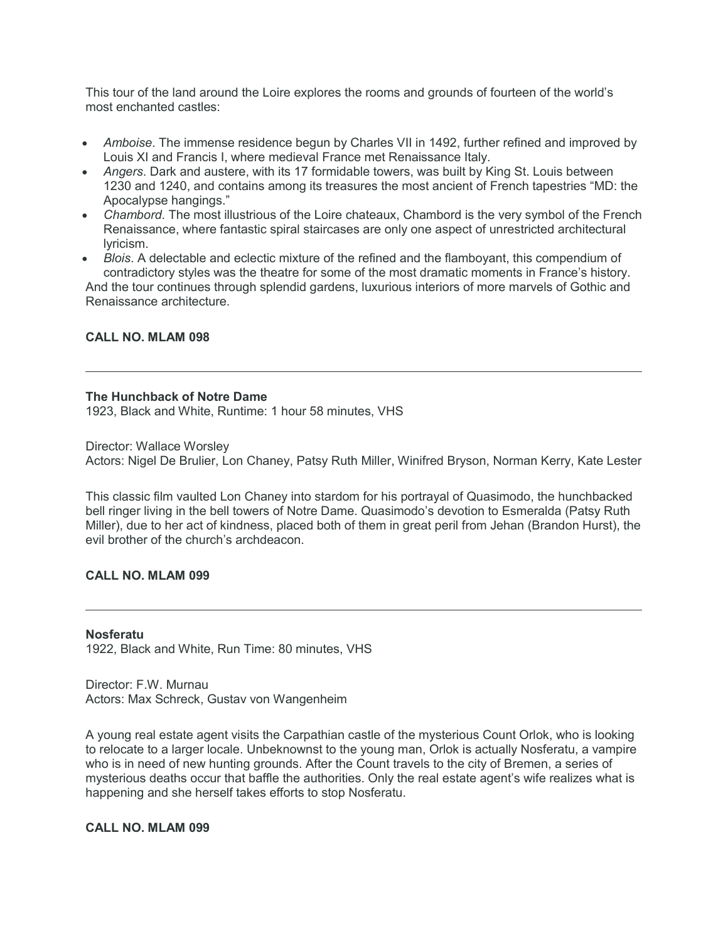This tour of the land around the Loire explores the rooms and grounds of fourteen of the world's most enchanted castles:

- *Amboise*. The immense residence begun by Charles VII in 1492, further refined and improved by Louis XI and Francis I, where medieval France met Renaissance Italy.
- *Angers*. Dark and austere, with its 17 formidable towers, was built by King St. Louis between 1230 and 1240, and contains among its treasures the most ancient of French tapestries "MD: the Apocalypse hangings."
- *Chambord*. The most illustrious of the Loire chateaux, Chambord is the very symbol of the French Renaissance, where fantastic spiral staircases are only one aspect of unrestricted architectural lyricism.
- *Blois*. A delectable and eclectic mixture of the refined and the flamboyant, this compendium of contradictory styles was the theatre for some of the most dramatic moments in France's history.

And the tour continues through splendid gardens, luxurious interiors of more marvels of Gothic and Renaissance architecture.

# **CALL NO. MLAM 098**

# **The Hunchback of Notre Dame**

1923, Black and White, Runtime: 1 hour 58 minutes, VHS

Director: Wallace Worsley

Actors: Nigel De Brulier, Lon Chaney, Patsy Ruth Miller, Winifred Bryson, Norman Kerry, Kate Lester

This classic film vaulted Lon Chaney into stardom for his portrayal of Quasimodo, the hunchbacked bell ringer living in the bell towers of Notre Dame. Quasimodo's devotion to Esmeralda (Patsy Ruth Miller), due to her act of kindness, placed both of them in great peril from Jehan (Brandon Hurst), the evil brother of the church's archdeacon.

# **CALL NO. MLAM 099**

**Nosferatu** 1922, Black and White, Run Time: 80 minutes, VHS

Director: F.W. Murnau Actors: Max Schreck, Gustav von Wangenheim

A young real estate agent visits the Carpathian castle of the mysterious Count Orlok, who is looking to relocate to a larger locale. Unbeknownst to the young man, Orlok is actually Nosferatu, a vampire who is in need of new hunting grounds. After the Count travels to the city of Bremen, a series of mysterious deaths occur that baffle the authorities. Only the real estate agent's wife realizes what is happening and she herself takes efforts to stop Nosferatu.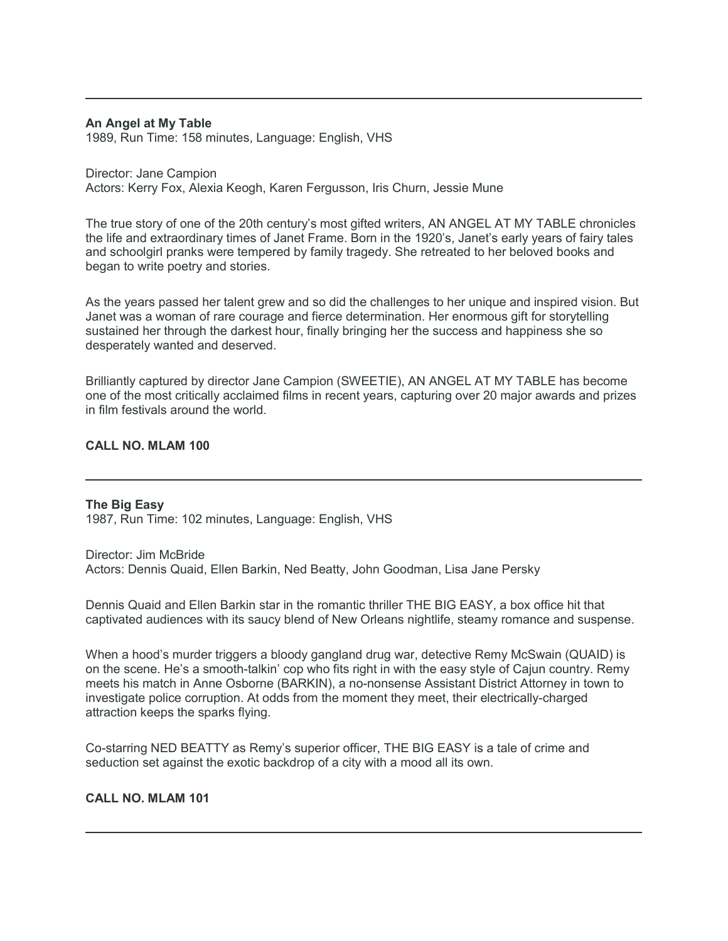#### **An Angel at My Table**

1989, Run Time: 158 minutes, Language: English, VHS

Director: Jane Campion Actors: Kerry Fox, Alexia Keogh, Karen Fergusson, Iris Churn, Jessie Mune

The true story of one of the 20th century's most gifted writers, AN ANGEL AT MY TABLE chronicles the life and extraordinary times of Janet Frame. Born in the 1920's, Janet's early years of fairy tales and schoolgirl pranks were tempered by family tragedy. She retreated to her beloved books and began to write poetry and stories.

As the years passed her talent grew and so did the challenges to her unique and inspired vision. But Janet was a woman of rare courage and fierce determination. Her enormous gift for storytelling sustained her through the darkest hour, finally bringing her the success and happiness she so desperately wanted and deserved.

Brilliantly captured by director Jane Campion (SWEETIE), AN ANGEL AT MY TABLE has become one of the most critically acclaimed films in recent years, capturing over 20 major awards and prizes in film festivals around the world.

# **CALL NO. MLAM 100**

#### **The Big Easy**

1987, Run Time: 102 minutes, Language: English, VHS

Director: Jim McBride Actors: Dennis Quaid, Ellen Barkin, Ned Beatty, John Goodman, Lisa Jane Persky

Dennis Quaid and Ellen Barkin star in the romantic thriller THE BIG EASY, a box office hit that captivated audiences with its saucy blend of New Orleans nightlife, steamy romance and suspense.

When a hood's murder triggers a bloody gangland drug war, detective Remy McSwain (QUAID) is on the scene. He's a smooth-talkin' cop who fits right in with the easy style of Cajun country. Remy meets his match in Anne Osborne (BARKIN), a no-nonsense Assistant District Attorney in town to investigate police corruption. At odds from the moment they meet, their electrically-charged attraction keeps the sparks flying.

Co-starring NED BEATTY as Remy's superior officer, THE BIG EASY is a tale of crime and seduction set against the exotic backdrop of a city with a mood all its own.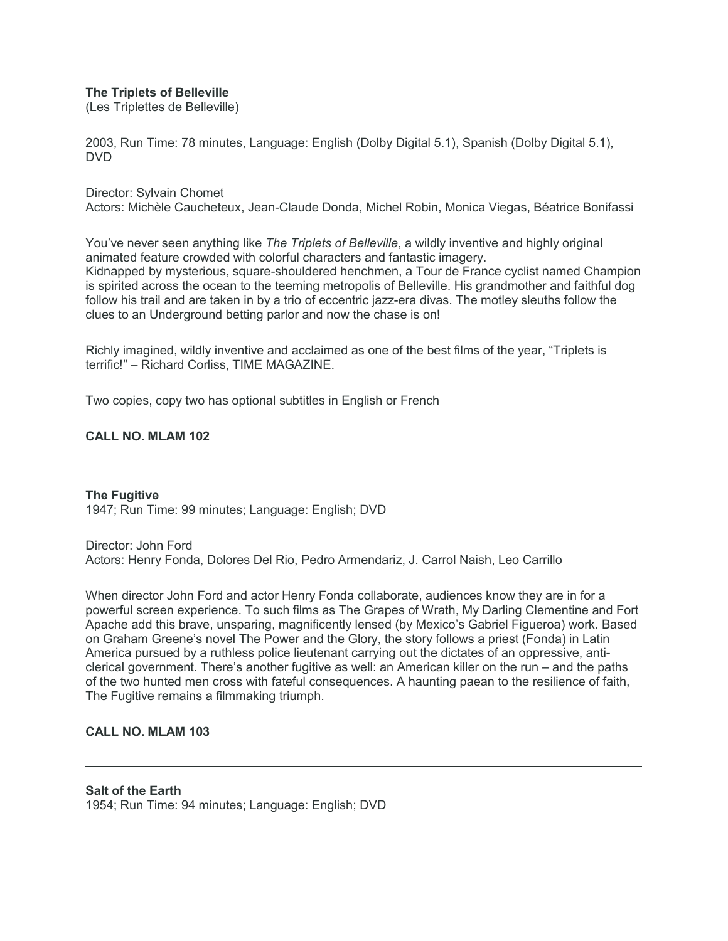# **The Triplets of Belleville**

(Les Triplettes de Belleville)

2003, Run Time: 78 minutes, Language: English (Dolby Digital 5.1), Spanish (Dolby Digital 5.1), DVD

#### Director: Sylvain Chomet

Actors: Michèle Caucheteux, Jean-Claude Donda, Michel Robin, Monica Viegas, Béatrice Bonifassi

You've never seen anything like *The Triplets of Belleville*, a wildly inventive and highly original animated feature crowded with colorful characters and fantastic imagery. Kidnapped by mysterious, square-shouldered henchmen, a Tour de France cyclist named Champion is spirited across the ocean to the teeming metropolis of Belleville. His grandmother and faithful dog follow his trail and are taken in by a trio of eccentric jazz-era divas. The motley sleuths follow the clues to an Underground betting parlor and now the chase is on!

Richly imagined, wildly inventive and acclaimed as one of the best films of the year, "Triplets is terrific!" – Richard Corliss, TIME MAGAZINE.

Two copies, copy two has optional subtitles in English or French

# **CALL NO. MLAM 102**

**The Fugitive** 1947; Run Time: 99 minutes; Language: English; DVD

Director: John Ford Actors: Henry Fonda, Dolores Del Rio, Pedro Armendariz, J. Carrol Naish, Leo Carrillo

When director John Ford and actor Henry Fonda collaborate, audiences know they are in for a powerful screen experience. To such films as The Grapes of Wrath, My Darling Clementine and Fort Apache add this brave, unsparing, magnificently lensed (by Mexico's Gabriel Figueroa) work. Based on Graham Greene's novel The Power and the Glory, the story follows a priest (Fonda) in Latin America pursued by a ruthless police lieutenant carrying out the dictates of an oppressive, anticlerical government. There's another fugitive as well: an American killer on the run – and the paths of the two hunted men cross with fateful consequences. A haunting paean to the resilience of faith, The Fugitive remains a filmmaking triumph.

# **CALL NO. MLAM 103**

**Salt of the Earth** 1954; Run Time: 94 minutes; Language: English; DVD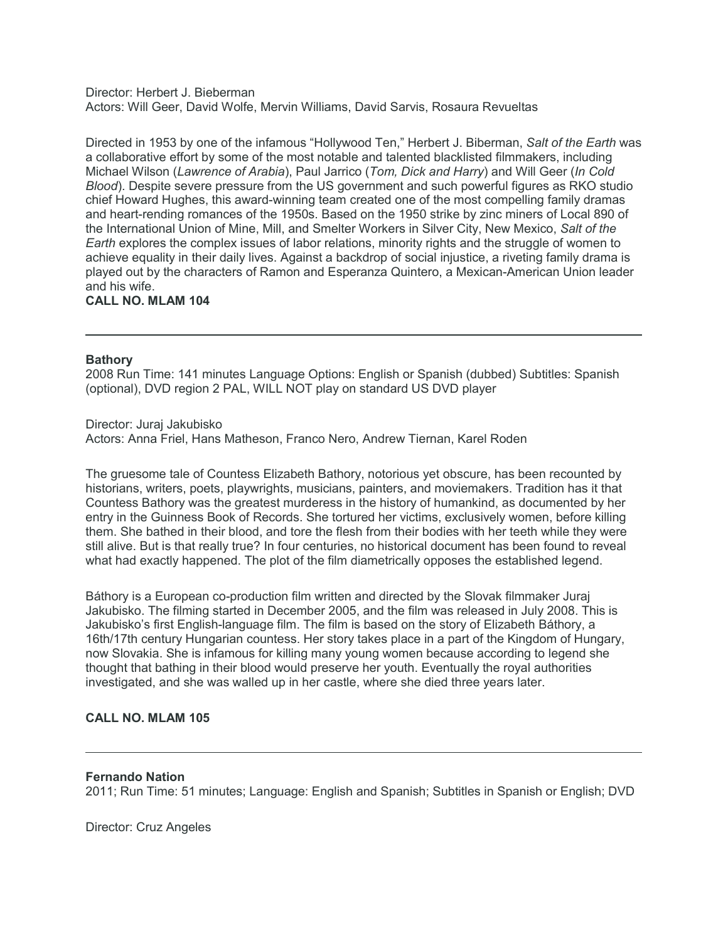Director: Herbert J. Bieberman Actors: Will Geer, David Wolfe, Mervin Williams, David Sarvis, Rosaura Revueltas

Directed in 1953 by one of the infamous "Hollywood Ten," Herbert J. Biberman, *Salt of the Earth* was a collaborative effort by some of the most notable and talented blacklisted filmmakers, including Michael Wilson (*Lawrence of Arabia*), Paul Jarrico (*Tom, Dick and Harry*) and Will Geer (*In Cold Blood*). Despite severe pressure from the US government and such powerful figures as RKO studio chief Howard Hughes, this award-winning team created one of the most compelling family dramas and heart-rending romances of the 1950s. Based on the 1950 strike by zinc miners of Local 890 of the International Union of Mine, Mill, and Smelter Workers in Silver City, New Mexico, *Salt of the Earth* explores the complex issues of labor relations, minority rights and the struggle of women to achieve equality in their daily lives. Against a backdrop of social injustice, a riveting family drama is played out by the characters of Ramon and Esperanza Quintero, a Mexican-American Union leader and his wife.

# **CALL NO. MLAM 104**

# **Bathory**

2008 Run Time: 141 minutes Language Options: English or Spanish (dubbed) Subtitles: Spanish (optional), DVD region 2 PAL, WILL NOT play on standard US DVD player

Director: Juraj Jakubisko Actors: Anna Friel, Hans Matheson, Franco Nero, Andrew Tiernan, Karel Roden

The gruesome tale of Countess Elizabeth Bathory, notorious yet obscure, has been recounted by historians, writers, poets, playwrights, musicians, painters, and moviemakers. Tradition has it that Countess Bathory was the greatest murderess in the history of humankind, as documented by her entry in the Guinness Book of Records. She tortured her victims, exclusively women, before killing them. She bathed in their blood, and tore the flesh from their bodies with her teeth while they were still alive. But is that really true? In four centuries, no historical document has been found to reveal what had exactly happened. The plot of the film diametrically opposes the established legend.

Báthory is a European co-production film written and directed by the Slovak filmmaker Juraj Jakubisko. The filming started in December 2005, and the film was released in July 2008. This is Jakubisko's first English-language film. The film is based on the story of Elizabeth Báthory, a 16th/17th century Hungarian countess. Her story takes place in a part of the Kingdom of Hungary, now Slovakia. She is infamous for killing many young women because according to legend she thought that bathing in their blood would preserve her youth. Eventually the royal authorities investigated, and she was walled up in her castle, where she died three years later.

# **CALL NO. MLAM 105**

#### **Fernando Nation**

2011; Run Time: 51 minutes; Language: English and Spanish; Subtitles in Spanish or English; DVD

Director: Cruz Angeles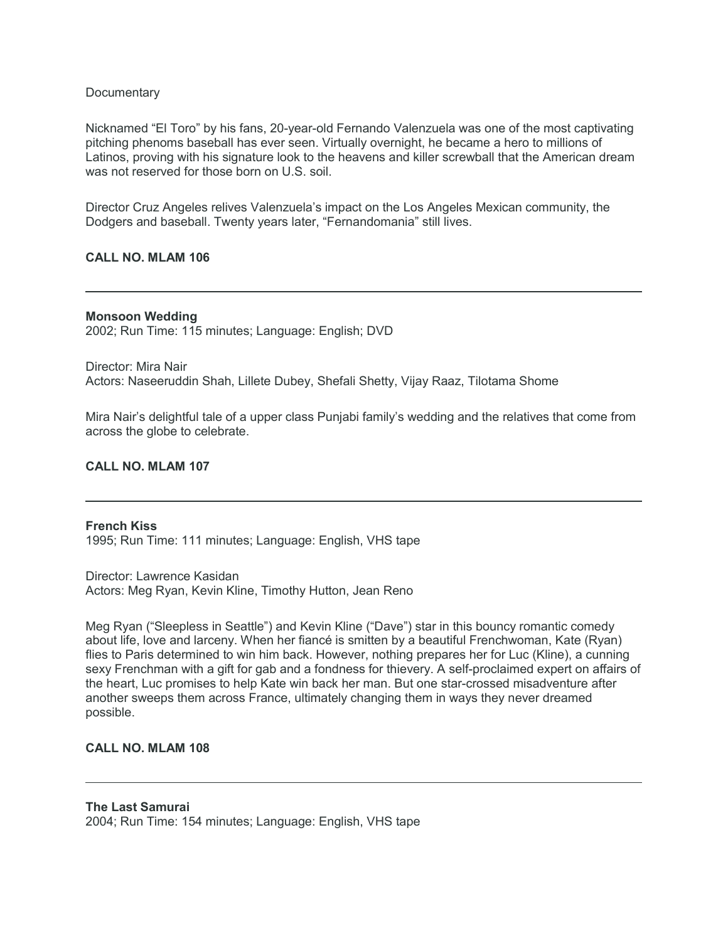# **Documentary**

Nicknamed "El Toro" by his fans, 20-year-old Fernando Valenzuela was one of the most captivating pitching phenoms baseball has ever seen. Virtually overnight, he became a hero to millions of Latinos, proving with his signature look to the heavens and killer screwball that the American dream was not reserved for those born on U.S. soil.

Director Cruz Angeles relives Valenzuela's impact on the Los Angeles Mexican community, the Dodgers and baseball. Twenty years later, "Fernandomania" still lives.

# **CALL NO. MLAM 106**

#### **Monsoon Wedding**

2002; Run Time: 115 minutes; Language: English; DVD

Director: Mira Nair Actors: Naseeruddin Shah, Lillete Dubey, Shefali Shetty, Vijay Raaz, Tilotama Shome

Mira Nair's delightful tale of a upper class Punjabi family's wedding and the relatives that come from across the globe to celebrate.

# **CALL NO. MLAM 107**

#### **French Kiss** 1995; Run Time: 111 minutes; Language: English, VHS tape

Director: Lawrence Kasidan Actors: Meg Ryan, Kevin Kline, Timothy Hutton, Jean Reno

Meg Ryan ("Sleepless in Seattle") and Kevin Kline ("Dave") star in this bouncy romantic comedy about life, love and larceny. When her fiancé is smitten by a beautiful Frenchwoman, Kate (Ryan) flies to Paris determined to win him back. However, nothing prepares her for Luc (Kline), a cunning sexy Frenchman with a gift for gab and a fondness for thievery. A self-proclaimed expert on affairs of the heart, Luc promises to help Kate win back her man. But one star-crossed misadventure after another sweeps them across France, ultimately changing them in ways they never dreamed possible.

# **CALL NO. MLAM 108**

#### **The Last Samurai** 2004; Run Time: 154 minutes; Language: English, VHS tape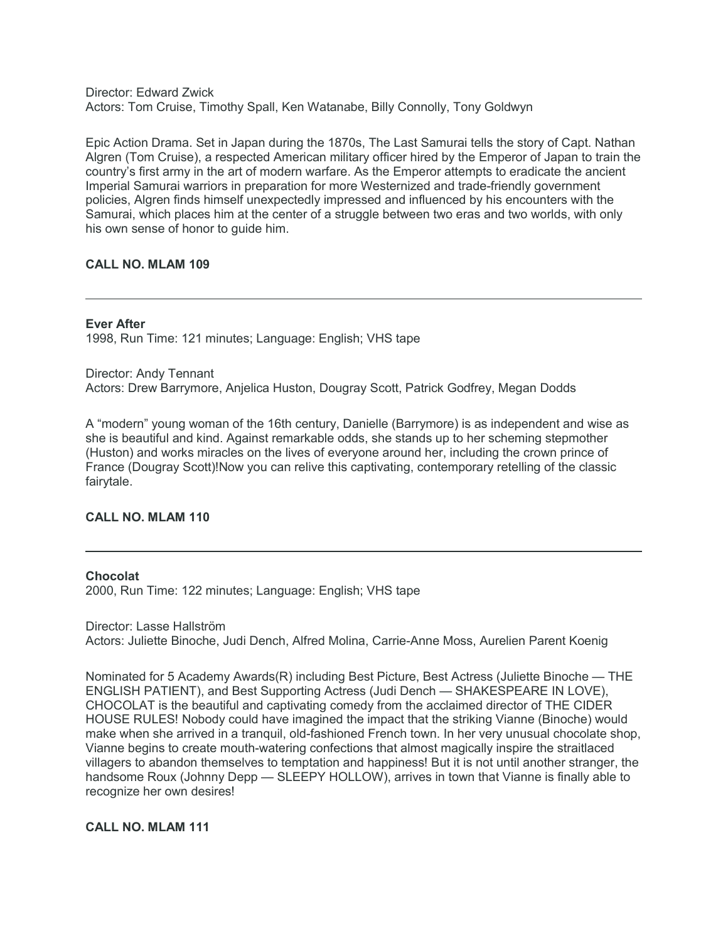Director: Edward Zwick Actors: Tom Cruise, Timothy Spall, Ken Watanabe, Billy Connolly, Tony Goldwyn

Epic Action Drama. Set in Japan during the 1870s, The Last Samurai tells the story of Capt. Nathan Algren (Tom Cruise), a respected American military officer hired by the Emperor of Japan to train the country's first army in the art of modern warfare. As the Emperor attempts to eradicate the ancient Imperial Samurai warriors in preparation for more Westernized and trade-friendly government policies, Algren finds himself unexpectedly impressed and influenced by his encounters with the Samurai, which places him at the center of a struggle between two eras and two worlds, with only his own sense of honor to guide him.

# **CALL NO. MLAM 109**

# **Ever After**

1998, Run Time: 121 minutes; Language: English; VHS tape

Director: Andy Tennant Actors: Drew Barrymore, Anjelica Huston, Dougray Scott, Patrick Godfrey, Megan Dodds

A "modern" young woman of the 16th century, Danielle (Barrymore) is as independent and wise as she is beautiful and kind. Against remarkable odds, she stands up to her scheming stepmother (Huston) and works miracles on the lives of everyone around her, including the crown prince of France (Dougray Scott)!Now you can relive this captivating, contemporary retelling of the classic fairytale.

# **CALL NO. MLAM 110**

#### **Chocolat**

2000, Run Time: 122 minutes; Language: English; VHS tape

Director: Lasse Hallström Actors: Juliette Binoche, Judi Dench, Alfred Molina, Carrie-Anne Moss, Aurelien Parent Koenig

Nominated for 5 Academy Awards(R) including Best Picture, Best Actress (Juliette Binoche — THE ENGLISH PATIENT), and Best Supporting Actress (Judi Dench — SHAKESPEARE IN LOVE), CHOCOLAT is the beautiful and captivating comedy from the acclaimed director of THE CIDER HOUSE RULES! Nobody could have imagined the impact that the striking Vianne (Binoche) would make when she arrived in a tranquil, old-fashioned French town. In her very unusual chocolate shop, Vianne begins to create mouth-watering confections that almost magically inspire the straitlaced villagers to abandon themselves to temptation and happiness! But it is not until another stranger, the handsome Roux (Johnny Depp - SLEEPY HOLLOW), arrives in town that Vianne is finally able to recognize her own desires!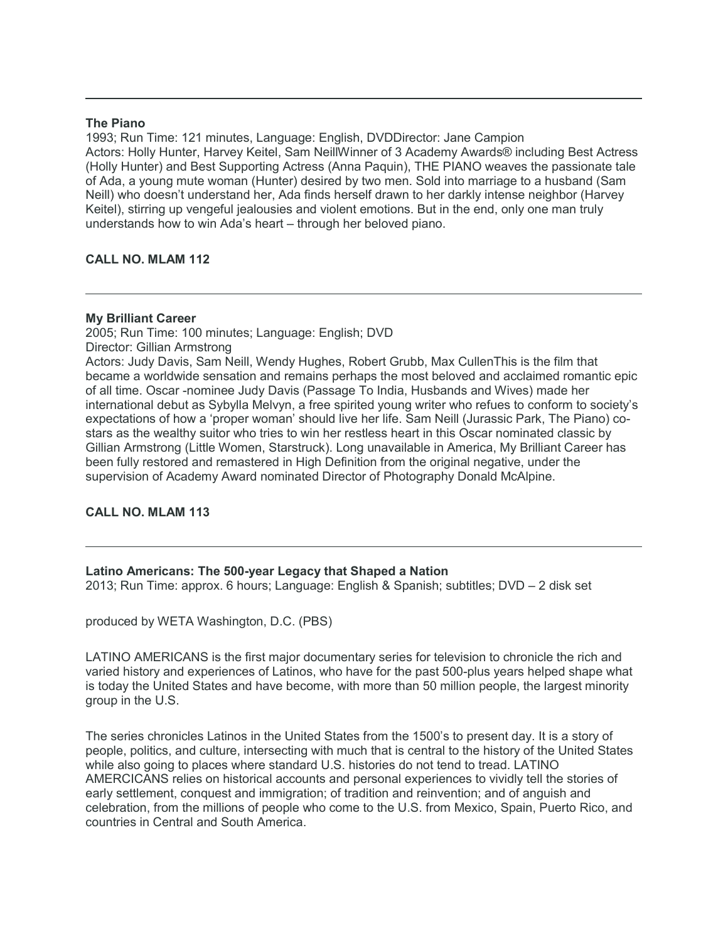#### **The Piano**

1993; Run Time: 121 minutes, Language: English, DVDDirector: Jane Campion Actors: Holly Hunter, Harvey Keitel, Sam NeillWinner of 3 Academy Awards® including Best Actress (Holly Hunter) and Best Supporting Actress (Anna Paquin), THE PIANO weaves the passionate tale of Ada, a young mute woman (Hunter) desired by two men. Sold into marriage to a husband (Sam Neill) who doesn't understand her, Ada finds herself drawn to her darkly intense neighbor (Harvey Keitel), stirring up vengeful jealousies and violent emotions. But in the end, only one man truly understands how to win Ada's heart – through her beloved piano.

# **CALL NO. MLAM 112**

# **My Brilliant Career**

2005; Run Time: 100 minutes; Language: English; DVD Director: Gillian Armstrong Actors: Judy Davis, Sam Neill, Wendy Hughes, Robert Grubb, Max CullenThis is the film that became a worldwide sensation and remains perhaps the most beloved and acclaimed romantic epic of all time. Oscar -nominee Judy Davis (Passage To India, Husbands and Wives) made her international debut as Sybylla Melvyn, a free spirited young writer who refues to conform to society's expectations of how a 'proper woman' should live her life. Sam Neill (Jurassic Park, The Piano) costars as the wealthy suitor who tries to win her restless heart in this Oscar nominated classic by Gillian Armstrong (Little Women, Starstruck). Long unavailable in America, My Brilliant Career has been fully restored and remastered in High Definition from the original negative, under the supervision of Academy Award nominated Director of Photography Donald McAlpine.

# **CALL NO. MLAM 113**

# **Latino Americans: The 500-year Legacy that Shaped a Nation**

2013; Run Time: approx. 6 hours; Language: English & Spanish; subtitles; DVD – 2 disk set

produced by WETA Washington, D.C. (PBS)

LATINO AMERICANS is the first major documentary series for television to chronicle the rich and varied history and experiences of Latinos, who have for the past 500-plus years helped shape what is today the United States and have become, with more than 50 million people, the largest minority group in the U.S.

The series chronicles Latinos in the United States from the 1500's to present day. It is a story of people, politics, and culture, intersecting with much that is central to the history of the United States while also going to places where standard U.S. histories do not tend to tread. LATINO AMERCICANS relies on historical accounts and personal experiences to vividly tell the stories of early settlement, conquest and immigration; of tradition and reinvention; and of anguish and celebration, from the millions of people who come to the U.S. from Mexico, Spain, Puerto Rico, and countries in Central and South America.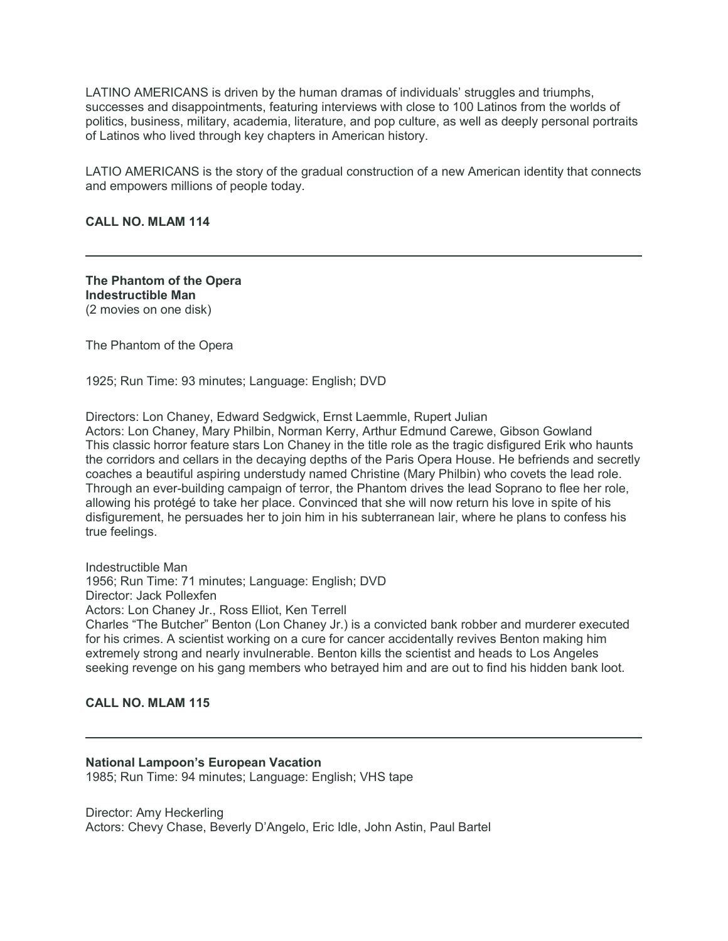LATINO AMERICANS is driven by the human dramas of individuals' struggles and triumphs, successes and disappointments, featuring interviews with close to 100 Latinos from the worlds of politics, business, military, academia, literature, and pop culture, as well as deeply personal portraits of Latinos who lived through key chapters in American history.

LATIO AMERICANS is the story of the gradual construction of a new American identity that connects and empowers millions of people today.

**CALL NO. MLAM 114**

**The Phantom of the Opera Indestructible Man** (2 movies on one disk)

The Phantom of the Opera

1925; Run Time: 93 minutes; Language: English; DVD

Directors: Lon Chaney, Edward Sedgwick, Ernst Laemmle, Rupert Julian Actors: Lon Chaney, Mary Philbin, Norman Kerry, Arthur Edmund Carewe, Gibson Gowland This classic horror feature stars Lon Chaney in the title role as the tragic disfigured Erik who haunts the corridors and cellars in the decaying depths of the Paris Opera House. He befriends and secretly coaches a beautiful aspiring understudy named Christine (Mary Philbin) who covets the lead role. Through an ever-building campaign of terror, the Phantom drives the lead Soprano to flee her role, allowing his protégé to take her place. Convinced that she will now return his love in spite of his disfigurement, he persuades her to join him in his subterranean lair, where he plans to confess his true feelings.

Indestructible Man 1956; Run Time: 71 minutes; Language: English; DVD Director: Jack Pollexfen Actors: Lon Chaney Jr., Ross Elliot, Ken Terrell Charles "The Butcher" Benton (Lon Chaney Jr.) is a convicted bank robber and murderer executed for his crimes. A scientist working on a cure for cancer accidentally revives Benton making him extremely strong and nearly invulnerable. Benton kills the scientist and heads to Los Angeles seeking revenge on his gang members who betrayed him and are out to find his hidden bank loot.

#### **CALL NO. MLAM 115**

#### **National Lampoon's European Vacation**

1985; Run Time: 94 minutes; Language: English; VHS tape

Director: Amy Heckerling Actors: Chevy Chase, Beverly D'Angelo, Eric Idle, John Astin, Paul Bartel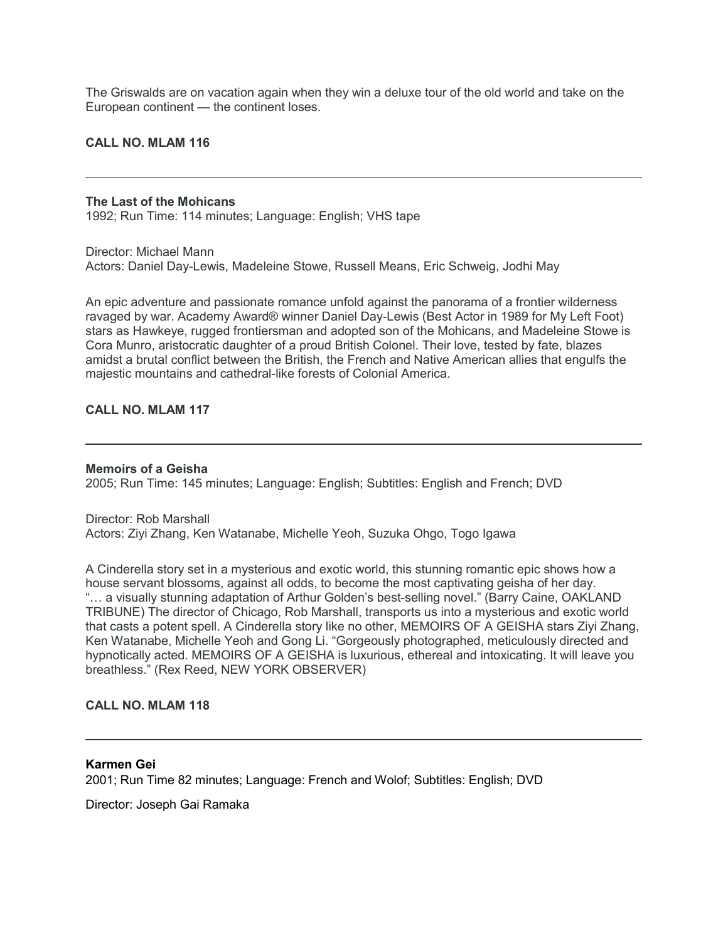The Griswalds are on vacation again when they win a deluxe tour of the old world and take on the European continent — the continent loses.

#### **CALL NO. MLAM 116**

#### **The Last of the Mohicans** 1992; Run Time: 114 minutes; Language: English; VHS tape

Director: Michael Mann Actors: Daniel Day-Lewis, Madeleine Stowe, Russell Means, Eric Schweig, Jodhi May

An epic adventure and passionate romance unfold against the panorama of a frontier wilderness ravaged by war. Academy Award® winner Daniel Day-Lewis (Best Actor in 1989 for My Left Foot) stars as Hawkeye, rugged frontiersman and adopted son of the Mohicans, and Madeleine Stowe is Cora Munro, aristocratic daughter of a proud British Colonel. Their love, tested by fate, blazes amidst a brutal conflict between the British, the French and Native American allies that engulfs the majestic mountains and cathedral-like forests of Colonial America.

# **CALL NO. MLAM 117**

#### **Memoirs of a Geisha**

2005; Run Time: 145 minutes; Language: English; Subtitles: English and French; DVD

Director: Rob Marshall Actors: Ziyi Zhang, Ken Watanabe, Michelle Yeoh, Suzuka Ohgo, Togo Igawa

A Cinderella story set in a mysterious and exotic world, this stunning romantic epic shows how a house servant blossoms, against all odds, to become the most captivating geisha of her day. "… a visually stunning adaptation of Arthur Golden's best-selling novel." (Barry Caine, OAKLAND TRIBUNE) The director of Chicago, Rob Marshall, transports us into a mysterious and exotic world that casts a potent spell. A Cinderella story like no other, MEMOIRS OF A GEISHA stars Ziyi Zhang, Ken Watanabe, Michelle Yeoh and Gong Li. "Gorgeously photographed, meticulously directed and hypnotically acted. MEMOIRS OF A GEISHA is luxurious, ethereal and intoxicating. It will leave you breathless." (Rex Reed, NEW YORK OBSERVER)

# **CALL NO. MLAM 118**

# **Karmen Gei**

2001; Run Time 82 minutes; Language: French and Wolof; Subtitles: English; DVD

Director: Joseph Gai Ramaka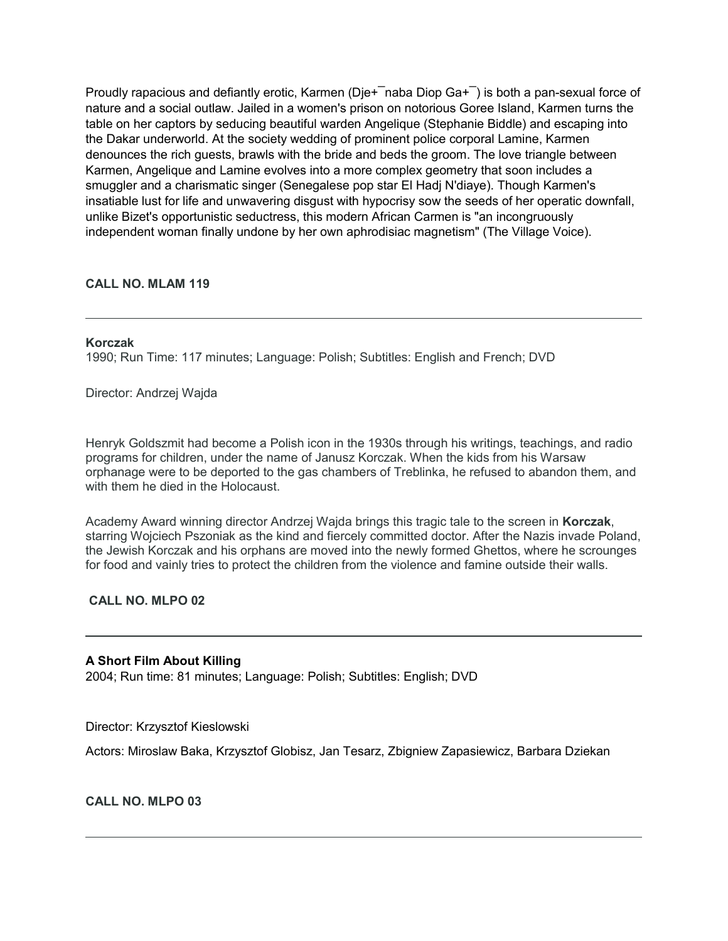Proudly rapacious and defiantly erotic, Karmen (Die+ $\overline{\phantom{a}}$ naba Diop Ga+ $\overline{\phantom{a}}$ ) is both a pan-sexual force of nature and a social outlaw. Jailed in a women's prison on notorious Goree Island, Karmen turns the table on her captors by seducing beautiful warden Angelique (Stephanie Biddle) and escaping into the Dakar underworld. At the society wedding of prominent police corporal Lamine, Karmen denounces the rich guests, brawls with the bride and beds the groom. The love triangle between Karmen, Angelique and Lamine evolves into a more complex geometry that soon includes a smuggler and a charismatic singer (Senegalese pop star El Hadj N'diaye). Though Karmen's insatiable lust for life and unwavering disgust with hypocrisy sow the seeds of her operatic downfall, unlike Bizet's opportunistic seductress, this modern African Carmen is "an incongruously independent woman finally undone by her own aphrodisiac magnetism" (The Village Voice).

# **CALL NO. MLAM 119**

#### **Korczak**

1990; Run Time: 117 minutes; Language: Polish; Subtitles: English and French; DVD

Director: Andrzej Wajda

Henryk Goldszmit had become a Polish icon in the 1930s through his writings, teachings, and radio programs for children, under the name of Janusz Korczak. When the kids from his Warsaw orphanage were to be deported to the gas chambers of Treblinka, he refused to abandon them, and with them he died in the Holocaust.

Academy Award winning director Andrzej Wajda brings this tragic tale to the screen in **Korczak**, starring Wojciech Pszoniak as the kind and fiercely committed doctor. After the Nazis invade Poland, the Jewish Korczak and his orphans are moved into the newly formed Ghettos, where he scrounges for food and vainly tries to protect the children from the violence and famine outside their walls.

**CALL NO. MLPO 02**

# **A Short Film About Killing**

2004; Run time: 81 minutes; Language: Polish; Subtitles: English; DVD

Director: Krzysztof Kieslowski

Actors: Miroslaw Baka, Krzysztof Globisz, Jan Tesarz, Zbigniew Zapasiewicz, Barbara Dziekan

# **CALL NO. MLPO 03**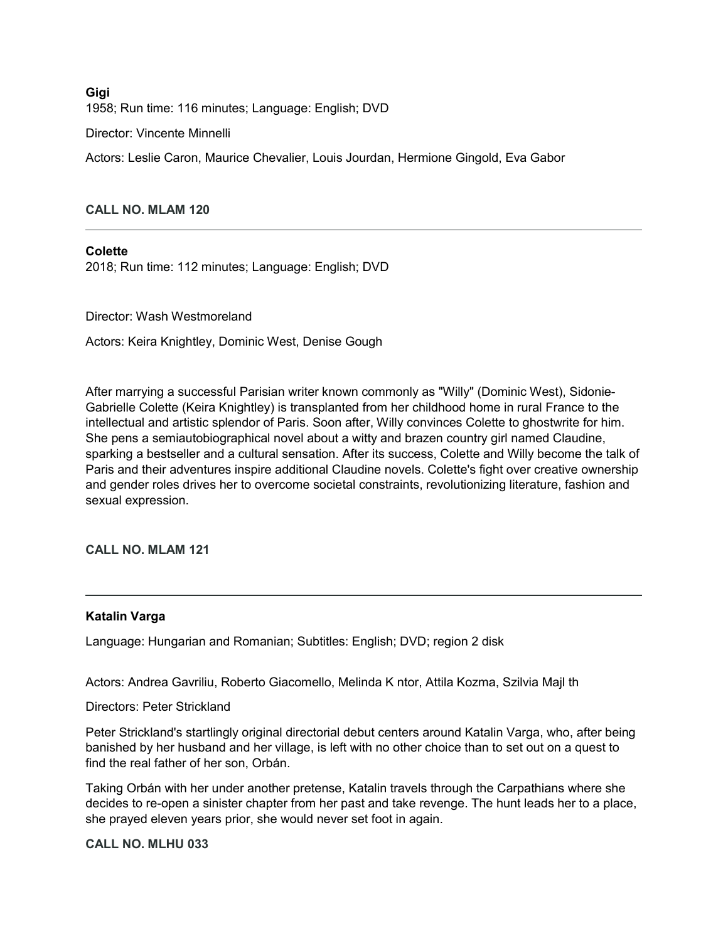**Gigi** 1958; Run time: 116 minutes; Language: English; DVD

Director: Vincente Minnelli

Actors: Leslie Caron, Maurice Chevalier, Louis Jourdan, Hermione Gingold, Eva Gabor

# **CALL NO. MLAM 120**

# **Colette**

2018; Run time: 112 minutes; Language: English; DVD

Director: Wash Westmoreland

Actors: Keira Knightley, Dominic West, Denise Gough

After marrying a successful Parisian writer known commonly as "Willy" (Dominic West), Sidonie-Gabrielle Colette (Keira Knightley) is transplanted from her childhood home in rural France to the intellectual and artistic splendor of Paris. Soon after, Willy convinces Colette to ghostwrite for him. She pens a semiautobiographical novel about a witty and brazen country girl named Claudine, sparking a bestseller and a cultural sensation. After its success, Colette and Willy become the talk of Paris and their adventures inspire additional Claudine novels. Colette's fight over creative ownership and gender roles drives her to overcome societal constraints, revolutionizing literature, fashion and sexual expression.

**CALL NO. MLAM 121**

#### **Katalin Varga**

Language: Hungarian and Romanian; Subtitles: English; DVD; region 2 disk

Actors: Andrea Gavriliu, Roberto Giacomello, Melinda K ntor, Attila Kozma, Szilvia Majl th

Directors: Peter Strickland

Peter Strickland's startlingly original directorial debut centers around Katalin Varga, who, after being banished by her husband and her village, is left with no other choice than to set out on a quest to find the real father of her son, Orbán.

Taking Orbán with her under another pretense, Katalin travels through the Carpathians where she decides to re-open a sinister chapter from her past and take revenge. The hunt leads her to a place, she prayed eleven years prior, she would never set foot in again.

**CALL NO. MLHU 033**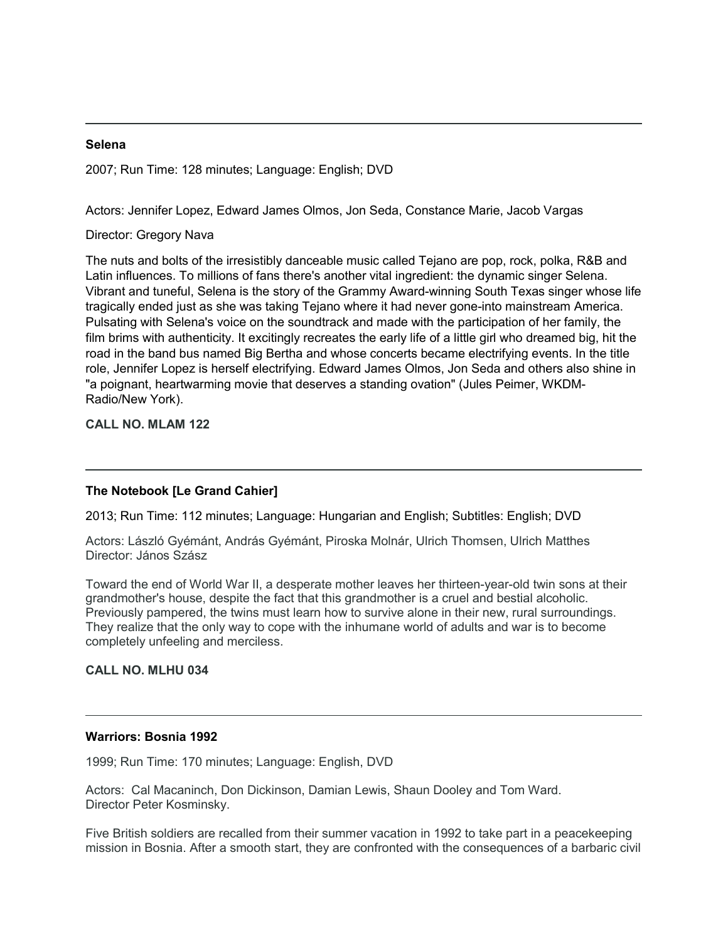#### **Selena**

2007; Run Time: 128 minutes; Language: English; DVD

Actors: Jennifer Lopez, Edward James Olmos, Jon Seda, Constance Marie, Jacob Vargas

Director: Gregory Nava

The nuts and bolts of the irresistibly danceable music called Tejano are pop, rock, polka, R&B and Latin influences. To millions of fans there's another vital ingredient: the dynamic singer Selena. Vibrant and tuneful, Selena is the story of the Grammy Award-winning South Texas singer whose life tragically ended just as she was taking Tejano where it had never gone-into mainstream America. Pulsating with Selena's voice on the soundtrack and made with the participation of her family, the film brims with authenticity. It excitingly recreates the early life of a little girl who dreamed big, hit the road in the band bus named Big Bertha and whose concerts became electrifying events. In the title role, Jennifer Lopez is herself electrifying. Edward James Olmos, Jon Seda and others also shine in "a poignant, heartwarming movie that deserves a standing ovation" (Jules Peimer, WKDM-Radio/New York).

**CALL NO. MLAM 122**

# **The Notebook [Le Grand Cahier]**

2013; Run Time: 112 minutes; Language: Hungarian and English; Subtitles: English; DVD

Actors: László Gyémánt, András Gyémánt, Piroska Molnár, Ulrich Thomsen, Ulrich Matthes Director: János Szász

Toward the end of World War II, a desperate mother leaves her thirteen-year-old twin sons at their grandmother's house, despite the fact that this grandmother is a cruel and bestial alcoholic. Previously pampered, the twins must learn how to survive alone in their new, rural surroundings. They realize that the only way to cope with the inhumane world of adults and war is to become completely unfeeling and merciless.

**CALL NO. MLHU 034**

#### **Warriors: Bosnia 1992**

1999; Run Time: 170 minutes; Language: English, DVD

Actors: Cal Macaninch, Don Dickinson, Damian Lewis, Shaun Dooley and Tom Ward. Director Peter Kosminsky.

Five British soldiers are recalled from their summer vacation in 1992 to take part in a peacekeeping mission in Bosnia. After a smooth start, they are confronted with the consequences of a barbaric civil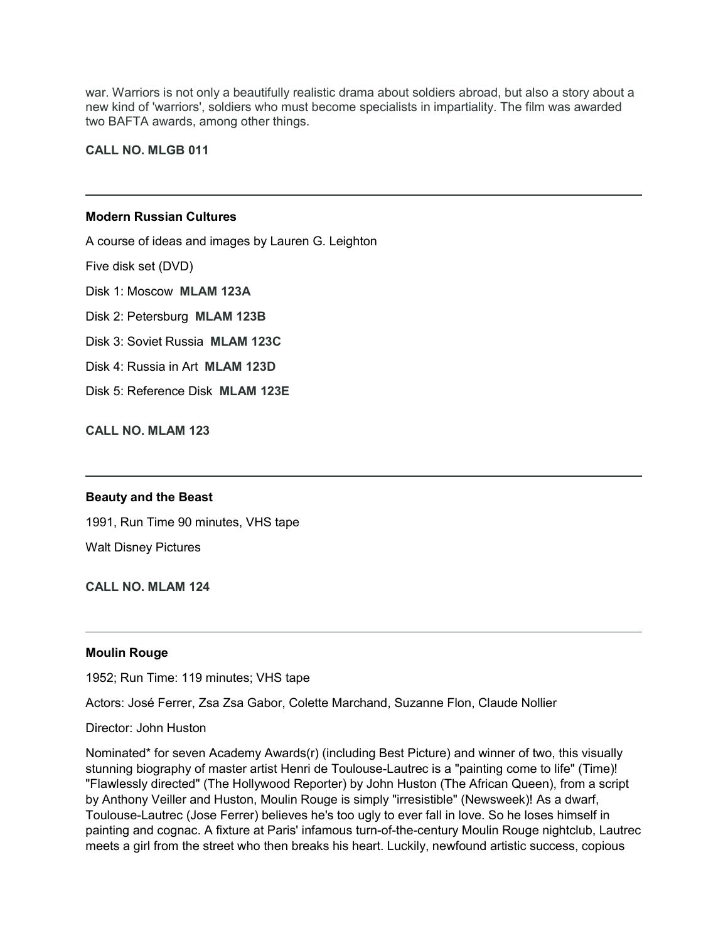war. Warriors is not only a beautifully realistic drama about soldiers abroad, but also a story about a new kind of 'warriors', soldiers who must become specialists in impartiality. The film was awarded two BAFTA awards, among other things.

**CALL NO. MLGB 011**

# **Modern Russian Cultures**

A course of ideas and images by Lauren G. Leighton

Five disk set (DVD)

Disk 1: Moscow **MLAM 123A**

Disk 2: Petersburg **MLAM 123B**

Disk 3: Soviet Russia **MLAM 123C**

Disk 4: Russia in Art **MLAM 123D**

Disk 5: Reference Disk **MLAM 123E**

**CALL NO. MLAM 123**

#### **Beauty and the Beast**

1991, Run Time 90 minutes, VHS tape Walt Disney Pictures

**CALL NO. MLAM 124**

#### **Moulin Rouge**

1952; Run Time: 119 minutes; VHS tape

Actors: José Ferrer, Zsa Zsa Gabor, Colette Marchand, Suzanne Flon, Claude Nollier

Director: John Huston

Nominated\* for seven Academy Awards(r) (including Best Picture) and winner of two, this visually stunning biography of master artist Henri de Toulouse-Lautrec is a "painting come to life" (Time)! "Flawlessly directed" (The Hollywood Reporter) by John Huston (The African Queen), from a script by Anthony Veiller and Huston, Moulin Rouge is simply "irresistible" (Newsweek)! As a dwarf, Toulouse-Lautrec (Jose Ferrer) believes he's too ugly to ever fall in love. So he loses himself in painting and cognac. A fixture at Paris' infamous turn-of-the-century Moulin Rouge nightclub, Lautrec meets a girl from the street who then breaks his heart. Luckily, newfound artistic success, copious